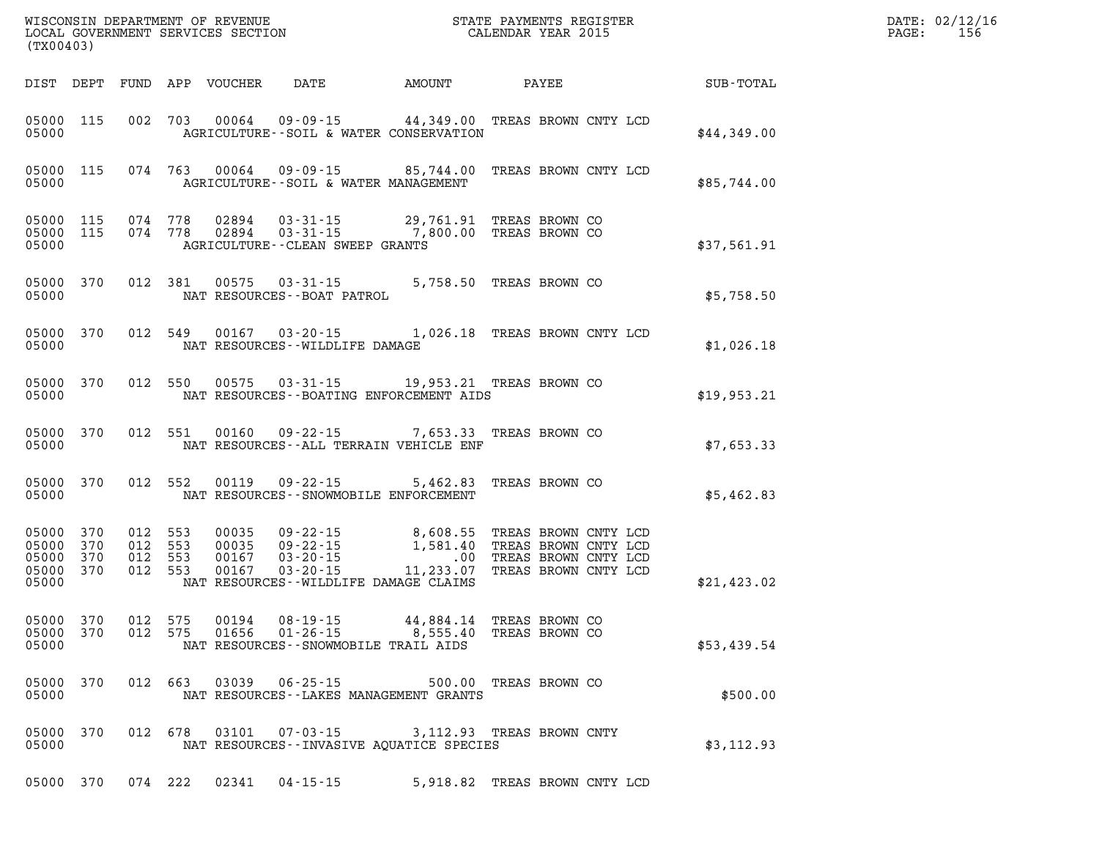| (TX00403)                                                                                             |                                                                                                                                                                                                               |                                                                                                                                                                  | $\mathbb{E} \mathbf{R}$ | DATE: 02/12/16<br>156<br>$\mathtt{PAGE}$ : |
|-------------------------------------------------------------------------------------------------------|---------------------------------------------------------------------------------------------------------------------------------------------------------------------------------------------------------------|------------------------------------------------------------------------------------------------------------------------------------------------------------------|-------------------------|--------------------------------------------|
|                                                                                                       |                                                                                                                                                                                                               |                                                                                                                                                                  |                         |                                            |
| 05000 115<br>05000                                                                                    | 002 703 00064 09-09-15 44,349.00 TREAS BROWN CNTY LCD<br>AGRICULTURE--SOIL & WATER CONSERVATION                                                                                                               |                                                                                                                                                                  | \$44,349.00             |                                            |
| 05000 115<br>05000                                                                                    | 074 763 00064 09-09-15 85,744.00 TREAS BROWN CNTY LCD<br>AGRICULTURE--SOIL & WATER MANAGEMENT                                                                                                                 |                                                                                                                                                                  | \$85,744.00             |                                            |
| 05000 115<br>05000 115<br>05000                                                                       | 074    778      02894      03-31-15                    29,761.91    TREAS  BROWN CO<br>074    778      02894      03-31-15                   7,800.00   TREAS  BROWN CO<br>AGRICULTURE - - CLEAN SWEEP GRANTS |                                                                                                                                                                  | \$37,561.91             |                                            |
| 05000 370<br>05000                                                                                    | $370 \qquad 012 \quad 381 \qquad 00575 \qquad 03-31-15 \qquad \qquad 5,758.50 \quad \text{TERS BROWN CO}$ NAT RESOURCES--BOAT PATROL                                                                          |                                                                                                                                                                  | \$5,758.50              |                                            |
| 05000 370<br>05000                                                                                    | 012 549 00167 03-20-15 1,026.18 TREAS BROWN CNTY LCD<br>NAT RESOURCES--WILDLIFE DAMAGE                                                                                                                        |                                                                                                                                                                  | \$1,026.18              |                                            |
| 05000 370<br>05000                                                                                    | 012 550 00575 03-31-15 19,953.21 TREAS BROWN CO<br>NAT RESOURCES--BOATING ENFORCEMENT AIDS                                                                                                                    |                                                                                                                                                                  | \$19,953.21             |                                            |
| 05000 370                                                                                             | 012 551 00160 09-22-15 7,653.33 TREAS BROWN CO<br>05000 MAT RESOURCES--ALL TERRAIN VEHICLE ENF                                                                                                                |                                                                                                                                                                  | \$7,653.33              |                                            |
| 05000 370<br>05000                                                                                    | 012 552 00119 09-22-15 5,462.83 TREAS BROWN CO<br>NAT RESOURCES--SNOWMOBILE ENFORCEMENT                                                                                                                       |                                                                                                                                                                  | \$5,462.83              |                                            |
| 05000 370<br>012 553<br>012 553<br>05000 370<br>05000 370<br>012 553<br>05000 370<br>012 553<br>05000 | 00035<br>00035<br>00167<br>00167<br>NAT RESOURCES--WILDLIFE DAMAGE CLAIMS                                                                                                                                     | 09-22-15 8,608.55 TREAS BROWN CNTY LCD<br>09-22-15 1,581.40 TREAS BROWN CNTY LCD<br>03-20-15 .00 TREAS BROWN CNTY LCD<br>03-20-15 11,233.07 TREAS BROWN CNTY LCD | \$21,423.02             |                                            |
| 05000 370<br>012 575<br>05000 370<br>012 575<br>05000                                                 | $08 - 19 - 15$<br>00194<br>01656<br>$01 - 26 - 15$<br>NAT RESOURCES - - SNOWMOBILE TRAIL AIDS                                                                                                                 | 44,884.14 TREAS BROWN CO<br>8,555.40 TREAS BROWN CO                                                                                                              | \$53,439.54             |                                            |
| 05000 370<br>012 663<br>05000                                                                         | 03039<br>$06 - 25 - 15$<br>NAT RESOURCES - - LAKES MANAGEMENT GRANTS                                                                                                                                          | 500.00 TREAS BROWN CO                                                                                                                                            | \$500.00                |                                            |
| 05000 370<br>012 678<br>05000                                                                         | 03101<br>$07 - 03 - 15$<br>NAT RESOURCES -- INVASIVE AQUATICE SPECIES                                                                                                                                         | 3,112.93 TREAS BROWN CNTY                                                                                                                                        | \$3,112.93              |                                            |
| 05000 370<br>074 222                                                                                  | 02341<br>$04 - 15 - 15$                                                                                                                                                                                       | 5,918.82 TREAS BROWN CNTY LCD                                                                                                                                    |                         |                                            |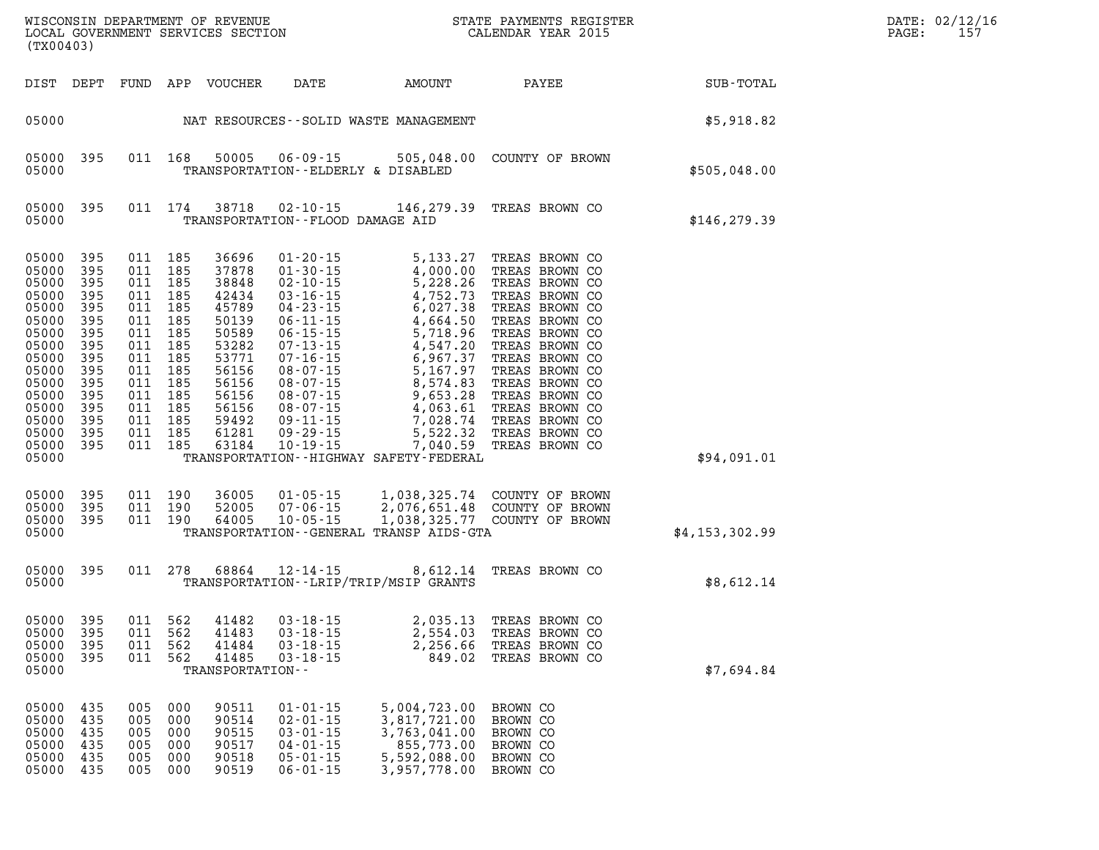| (TX00403)                                                                                                                                                                             |                                                      |                                          |                                                                                                                                  |                                                    |                                                                                                          |                                                                                                              | WISCONSIN DEPARTMENT OF REVENUE<br>LOCAL GOVERNMENT SERVICES SECTION CALENDAR YEAR 2015                                                                                                                                                  |                  | DATE: 02/12/16<br>$\mathtt{PAGE}$ :<br>157 |
|---------------------------------------------------------------------------------------------------------------------------------------------------------------------------------------|------------------------------------------------------|------------------------------------------|----------------------------------------------------------------------------------------------------------------------------------|----------------------------------------------------|----------------------------------------------------------------------------------------------------------|--------------------------------------------------------------------------------------------------------------|------------------------------------------------------------------------------------------------------------------------------------------------------------------------------------------------------------------------------------------|------------------|--------------------------------------------|
|                                                                                                                                                                                       |                                                      |                                          |                                                                                                                                  | DIST DEPT FUND APP VOUCHER                         |                                                                                                          |                                                                                                              | DATE AMOUNT PAYEE                                                                                                                                                                                                                        | SUB-TOTAL        |                                            |
|                                                                                                                                                                                       |                                                      |                                          |                                                                                                                                  |                                                    |                                                                                                          | 05000 MAT RESOURCES - SOLID WASTE MANAGEMENT                                                                 | \$5,918.82                                                                                                                                                                                                                               |                  |                                            |
| 05000                                                                                                                                                                                 | 05000 395                                            |                                          |                                                                                                                                  |                                                    | TRANSPORTATION--ELDERLY & DISABLED                                                                       |                                                                                                              | 011 168 50005 06-09-15 505,048.00 COUNTY OF BROWN                                                                                                                                                                                        | \$505,048.00     |                                            |
| 05000                                                                                                                                                                                 | 05000 395                                            |                                          |                                                                                                                                  |                                                    | TRANSPORTATION--FLOOD DAMAGE AID                                                                         |                                                                                                              | 011 174 38718 02-10-15 146, 279.39 TREAS BROWN CO                                                                                                                                                                                        | \$146, 279.39    |                                            |
| 05000 395<br>05000<br>05000<br>05000<br>05000<br>05000<br>05000 395<br>05000<br>05000 395<br>05000<br>05000 395<br>05000<br>05000 395<br>05000 395<br>05000 395<br>05000 395<br>05000 | 395<br>395<br>395<br>395<br>395<br>395<br>395<br>395 | 011 185<br>011 185<br>011 185<br>011 185 | 011 185<br>011 185<br>011 185<br>011 185<br>011 185<br>011 185<br>011 185<br>011 185<br>011 185<br>011 185<br>011 185<br>011 185 |                                                    |                                                                                                          | TRANSPORTATION - - HIGHWAY SAFETY - FEDERAL                                                                  | 36696 01-20-15 5, 133.27 TREAS BROWN CO<br>37878 01-30-15 4, 000.00 TREAS BROWN CO<br>38848 02-10-15 5, 228.26 TREAS BROWN CO<br>42434 03-16-15 4, 752.73 TREAS BROWN CO<br>45789 04-23-15 6, 027.38 TREAS BROWN CO<br>50589 06-11-15 4, | \$94,091.01      |                                            |
| 05000<br>05000 395<br>05000 395<br>05000                                                                                                                                              | 395                                                  |                                          | 011 190<br>011 190<br>011 190                                                                                                    | 36005<br>52005<br>64005                            |                                                                                                          | TRANSPORTATION--GENERAL TRANSP AIDS-GTA                                                                      |                                                                                                                                                                                                                                          | \$4, 153, 302.99 |                                            |
| 05000 395<br>05000                                                                                                                                                                    |                                                      |                                          | 011 278                                                                                                                          |                                                    |                                                                                                          | TRANSPORTATION - - LRIP/TRIP/MSIP GRANTS                                                                     | 68864 12-14-15 8,612.14 TREAS BROWN CO                                                                                                                                                                                                   | \$8,612.14       |                                            |
| 05000 395<br>05000<br>05000 395<br>05000                                                                                                                                              | 395                                                  |                                          | 011 562<br>011 562<br>011 562                                                                                                    | 41482<br>41484<br>41485<br>TRANSPORTATION--        | $03 - 18 - 15$<br>$03 - 18 - 15$<br>$03 - 18 - 15$                                                       | 2,256.66                                                                                                     | 2,035.13 TREAS BROWN CO<br>05000 395 011 562 41483 03-18-15 2,554.03 TREAS BROWN CO<br>TREAS BROWN CO<br>849.02 TREAS BROWN CO                                                                                                           | \$7,694.84       |                                            |
| 05000<br>05000<br>05000<br>05000<br>05000 435<br>05000 435                                                                                                                            | 435<br>435<br>435<br>435                             | 005 000<br>005<br>005<br>005<br>005      | 000<br>000<br>000<br>- 000<br>005 000                                                                                            | 90511<br>90514<br>90515<br>90517<br>90518<br>90519 | $01 - 01 - 15$<br>$02 - 01 - 15$<br>$03 - 01 - 15$<br>$04 - 01 - 15$<br>$05 - 01 - 15$<br>$06 - 01 - 15$ | 5,004,723.00 BROWN CO<br>3,817,721.00<br>3,763,041.00<br>855,773.00<br>5,592,088.00<br>3,957,778.00 BROWN CO | BROWN CO<br>BROWN CO<br>BROWN CO<br>BROWN CO                                                                                                                                                                                             |                  |                                            |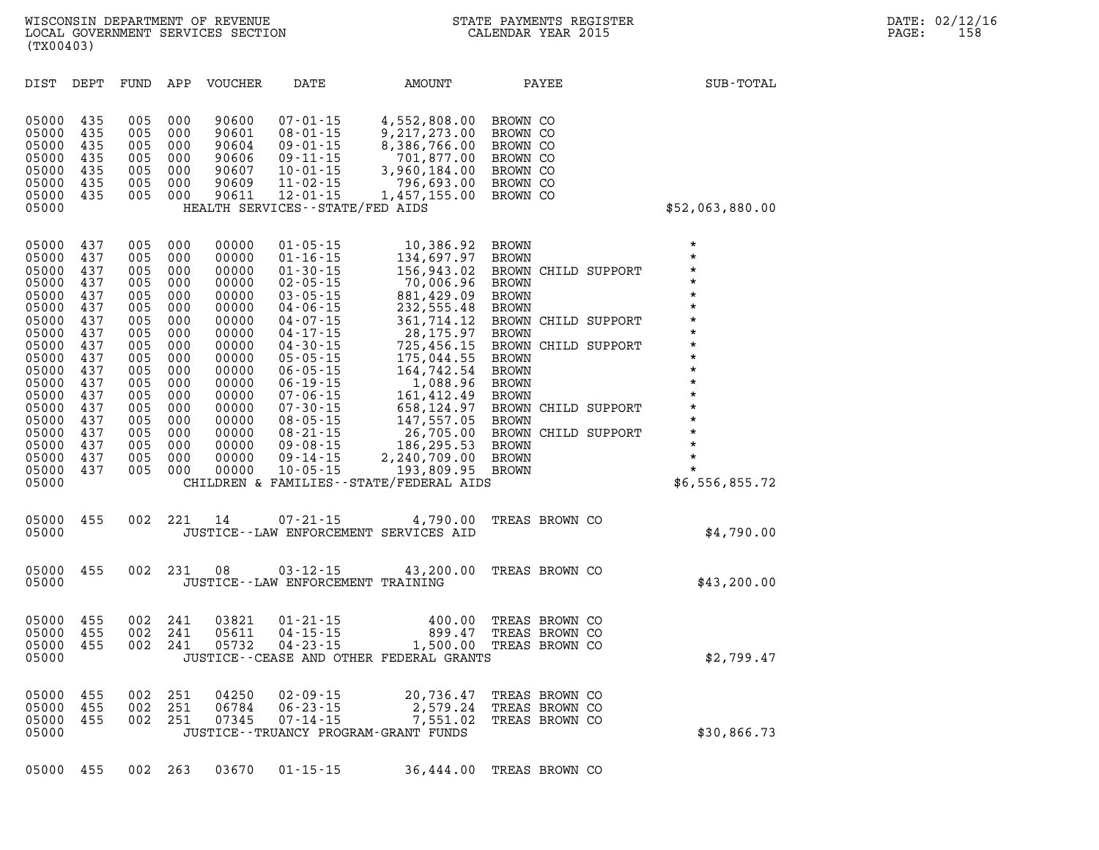| DIST                                                                                                                                                                             | DEPT                                                                                                                              | FUND                                                                                                                              | APP                                                                                                                               | <b>VOUCHER</b>                                                                                                                                                          | DATE                                                                                                                                                                                                                                                                                                                                               | AMOUNT                                                                                                                                                                                                                                                                                                         | PAYEE                                                                                                                                                                                                                                                                                                                                                    | SUB-TOTAL                                                                                                                                                                                                                 |
|----------------------------------------------------------------------------------------------------------------------------------------------------------------------------------|-----------------------------------------------------------------------------------------------------------------------------------|-----------------------------------------------------------------------------------------------------------------------------------|-----------------------------------------------------------------------------------------------------------------------------------|-------------------------------------------------------------------------------------------------------------------------------------------------------------------------|----------------------------------------------------------------------------------------------------------------------------------------------------------------------------------------------------------------------------------------------------------------------------------------------------------------------------------------------------|----------------------------------------------------------------------------------------------------------------------------------------------------------------------------------------------------------------------------------------------------------------------------------------------------------------|----------------------------------------------------------------------------------------------------------------------------------------------------------------------------------------------------------------------------------------------------------------------------------------------------------------------------------------------------------|---------------------------------------------------------------------------------------------------------------------------------------------------------------------------------------------------------------------------|
| 05000<br>05000<br>05000<br>05000<br>05000<br>05000<br>05000<br>05000                                                                                                             | 435<br>435<br>435<br>435<br>435<br>435<br>435                                                                                     | 005<br>005<br>005<br>005<br>005<br>005<br>005                                                                                     | 000<br>000<br>000<br>000<br>000<br>000<br>000                                                                                     | 90600<br>90601<br>90604<br>90606<br>90607<br>90609<br>90611                                                                                                             | 07-01-15<br>$08 - 01 - 15$<br>$09 - 01 - 15$<br>$09 - 11 - 15$<br>$10 - 01 - 15$<br>$11 - 02 - 15$<br>$12 - 01 - 15$<br>HEALTH SERVICES--STATE/FED AIDS                                                                                                                                                                                            | 4,552,808.00<br>9,217,273.00<br>8,386,766.00<br>701,877.00<br>3,960,184.00<br>796,693.00<br>1,457,155.00                                                                                                                                                                                                       | BROWN CO<br>BROWN CO<br>BROWN CO<br>BROWN CO<br>BROWN CO<br>BROWN CO<br>BROWN CO                                                                                                                                                                                                                                                                         | \$52,063,880.00                                                                                                                                                                                                           |
| 05000<br>05000<br>05000<br>05000<br>05000<br>05000<br>05000<br>05000<br>05000<br>05000<br>05000<br>05000<br>05000<br>05000<br>05000<br>05000<br>05000<br>05000<br>05000<br>05000 | 437<br>437<br>437<br>437<br>437<br>437<br>437<br>437<br>437<br>437<br>437<br>437<br>437<br>437<br>437<br>437<br>437<br>437<br>437 | 005<br>005<br>005<br>005<br>005<br>005<br>005<br>005<br>005<br>005<br>005<br>005<br>005<br>005<br>005<br>005<br>005<br>005<br>005 | 000<br>000<br>000<br>000<br>000<br>000<br>000<br>000<br>000<br>000<br>000<br>000<br>000<br>000<br>000<br>000<br>000<br>000<br>000 | 00000<br>00000<br>00000<br>00000<br>00000<br>00000<br>00000<br>00000<br>00000<br>00000<br>00000<br>00000<br>00000<br>00000<br>00000<br>00000<br>00000<br>00000<br>00000 | $01 - 05 - 15$<br>$01 - 16 - 15$<br>$01 - 30 - 15$<br>$02 - 05 - 15$<br>$03 - 05 - 15$<br>$04 - 06 - 15$<br>$04 - 07 - 15$<br>$04 - 17 - 15$<br>$04 - 30 - 15$<br>$05 - 05 - 15$<br>$06 - 05 - 15$<br>$06 - 19 - 15$<br>$07 - 06 - 15$<br>$07 - 30 - 15$<br>$08 - 05 - 15$<br>$08 - 21 - 15$<br>$09 - 08 - 15$<br>$09 - 14 - 15$<br>$10 - 05 - 15$ | 10,386.92<br>134,697.97<br>156,943.02<br>70,006.96<br>881,429.09<br>232,555.48<br>361,714.12<br>28, 175.97<br>725,456.15<br>175,044.55<br>164,742.54<br>1,088.96<br>161,412.49<br>658,124.97<br>147,557.05<br>26,705.00<br>186,295.53<br>2,240,709.00<br>193,809.95<br>CHILDREN & FAMILIES--STATE/FEDERAL AIDS | <b>BROWN</b><br><b>BROWN</b><br>BROWN<br>CHILD SUPPORT<br><b>BROWN</b><br><b>BROWN</b><br><b>BROWN</b><br>BROWN CHILD SUPPORT<br><b>BROWN</b><br>BROWN<br>CHILD SUPPORT<br><b>BROWN</b><br><b>BROWN</b><br><b>BROWN</b><br><b>BROWN</b><br>CHILD SUPPORT<br>BROWN<br><b>BROWN</b><br>BROWN CHILD SUPPORT<br><b>BROWN</b><br><b>BROWN</b><br><b>BROWN</b> | $\star$<br>$\star$<br>$\star$<br>$\star$<br>$\star$<br>$\star$<br>$\star$<br>$\star$<br>$\star$<br>$\star$<br>$\star$<br>$\star$<br>$\star$<br>$\star$<br>*<br>$\star$<br>$\star$<br>$\star$<br>$\star$<br>\$6,556,855.72 |
| 05000<br>05000                                                                                                                                                                   | 455                                                                                                                               | 002                                                                                                                               | 221                                                                                                                               | 14                                                                                                                                                                      | $07 - 21 - 15$<br>JUSTICE--LAW ENFORCEMENT SERVICES AID                                                                                                                                                                                                                                                                                            | 4,790.00                                                                                                                                                                                                                                                                                                       | TREAS BROWN CO                                                                                                                                                                                                                                                                                                                                           | \$4,790.00                                                                                                                                                                                                                |
| 05000<br>05000                                                                                                                                                                   | 455                                                                                                                               | 002                                                                                                                               | 231                                                                                                                               | 08                                                                                                                                                                      | $03 - 12 - 15$<br>JUSTICE--LAW ENFORCEMENT TRAINING                                                                                                                                                                                                                                                                                                | 43,200.00                                                                                                                                                                                                                                                                                                      | TREAS BROWN CO                                                                                                                                                                                                                                                                                                                                           | \$43,200.00                                                                                                                                                                                                               |
| 05000<br>05000<br>05000<br>05000                                                                                                                                                 | 455<br>455<br>455                                                                                                                 | 002<br>002<br>002                                                                                                                 | 241<br>241<br>241                                                                                                                 | 03821<br>05611<br>05732                                                                                                                                                 | $01 - 21 - 15$<br>$04 - 15 - 15$<br>$04 - 23 - 15$                                                                                                                                                                                                                                                                                                 | 400.00<br>899.47<br>1,500.00<br>JUSTICE - - CEASE AND OTHER FEDERAL GRANTS                                                                                                                                                                                                                                     | TREAS BROWN CO<br>TREAS BROWN CO<br>TREAS BROWN CO                                                                                                                                                                                                                                                                                                       | \$2,799.47                                                                                                                                                                                                                |
| 05000<br>05000<br>05000<br>05000                                                                                                                                                 | 455<br>455<br>455                                                                                                                 | 002<br>002<br>002                                                                                                                 | 251<br>251<br>251                                                                                                                 | 04250<br>06784<br>07345                                                                                                                                                 | $02 - 09 - 15$<br>$06 - 23 - 15$<br>$07 - 14 - 15$<br>JUSTICE--TRUANCY PROGRAM-GRANT FUNDS                                                                                                                                                                                                                                                         | 20,736.47<br>2,579.24<br>7,551.02                                                                                                                                                                                                                                                                              | TREAS BROWN CO<br>TREAS BROWN CO<br>TREAS BROWN CO                                                                                                                                                                                                                                                                                                       | \$30,866.73                                                                                                                                                                                                               |

**05000 455 002 263 03670 01-15-15 36,444.00 TREAS BROWN CO**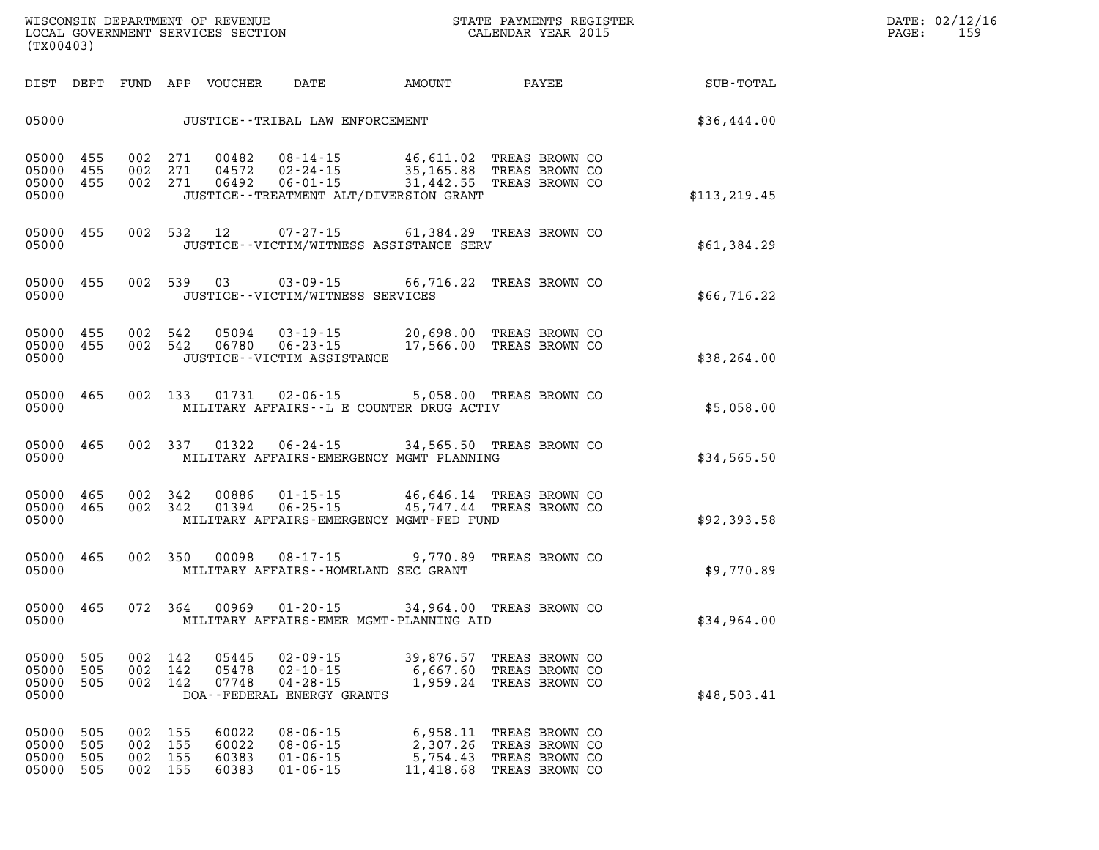| DATE: | 02/12/16 |
|-------|----------|
| PAGE: | 159      |

| WISCONSIN DEPARTMENT OF REVENUE   | STATE PAYMENTS REGISTER |
|-----------------------------------|-------------------------|
| LOCAL GOVERNMENT SERVICES SECTION | CALENDAR YEAR 2015      |

LOCAL GOVERNMENT SERVICES SECTION **(TX00403)** 

| DIST                             | DEPT                     | FUND                     | APP                      | <b>VOUCHER</b>                   | DATE                                                                             | AMOUNT                                                                         | PAYEE                                                                | SUB-TOTAL     |
|----------------------------------|--------------------------|--------------------------|--------------------------|----------------------------------|----------------------------------------------------------------------------------|--------------------------------------------------------------------------------|----------------------------------------------------------------------|---------------|
| 05000                            |                          |                          |                          |                                  | JUSTICE - - TRIBAL LAW ENFORCEMENT                                               |                                                                                |                                                                      | \$36,444.00   |
| 05000<br>05000<br>05000<br>05000 | 455<br>455<br>455        | 002<br>002<br>002        | 271<br>271<br>271        | 00482<br>04572<br>06492          | $08 - 14 - 15$<br>$02 - 24 - 15$<br>$06 - 01 - 15$                               | 46,611.02<br>35,165.88<br>31,442.55<br>JUSTICE - TREATMENT ALT/DIVERSION GRANT | TREAS BROWN CO<br>TREAS BROWN CO<br>TREAS BROWN CO                   | \$113, 219.45 |
| 05000<br>05000                   | 455                      | 002                      | 532                      | 12                               | $07 - 27 - 15$                                                                   | 61,384.29<br>JUSTICE--VICTIM/WITNESS ASSISTANCE SERV                           | TREAS BROWN CO                                                       | \$61,384.29   |
| 05000<br>05000                   | 455                      | 002                      | 539                      | 03                               | $03 - 09 - 15$<br>JUSTICE - - VICTIM/WITNESS SERVICES                            | 66,716.22                                                                      | TREAS BROWN CO                                                       | \$66,716.22   |
| 05000<br>05000<br>05000          | 455<br>455               | 002<br>002               | 542<br>542               | 05094<br>06780                   | $03 - 19 - 15$<br>$06 - 23 - 15$<br>JUSTICE - - VICTIM ASSISTANCE                | 20,698.00<br>17,566.00                                                         | TREAS BROWN CO<br>TREAS BROWN CO                                     | \$38,264.00   |
| 05000<br>05000                   | 465                      | 002                      | 133                      | 01731                            | 02-06-15                                                                         | 5,058.00<br>MILITARY AFFAIRS--L E COUNTER DRUG ACTIV                           | TREAS BROWN CO                                                       | \$5,058.00    |
| 05000<br>05000                   | 465                      | 002                      | 337                      | 01322                            | $06 - 24 - 15$                                                                   | 34,565.50<br>MILITARY AFFAIRS-EMERGENCY MGMT PLANNING                          | TREAS BROWN CO                                                       | \$34,565.50   |
| 05000<br>05000<br>05000          | 465<br>465               | 002<br>002               | 342<br>342               | 00886<br>01394                   | $01 - 15 - 15$<br>$06 - 25 - 15$                                                 | 46,646.14<br>45,747.44<br>MILITARY AFFAIRS-EMERGENCY MGMT-FED FUND             | TREAS BROWN CO<br>TREAS BROWN CO                                     | \$92,393.58   |
| 05000<br>05000                   | 465                      | 002                      | 350                      | 00098                            | $08 - 17 - 15$<br>MILITARY AFFAIRS -- HOMELAND SEC GRANT                         | 9,770.89                                                                       | TREAS BROWN CO                                                       | \$9,770.89    |
| 05000<br>05000                   | 465                      | 072                      | 364                      | 00969                            | $01 - 20 - 15$                                                                   | 34,964.00<br>MILITARY AFFAIRS-EMER MGMT-PLANNING AID                           | TREAS BROWN CO                                                       | \$34,964.00   |
| 05000<br>05000<br>05000<br>05000 | 505<br>505<br>505        | 002<br>002<br>002        | 142<br>142<br>142        | 05445<br>05478<br>07748          | $02 - 09 - 15$<br>$02 - 10 - 15$<br>$04 - 28 - 15$<br>DOA--FEDERAL ENERGY GRANTS | 39,876.57<br>6,667.60<br>1,959.24                                              | TREAS BROWN CO<br>TREAS BROWN CO<br>TREAS BROWN CO                   | \$48,503.41   |
| 05000<br>05000<br>05000<br>05000 | 505<br>505<br>505<br>505 | 002<br>002<br>002<br>002 | 155<br>155<br>155<br>155 | 60022<br>60022<br>60383<br>60383 | $08 - 06 - 15$<br>$08 - 06 - 15$<br>$01 - 06 - 15$<br>$01 - 06 - 15$             | 6,958.11<br>2,307.26<br>5,754.43<br>11,418.68                                  | TREAS BROWN CO<br>TREAS BROWN CO<br>TREAS BROWN CO<br>TREAS BROWN CO |               |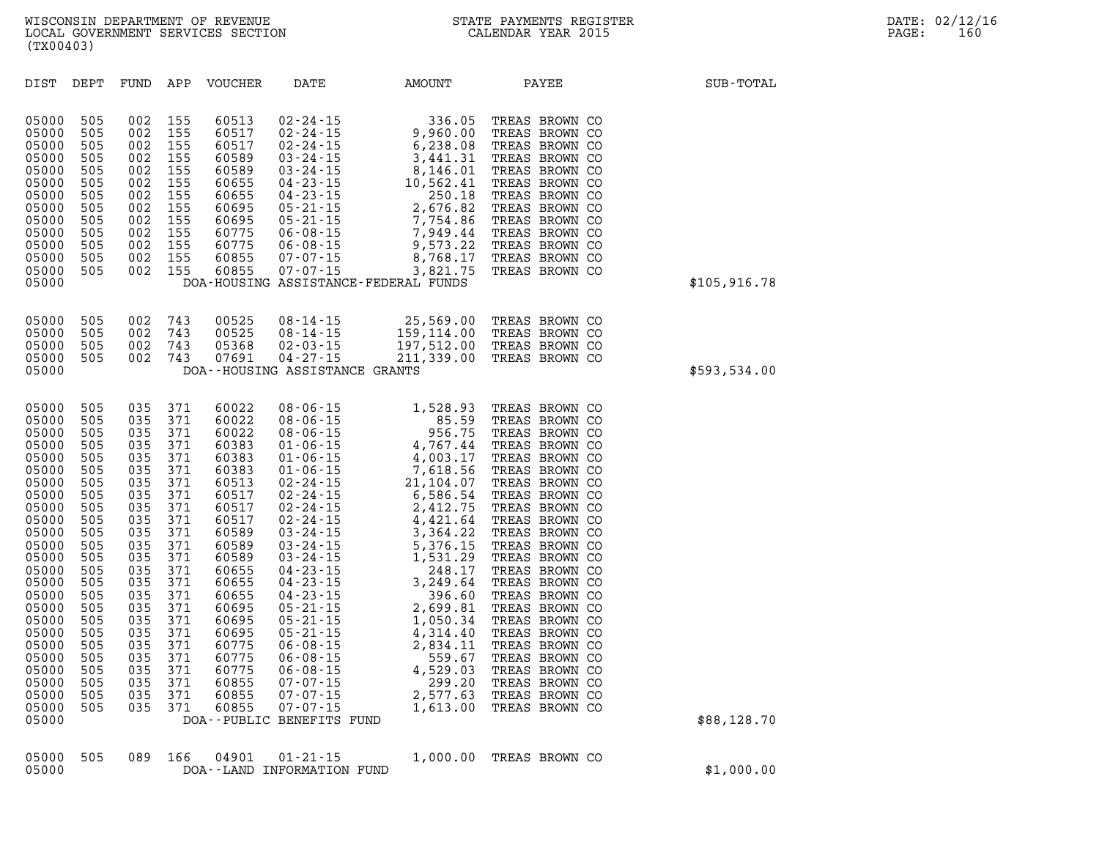| DIST                                                                                                                                                                                                                                   | DEPT                                                                                                                                                                        | FUND                                                                                                                                                                        | APP                                                                                                                                                                         | <b>VOUCHER</b>                                                                                                                                                                                                                | DATE                                                                                                                                                                                                                                                                                                                                                                                                                                                                                        | AMOUNT                                                                                                                                                                                                                                                                                       | PAYEE                                                                                                                                                                                                                                                                                                                                                                                                                                                          | SUB-TOTAL    |
|----------------------------------------------------------------------------------------------------------------------------------------------------------------------------------------------------------------------------------------|-----------------------------------------------------------------------------------------------------------------------------------------------------------------------------|-----------------------------------------------------------------------------------------------------------------------------------------------------------------------------|-----------------------------------------------------------------------------------------------------------------------------------------------------------------------------|-------------------------------------------------------------------------------------------------------------------------------------------------------------------------------------------------------------------------------|---------------------------------------------------------------------------------------------------------------------------------------------------------------------------------------------------------------------------------------------------------------------------------------------------------------------------------------------------------------------------------------------------------------------------------------------------------------------------------------------|----------------------------------------------------------------------------------------------------------------------------------------------------------------------------------------------------------------------------------------------------------------------------------------------|----------------------------------------------------------------------------------------------------------------------------------------------------------------------------------------------------------------------------------------------------------------------------------------------------------------------------------------------------------------------------------------------------------------------------------------------------------------|--------------|
| 05000<br>05000<br>05000<br>05000<br>05000<br>05000<br>05000<br>05000<br>05000<br>05000<br>05000<br>05000<br>05000<br>05000                                                                                                             | 505<br>505<br>505<br>505<br>505<br>505<br>505<br>505<br>505<br>505<br>505<br>505<br>505                                                                                     | 002<br>002<br>002<br>002<br>002<br>002<br>002<br>002<br>002<br>002<br>002<br>002<br>002                                                                                     | 155<br>155<br>155<br>155<br>155<br>155<br>155<br>155<br>155<br>155<br>155<br>155<br>155                                                                                     | 60513<br>60517<br>60517<br>60589<br>60589<br>60655<br>60655<br>60695<br>60695<br>60775<br>60775<br>60855<br>60855                                                                                                             | $02 - 24 - 15$<br>$02 - 24 - 15$<br>$02 - 24 - 15$<br>$03 - 24 - 15$<br>$03 - 24 - 15$<br>$04 - 23 - 15$<br>$04 - 23 - 15$<br>$05 - 21 - 15$<br>$05 - 21 - 15$<br>$06 - 08 - 15$<br>$06 - 08 - 15$<br>$07 - 07 - 15$<br>$07 - 07 - 15$                                                                                                                                                                                                                                                      | 336.05<br>9,960.00<br>6,238.08<br>3,441.31<br>8,146.01<br>10,562.41<br>250.18<br>2,676.82<br>7,754.86<br>7,949.44<br>9,573.22<br>8,768.17<br>3,821.75<br>DOA-HOUSING ASSISTANCE-FEDERAL FUNDS                                                                                                | TREAS BROWN CO<br>TREAS BROWN CO<br>TREAS BROWN CO<br>TREAS BROWN CO<br>TREAS BROWN CO<br>TREAS BROWN CO<br>TREAS BROWN CO<br>TREAS BROWN CO<br>TREAS BROWN CO<br>TREAS BROWN CO<br>TREAS BROWN CO<br>TREAS BROWN CO<br>TREAS BROWN CO                                                                                                                                                                                                                         | \$105,916.78 |
| 05000<br>05000<br>05000<br>05000<br>05000                                                                                                                                                                                              | 505<br>505<br>505<br>505                                                                                                                                                    | 002<br>002<br>002<br>002                                                                                                                                                    | 743<br>743<br>743<br>743                                                                                                                                                    | 00525<br>00525<br>05368<br>07691                                                                                                                                                                                              | $08 - 14 - 15$<br>$08 - 14 - 15$<br>$02 - 03 - 15$<br>$04 - 27 - 15$<br>DOA--HOUSING ASSISTANCE GRANTS                                                                                                                                                                                                                                                                                                                                                                                      | 25,569.00<br>159,114.00<br>197,512.00<br>211, 339.00                                                                                                                                                                                                                                         | TREAS BROWN CO<br>TREAS BROWN CO<br>TREAS BROWN CO<br>TREAS BROWN CO                                                                                                                                                                                                                                                                                                                                                                                           | \$593,534.00 |
| 05000<br>05000<br>05000<br>05000<br>05000<br>05000<br>05000<br>05000<br>05000<br>05000<br>05000<br>05000<br>05000<br>05000<br>05000<br>05000<br>05000<br>05000<br>05000<br>05000<br>05000<br>05000<br>05000<br>05000<br>05000<br>05000 | 505<br>505<br>505<br>505<br>505<br>505<br>505<br>505<br>505<br>505<br>505<br>505<br>505<br>505<br>505<br>505<br>505<br>505<br>505<br>505<br>505<br>505<br>505<br>505<br>505 | 035<br>035<br>035<br>035<br>035<br>035<br>035<br>035<br>035<br>035<br>035<br>035<br>035<br>035<br>035<br>035<br>035<br>035<br>035<br>035<br>035<br>035<br>035<br>035<br>035 | 371<br>371<br>371<br>371<br>371<br>371<br>371<br>371<br>371<br>371<br>371<br>371<br>371<br>371<br>371<br>371<br>371<br>371<br>371<br>371<br>371<br>371<br>371<br>371<br>371 | 60022<br>60022<br>60022<br>60383<br>60383<br>60383<br>60513<br>60517<br>60517<br>60517<br>60589<br>60589<br>60589<br>60655<br>60655<br>60655<br>60695<br>60695<br>60695<br>60775<br>60775<br>60775<br>60855<br>60855<br>60855 | $08 - 06 - 15$<br>$08 - 06 - 15$<br>$08 - 06 - 15$<br>$01 - 06 - 15$<br>$01 - 06 - 15$<br>$01 - 06 - 15$<br>$02 - 24 - 15$<br>$02 - 24 - 15$<br>$02 - 24 - 15$<br>$02 - 24 - 15$<br>$03 - 24 - 15$<br>$03 - 24 - 15$<br>$03 - 24 - 15$<br>$04 - 23 - 15$<br>$04 - 23 - 15$<br>$04 - 23 - 15$<br>$05 - 21 - 15$<br>$05 - 21 - 15$<br>$05 - 21 - 15$<br>$06 - 08 - 15$<br>$06 - 08 - 15$<br>$06 - 08 - 15$<br>$07 - 07 - 15$<br>$07 - 07 - 15$<br>$07 - 07 - 15$<br>DOA--PUBLIC BENEFITS FUND | 1,528.93<br>85.59<br>956.75<br>4,767.44<br>4,003.17<br>7,618.56<br>21,104.07<br>6,586.54<br>2,412.75<br>4,421.64<br>3,364.22<br>5,376.15<br>1,531.29<br>248.17<br>3,249.64<br>396.60<br>2,699.81<br>1,050.34<br>4,314.40<br>2,834.11<br>559.67<br>4,529.03<br>299.20<br>2,577.63<br>1,613.00 | TREAS BROWN CO<br>TREAS BROWN CO<br>TREAS BROWN CO<br>TREAS BROWN CO<br>TREAS BROWN CO<br>TREAS BROWN CO<br>TREAS BROWN CO<br>TREAS BROWN CO<br>TREAS BROWN CO<br>TREAS BROWN CO<br>TREAS BROWN CO<br>TREAS BROWN CO<br>TREAS BROWN CO<br>TREAS BROWN CO<br>TREAS BROWN CO<br>TREAS BROWN CO<br>TREAS BROWN CO<br>TREAS BROWN CO<br>TREAS BROWN CO<br>TREAS BROWN CO<br>TREAS BROWN CO<br>TREAS BROWN CO<br>TREAS BROWN CO<br>TREAS BROWN CO<br>TREAS BROWN CO | \$88,128.70  |

|       |  |  | 05000 505 089 166 04901 01-21-15 | 1,000.00 TREAS BROWN CO |            |
|-------|--|--|----------------------------------|-------------------------|------------|
| 05000 |  |  | DOA--LAND INFORMATION FUND       |                         | \$1,000.00 |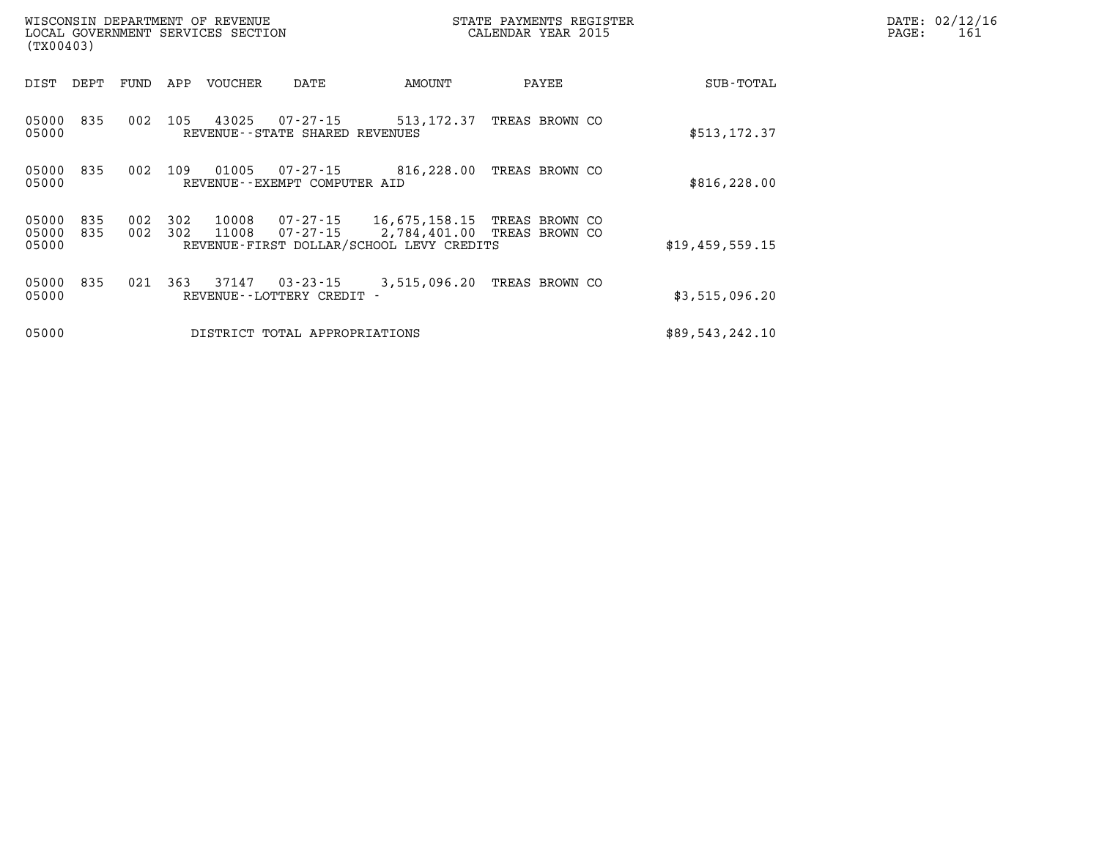| (TX00403)               |            |            |            | WISCONSIN DEPARTMENT OF REVENUE<br>LOCAL GOVERNMENT SERVICES SECTION |                                               |                                                                           | STATE PAYMENTS REGISTER<br>CALENDAR YEAR 2015 | DATE: 02/12/16<br>PAGE:<br>161 |  |
|-------------------------|------------|------------|------------|----------------------------------------------------------------------|-----------------------------------------------|---------------------------------------------------------------------------|-----------------------------------------------|--------------------------------|--|
| DIST                    | DEPT       | FUND       | APP        | VOUCHER                                                              | DATE                                          | AMOUNT                                                                    | PAYEE                                         | SUB-TOTAL                      |  |
| 05000<br>05000          | 835        | 002        | 105        | 43025                                                                | 07-27-15<br>REVENUE - - STATE SHARED REVENUES | 513,172.37                                                                | TREAS BROWN CO                                | \$513, 172.37                  |  |
| 05000<br>05000          | 835        | 002        | 109        | 01005                                                                | 07-27-15<br>REVENUE--EXEMPT COMPUTER AID      | 816,228.00                                                                | TREAS BROWN CO                                | \$816, 228.00                  |  |
| 05000<br>05000<br>05000 | 835<br>835 | 002<br>002 | 302<br>302 | 10008<br>11008                                                       | 07-27-15<br>07-27-15                          | 16,675,158.15<br>2,784,401.00<br>REVENUE-FIRST DOLLAR/SCHOOL LEVY CREDITS | TREAS BROWN CO<br>TREAS BROWN CO              | \$19,459,559.15                |  |
| 05000<br>05000          | 835        | 021        | 363        | 37147                                                                | $03 - 23 - 15$<br>REVENUE - - LOTTERY CREDIT  | 3,515,096.20                                                              | TREAS BROWN CO                                | \$3,515,096.20                 |  |
| 05000                   |            |            |            |                                                                      | DISTRICT TOTAL APPROPRIATIONS                 |                                                                           |                                               | \$89,543,242.10                |  |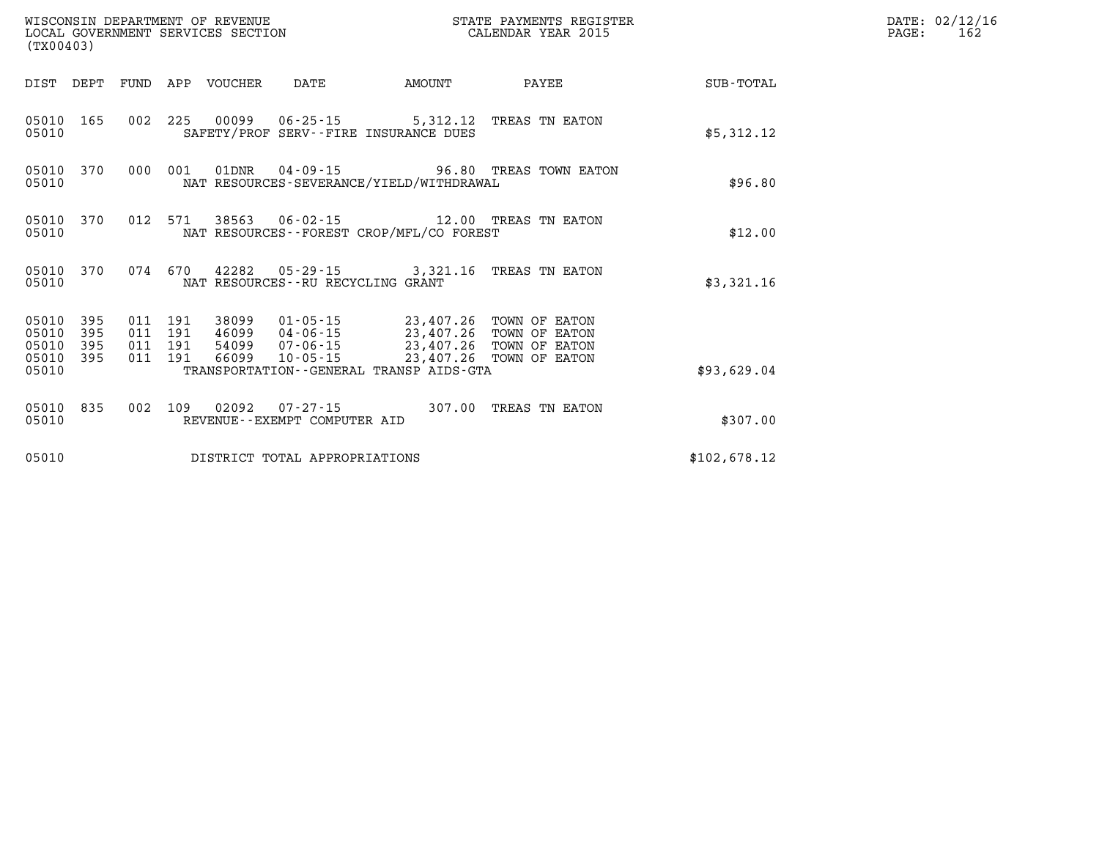| WISCONSIN DEPARTMENT OF REVENUE<br>LOCAL GOVERNMENT SERVICES SECTION<br>(TX00403)                              |                                                                                                                                                                                                                             | STATE PAYMENTS REGISTER<br>CALENDAR YEAR 2015 |              | DATE: 02/12/16<br>PAGE:<br>162 |
|----------------------------------------------------------------------------------------------------------------|-----------------------------------------------------------------------------------------------------------------------------------------------------------------------------------------------------------------------------|-----------------------------------------------|--------------|--------------------------------|
| DIST DEPT FUND APP VOUCHER                                                                                     | DATE<br><b>EXAMPLE THE PROPERTY OF AMOUNT</b>                                                                                                                                                                               | PAYEE                                         | SUB-TOTAL    |                                |
| 05010 165<br>05010                                                                                             | 002 225 00099 06-25-15 5,312.12 TREAS TN EATON<br>SAFETY/PROF SERV--FIRE INSURANCE DUES                                                                                                                                     |                                               | \$5,312.12   |                                |
| 000 001<br>05010 370<br>05010                                                                                  | 01DNR  04-09-15  96.80 TREAS TOWN EATON<br>NAT RESOURCES-SEVERANCE/YIELD/WITHDRAWAL                                                                                                                                         |                                               | \$96.80      |                                |
| 012 571<br>05010 370<br>05010                                                                                  | 38563 06-02-15 12.00 TREAS TN EATON<br>NAT RESOURCES - - FOREST CROP/MFL/CO FOREST                                                                                                                                          |                                               | \$12.00      |                                |
| 05010 370<br>05010                                                                                             | 074 670 42282 05-29-15 3,321.16 TREAS TN EATON<br>NAT RESOURCES--RU RECYCLING GRANT                                                                                                                                         |                                               | \$3,321.16   |                                |
| 011 191<br>05010<br>395<br>05010<br>395<br>011 191<br>05010<br>395<br>011 191<br>011 191<br>05010 395<br>05010 | 38099  01-05-15  23,407.26  TOWN OF EATON<br>46099  04-06-15  23,407.26  TOWN OF EATON<br>54099  07-06-15  23,407.26  TOWN OF EATON<br>66099  10-05-15  23,407.26  TOWN OF EATON<br>TRANSPORTATION--GENERAL TRANSP AIDS-GTA |                                               | \$93,629.04  |                                |
| 05010 835<br>05010                                                                                             | 002 109 02092 07-27-15 307.00 TREAS TN EATON<br>REVENUE--EXEMPT COMPUTER AID                                                                                                                                                |                                               | \$307.00     |                                |
| 05010                                                                                                          | DISTRICT TOTAL APPROPRIATIONS                                                                                                                                                                                               |                                               | \$102,678.12 |                                |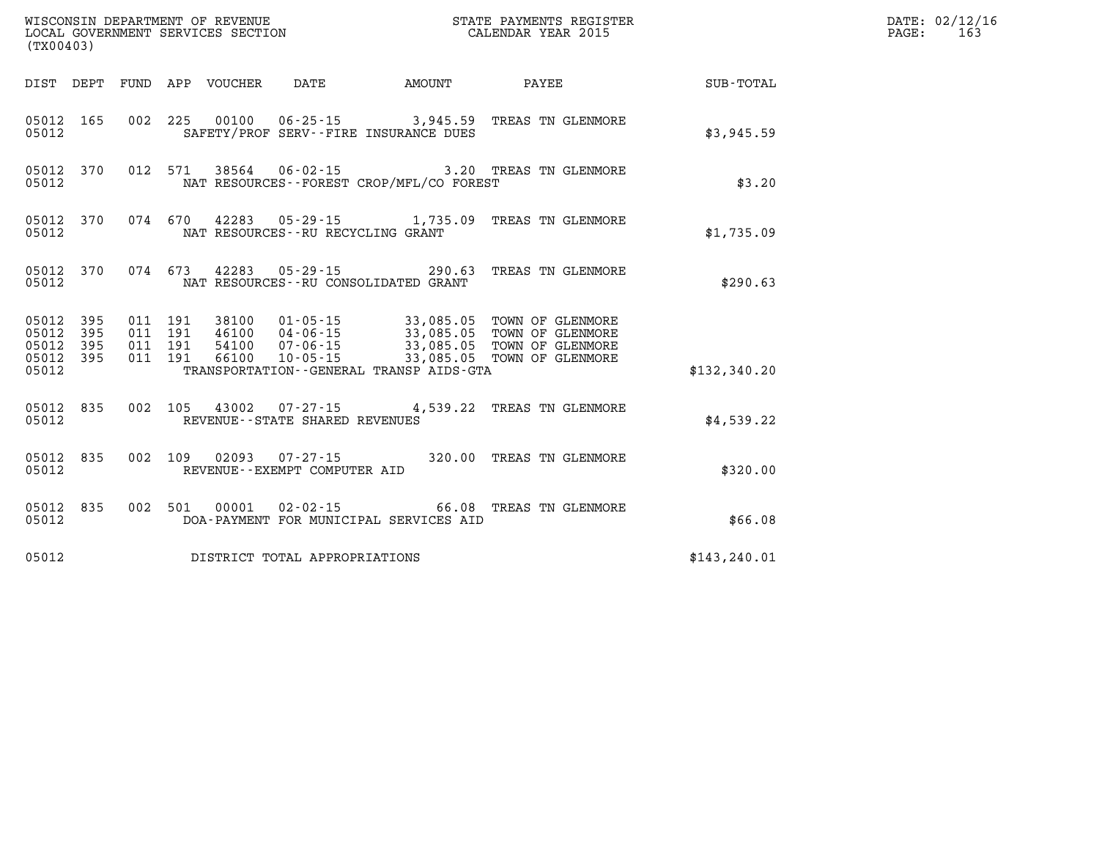| (TX00403)                       |           |                    |         |               |                                      |                                             |                                                                                                                                                                                              |               | DATE: 02/12/16<br>163<br>PAGE: |
|---------------------------------|-----------|--------------------|---------|---------------|--------------------------------------|---------------------------------------------|----------------------------------------------------------------------------------------------------------------------------------------------------------------------------------------------|---------------|--------------------------------|
|                                 |           |                    |         |               |                                      | DIST DEPT FUND APP VOUCHER DATE AMOUNT      | <b>PAYEE</b>                                                                                                                                                                                 | SUB-TOTAL     |                                |
| 05012                           | 05012 165 |                    |         |               |                                      | SAFETY/PROF SERV--FIRE INSURANCE DUES       | 002 225 00100 06-25-15 3,945.59 TREAS TN GLENMORE                                                                                                                                            | \$3,945.59    |                                |
| 05012                           | 05012 370 |                    |         |               |                                      | NAT RESOURCES - - FOREST CROP/MFL/CO FOREST | 012 571 38564 06-02-15 3.20 TREAS TN GLENMORE                                                                                                                                                | \$3.20        |                                |
| 05012                           | 05012 370 |                    |         |               | NAT RESOURCES - - RU RECYCLING GRANT |                                             | 074 670 42283 05-29-15 1,735.09 TREAS TN GLENMORE                                                                                                                                            | \$1,735.09    |                                |
| 05012                           | 05012 370 |                    | 074 673 |               |                                      | NAT RESOURCES - - RU CONSOLIDATED GRANT     | 42283  05-29-15  290.63  TREAS TN GLENMORE                                                                                                                                                   | \$290.63      |                                |
| 05012 395<br>05012 395          |           | 011 191<br>011 191 |         |               |                                      |                                             | 38100  01-05-15  33,085.05  TOWN OF GLENMORE<br>46100  04-06-15  33,085.05  TOWN OF GLENMORE<br>54100  07-06-15  33,085.05  TOWN OF GLENMORE<br>66100  10-05-15  33,085.05  TOWN OF GLENMORE |               |                                |
| 05012 395<br>05012 395<br>05012 |           | 011 191            | 011 191 |               |                                      | TRANSPORTATION--GENERAL TRANSP AIDS-GTA     |                                                                                                                                                                                              | \$132,340.20  |                                |
| 05012                           | 05012 835 | 002 105            |         |               | REVENUE - - STATE SHARED REVENUES    |                                             | 43002  07-27-15  4,539.22  TREAS TN GLENMORE                                                                                                                                                 | \$4,539.22    |                                |
| 05012                           | 05012 835 |                    |         |               | REVENUE--EXEMPT COMPUTER AID         |                                             | 002 109 02093 07-27-15 320.00 TREAS TN GLENMORE                                                                                                                                              | \$320.00      |                                |
| 05012                           | 05012 835 |                    |         | 002 501 00001 |                                      | DOA-PAYMENT FOR MUNICIPAL SERVICES AID      | 02-02-15 66.08 TREAS TN GLENMORE                                                                                                                                                             | \$66.08       |                                |
| 05012                           |           |                    |         |               | DISTRICT TOTAL APPROPRIATIONS        |                                             |                                                                                                                                                                                              | \$143, 240.01 |                                |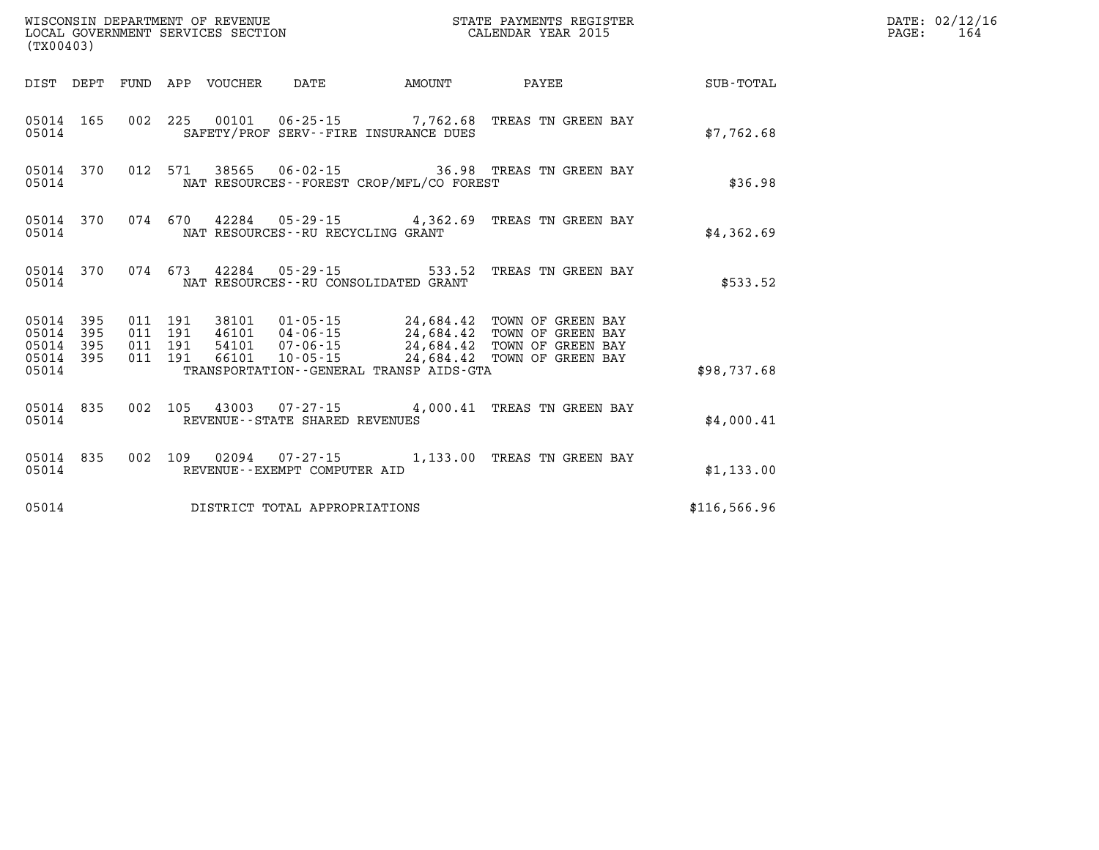| (TX00403)                                        |           |  |                                     |                                          |                                                                                                                                                                                                                                                                                                                                       |              | $\mathtt{PAGE}$ : | DATE: 02/12/16<br>164 |
|--------------------------------------------------|-----------|--|-------------------------------------|------------------------------------------|---------------------------------------------------------------------------------------------------------------------------------------------------------------------------------------------------------------------------------------------------------------------------------------------------------------------------------------|--------------|-------------------|-----------------------|
|                                                  |           |  |                                     |                                          | DIST DEPT FUND APP VOUCHER DATE     AMOUNT     PAYEE                                                                                                                                                                                                                                                                                  | SUB-TOTAL    |                   |                       |
| 05014 165<br>05014                               |           |  |                                     | SAFETY/PROF SERV--FIRE INSURANCE DUES    | 002 225 00101 06-25-15 7,762.68 TREAS TN GREEN BAY                                                                                                                                                                                                                                                                                    | \$7,762.68   |                   |                       |
| 05014 370<br>05014                               |           |  |                                     | NAT RESOURCES--FOREST CROP/MFL/CO FOREST | 012 571 38565 06-02-15 36.98 TREAS TN GREEN BAY                                                                                                                                                                                                                                                                                       | \$36.98      |                   |                       |
| 05014                                            | 05014 370 |  | NAT RESOURCES--RU RECYCLING GRANT   |                                          | 074 670 42284 05-29-15 4,362.69 TREAS TN GREEN BAY                                                                                                                                                                                                                                                                                    | \$4,362.69   |                   |                       |
| 05014                                            | 05014 370 |  |                                     | NAT RESOURCES--RU CONSOLIDATED GRANT     | 074 673 42284 05-29-15 533.52 TREAS TN GREEN BAY                                                                                                                                                                                                                                                                                      | \$533.52     |                   |                       |
| 05014 395<br>05014 395<br>05014 395<br>05014 395 |           |  |                                     |                                          | $\begin{array}{cccc} 011 & 191 & 38101 & 01\cdot 05\cdot 15 & 24\,684\,42 & \text{TOWN OF GREEN BAY} \\ 011 & 191 & 46101 & 04\cdot 06\cdot 15 & 24\,684\,42 & \text{TOWN OF GREEN BAY} \\ 011 & 191 & 54101 & 07\cdot 06\cdot 15 & 24\,684\,42 & \text{TOWN OF GREEN BAY} \\ 011 & 191 & 66101 & 10\cdot 05\cdot 15 & 24\,684\,42 &$ |              |                   |                       |
| 05014                                            |           |  |                                     | TRANSPORTATION--GENERAL TRANSP AIDS-GTA  |                                                                                                                                                                                                                                                                                                                                       | \$98,737.68  |                   |                       |
| 05014 835<br>05014                               |           |  | REVENUE--STATE SHARED REVENUES      |                                          | 002 105 43003 07-27-15 4,000.41 TREAS TN GREEN BAY                                                                                                                                                                                                                                                                                    | \$4,000.41   |                   |                       |
| 05014                                            | 05014 835 |  | REVENUE--EXEMPT COMPUTER AID        |                                          | 002 109 02094 07-27-15 1,133.00 TREAS TN GREEN BAY                                                                                                                                                                                                                                                                                    | \$1,133.00   |                   |                       |
|                                                  |           |  | 05014 DISTRICT TOTAL APPROPRIATIONS |                                          |                                                                                                                                                                                                                                                                                                                                       | \$116,566.96 |                   |                       |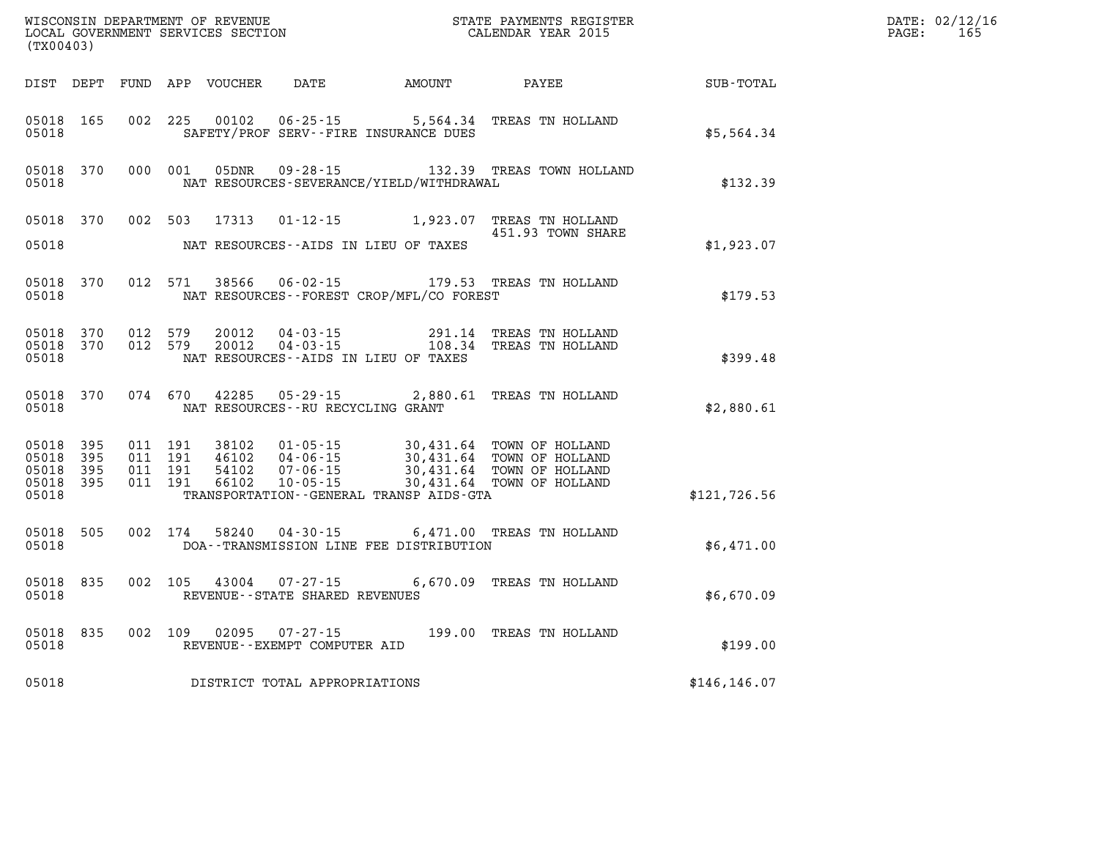| (TX00403)                                         |            |                                          |         | WISCONSIN DEPARTMENT OF REVENUE<br>LOCAL GOVERNMENT SERVICES SECTION |                                                                |                                                                         | STATE PAYMENTS REGISTER<br>CALENDAR YEAR 2015                                                                    |               | DATE: 02/12/16<br>PAGE:<br>165 |
|---------------------------------------------------|------------|------------------------------------------|---------|----------------------------------------------------------------------|----------------------------------------------------------------|-------------------------------------------------------------------------|------------------------------------------------------------------------------------------------------------------|---------------|--------------------------------|
|                                                   |            |                                          |         | DIST DEPT FUND APP VOUCHER                                           |                                                                | DATE AMOUNT                                                             | PAYEE                                                                                                            | SUB-TOTAL     |                                |
| 05018 165<br>05018                                |            | 002 225                                  |         | 00102                                                                | $06 - 25 - 15$                                                 | SAFETY/PROF SERV--FIRE INSURANCE DUES                                   | 5,564.34 TREAS TN HOLLAND                                                                                        | \$5,564.34    |                                |
| 05018 370<br>05018                                |            |                                          | 000 001 | 05DNR                                                                |                                                                | NAT RESOURCES-SEVERANCE/YIELD/WITHDRAWAL                                | 09-28-15 132.39 TREAS TOWN HOLLAND                                                                               | \$132.39      |                                |
| 05018 370<br>05018                                |            | 002 503                                  |         | 17313                                                                |                                                                | $01 - 12 - 15$ 1,923.07<br>NAT RESOURCES -- AIDS IN LIEU OF TAXES       | TREAS TN HOLLAND<br>451.93 TOWN SHARE                                                                            | \$1,923.07    |                                |
| 05018 370<br>05018                                |            |                                          | 012 571 | 38566                                                                | 06-02-15                                                       | NAT RESOURCES - - FOREST CROP/MFL/CO FOREST                             | 179.53 TREAS TN HOLLAND                                                                                          | \$179.53      |                                |
| 05018 370<br>05018 370<br>05018                   |            | 012 579<br>012 579                       |         | 20012<br>20012                                                       | 04-03-15                                                       | 291.14<br>$04 - 03 - 15$ 108.34<br>NAT RESOURCES--AIDS IN LIEU OF TAXES | TREAS TN HOLLAND<br>TREAS TN HOLLAND                                                                             | \$399.48      |                                |
| 05018 370<br>05018                                |            |                                          |         | 074 670 42285                                                        | $05 - 29 - 15$<br>NAT RESOURCES - - RU RECYCLING GRANT         |                                                                         | 2,880.61 TREAS TN HOLLAND                                                                                        | \$2,880.61    |                                |
| 05018 395<br>05018<br>05018<br>05018 395<br>05018 | 395<br>395 | 011 191<br>011 191<br>011 191<br>011 191 |         | 38102<br>46102<br>54102<br>66102                                     | $01 - 05 - 15$<br>04-06-15<br>$07 - 06 - 15$<br>$10 - 05 - 15$ | TRANSPORTATION - - GENERAL TRANSP AIDS - GTA                            | 30,431.64 TOWN OF HOLLAND<br>30,431.64 TOWN OF HOLLAND<br>30,431.64 TOWN OF HOLLAND<br>30,431.64 TOWN OF HOLLAND | \$121,726.56  |                                |
| 05018 505<br>05018                                |            |                                          | 002 174 |                                                                      | 58240 04-30-15                                                 | DOA--TRANSMISSION LINE FEE DISTRIBUTION                                 | 6,471.00 TREAS TN HOLLAND                                                                                        | \$6,471.00    |                                |
| 05018 835<br>05018                                |            | 002 105                                  |         | 43004                                                                | $07 - 27 - 15$<br>REVENUE - - STATE SHARED REVENUES            |                                                                         | 6,670.09 TREAS TN HOLLAND                                                                                        | \$6,670.09    |                                |
| 05018 835<br>05018                                |            |                                          | 002 109 | 02095                                                                | $07 - 27 - 15$<br>REVENUE--EXEMPT COMPUTER AID                 |                                                                         | 199.00 TREAS TN HOLLAND                                                                                          | \$199.00      |                                |
| 05018                                             |            |                                          |         |                                                                      | DISTRICT TOTAL APPROPRIATIONS                                  |                                                                         |                                                                                                                  | \$146, 146.07 |                                |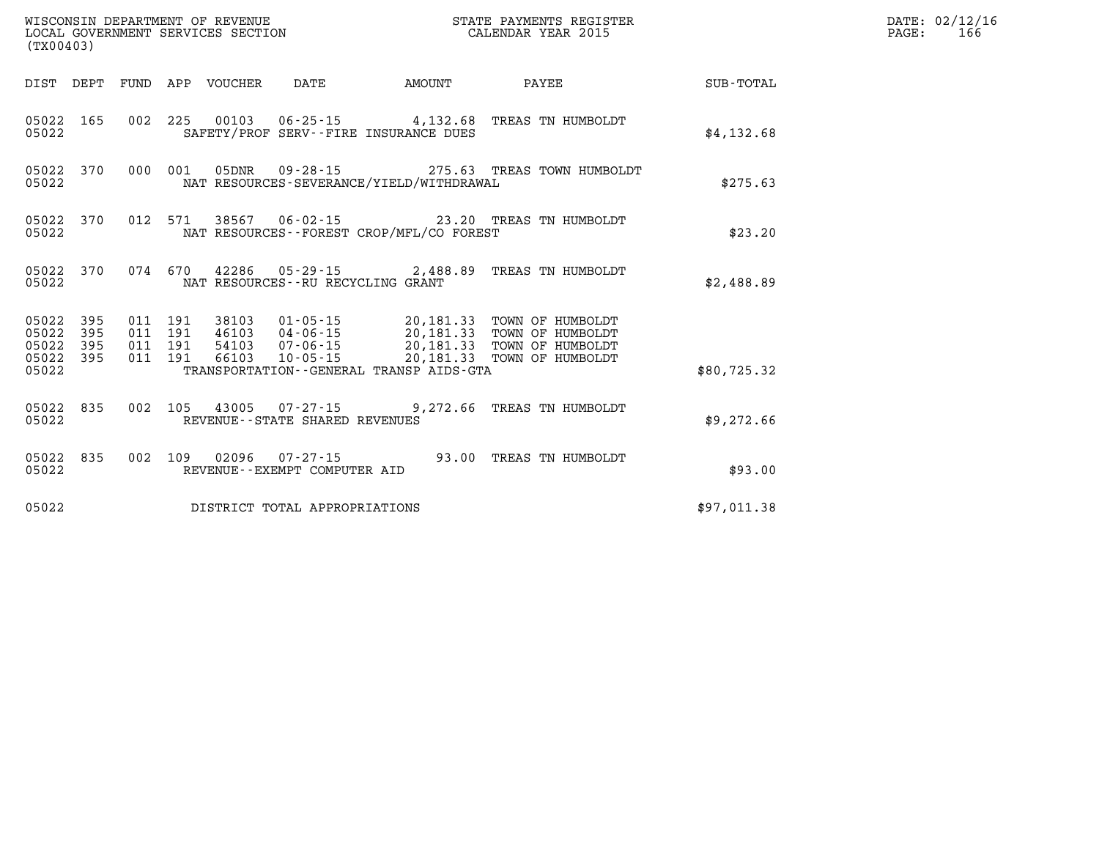| (TX00403)                   |                         |  |                                 |                                   |                                          |                                                                                                                                                                                                                                                                                                                                       |             | DATE: 02/12/16<br>PAGE:<br>166 |
|-----------------------------|-------------------------|--|---------------------------------|-----------------------------------|------------------------------------------|---------------------------------------------------------------------------------------------------------------------------------------------------------------------------------------------------------------------------------------------------------------------------------------------------------------------------------------|-------------|--------------------------------|
|                             |                         |  | DIST DEPT FUND APP VOUCHER DATE |                                   | <b>AMOUNT</b>                            | <b>PAYEE</b>                                                                                                                                                                                                                                                                                                                          | SUB-TOTAL   |                                |
| 05022 165<br>05022          |                         |  |                                 |                                   | SAFETY/PROF SERV--FIRE INSURANCE DUES    | 002 225 00103 06-25-15 4,132.68 TREAS TN HUMBOLDT                                                                                                                                                                                                                                                                                     | \$4,132.68  |                                |
| 05022                       |                         |  |                                 |                                   | NAT RESOURCES-SEVERANCE/YIELD/WITHDRAWAL | 05022 370 000 001 05DNR 09-28-15 275.63 TREAS TOWN HUMBOLDT                                                                                                                                                                                                                                                                           | \$275.63    |                                |
| 05022                       |                         |  |                                 |                                   | NAT RESOURCES--FOREST CROP/MFL/CO FOREST | 05022 370 012 571 38567 06-02-15 23.20 TREAS TN HUMBOLDT                                                                                                                                                                                                                                                                              | \$23.20     |                                |
| 05022                       |                         |  |                                 | NAT RESOURCES--RU RECYCLING GRANT |                                          | 05022 370 074 670 42286 05-29-15 2,488.89 TREAS TN HUMBOLDT                                                                                                                                                                                                                                                                           | \$2,488.89  |                                |
| 05022 395<br>05022<br>05022 | 395<br>395<br>05022 395 |  |                                 |                                   |                                          | $\begin{array}{cccc} 011 & 191 & 38103 & 01\cdot 05\cdot 15 & 20,181.33 & \textrm{TOWN OF HUMBOLDT} \\ 011 & 191 & 46103 & 04\cdot 06\cdot 15 & 20,181.33 & \textrm{TOWN OF HUMBOLDT} \\ 011 & 191 & 54103 & 07\cdot 06\cdot 15 & 20,181.33 & \textrm{TOWN OF HUMBOLDT} \\ 011 & 191 & 66103 & 10\cdot 05\cdot 15 & 20,181.33 & \tex$ |             |                                |
| 05022                       |                         |  |                                 |                                   | TRANSPORTATION--GENERAL TRANSP AIDS-GTA  |                                                                                                                                                                                                                                                                                                                                       | \$80,725.32 |                                |
| 05022                       | 05022 835               |  |                                 | REVENUE--STATE SHARED REVENUES    |                                          | 002 105 43005 07-27-15 9,272.66 TREAS TN HUMBOLDT                                                                                                                                                                                                                                                                                     | \$9,272.66  |                                |
| 05022 835<br>05022          |                         |  |                                 | REVENUE--EXEMPT COMPUTER AID      |                                          | 002 109 02096 07-27-15 93.00 TREAS TN HUMBOLDT                                                                                                                                                                                                                                                                                        | \$93.00     |                                |
| 05022                       |                         |  |                                 | DISTRICT TOTAL APPROPRIATIONS     |                                          |                                                                                                                                                                                                                                                                                                                                       | \$97,011.38 |                                |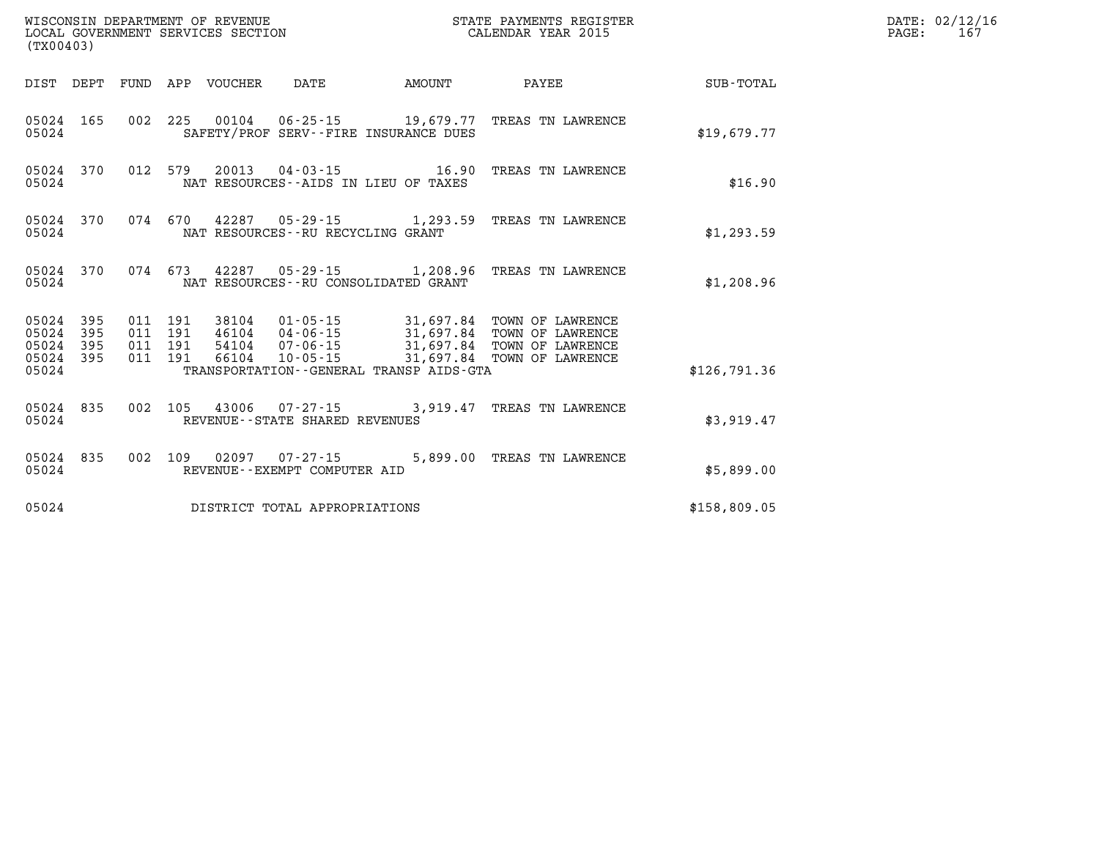| (TX00403)      |                                      |                                          |                            |                                                        |                                              | STATE PAYMENTS REGISTER                                                                                                                                                                      |              | DATE: 02/12/16<br>PAGE:<br>167 |
|----------------|--------------------------------------|------------------------------------------|----------------------------|--------------------------------------------------------|----------------------------------------------|----------------------------------------------------------------------------------------------------------------------------------------------------------------------------------------------|--------------|--------------------------------|
|                |                                      |                                          | DIST DEPT FUND APP VOUCHER | DATE                                                   | <b>AMOUNT</b>                                | <b>PAYEE</b> PAYEE                                                                                                                                                                           | SUB-TOTAL    |                                |
| 05024          | 05024 165                            |                                          |                            |                                                        | SAFETY/PROF SERV--FIRE INSURANCE DUES        | 002 225 00104 06-25-15 19,679.77 TREAS TN LAWRENCE                                                                                                                                           | \$19,679.77  |                                |
| 05024          | 05024 370                            |                                          |                            |                                                        | NAT RESOURCES -- AIDS IN LIEU OF TAXES       | 012 579 20013 04-03-15 16.90 TREAS TN LAWRENCE                                                                                                                                               | \$16.90      |                                |
| 05024          | 05024 370                            |                                          |                            | NAT RESOURCES - - RU RECYCLING GRANT                   |                                              | 074 670 42287 05-29-15 1,293.59 TREAS TN LAWRENCE                                                                                                                                            | \$1,293.59   |                                |
| 05024          | 05024 370                            |                                          |                            |                                                        | NAT RESOURCES--RU CONSOLIDATED GRANT         | 074 673 42287 05-29-15 1,208.96 TREAS TN LAWRENCE                                                                                                                                            | \$1,208.96   |                                |
| 05024<br>05024 | 05024 395<br>395<br>395<br>05024 395 | 011 191<br>011 191<br>011 191<br>011 191 |                            |                                                        |                                              | 38104  01-05-15  31,697.84  TOWN OF LAWRENCE<br>46104  04-06-15  31,697.84  TOWN OF LAWRENCE<br>54104  07-06-15  31,697.84  TOWN OF LAWRENCE<br>66104  10-05-15  31,697.84  TOWN OF LAWRENCE |              |                                |
| 05024          |                                      |                                          |                            |                                                        | TRANSPORTATION - - GENERAL TRANSP AIDS - GTA |                                                                                                                                                                                              | \$126,791.36 |                                |
| 05024          | 05024 835                            |                                          |                            | REVENUE - - STATE SHARED REVENUES                      |                                              | 002 105 43006 07-27-15 3,919.47 TREAS TN LAWRENCE                                                                                                                                            | \$3,919.47   |                                |
| 05024          | 05024 835                            |                                          |                            | 002 109 02097 07-27-15<br>REVENUE--EXEMPT COMPUTER AID |                                              | 5,899.00 TREAS TN LAWRENCE                                                                                                                                                                   | \$5,899.00   |                                |
| 05024          |                                      |                                          |                            | DISTRICT TOTAL APPROPRIATIONS                          |                                              |                                                                                                                                                                                              | \$158,809.05 |                                |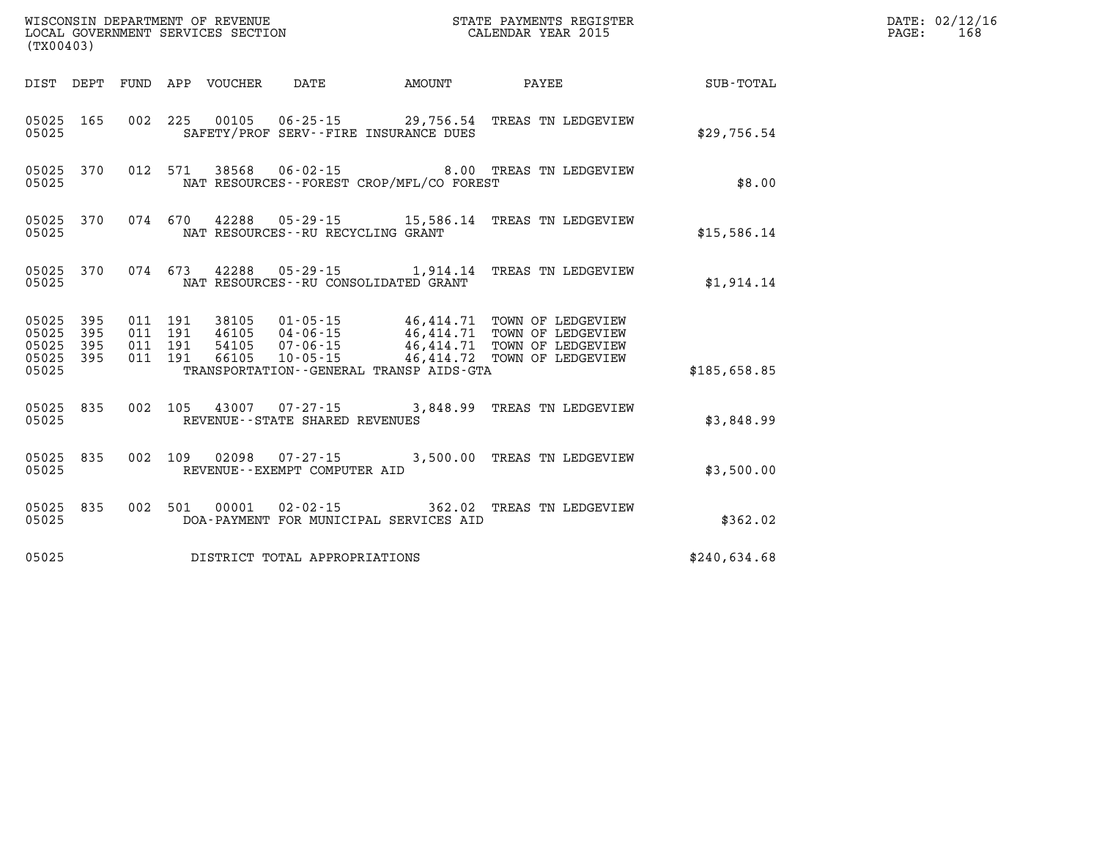| WISCONSIN DEPARTMENT OF REVENUE<br>LOCAL GOVERNMENT SERVICES SECTION<br>(TYO0403)<br>(TX00403) |                  |  |  |  |                                        |                                          | STATE PAYMENTS REGISTER<br>CALENDAR YEAR 2015                 |                      | DATE: 02/12/16<br>168<br>PAGE: |
|------------------------------------------------------------------------------------------------|------------------|--|--|--|----------------------------------------|------------------------------------------|---------------------------------------------------------------|----------------------|--------------------------------|
|                                                                                                |                  |  |  |  | DIST DEPT FUND APP VOUCHER DATE AMOUNT |                                          | <b>PAYEE</b>                                                  | $\texttt{SUB-TOTAL}$ |                                |
| 05025                                                                                          | 05025 165        |  |  |  | SAFETY/PROF SERV--FIRE INSURANCE DUES  |                                          | 002 225 00105 06-25-15 29,756.54 TREAS TN LEDGEVIEW           | \$29,756.54          |                                |
| 05025                                                                                          |                  |  |  |  |                                        | NAT RESOURCES--FOREST CROP/MFL/CO FOREST | 05025 370 012 571 38568 06-02-15 8.00 TREAS TN LEDGEVIEW      | \$8.00               |                                |
| 05025                                                                                          |                  |  |  |  | NAT RESOURCES -- RU RECYCLING GRANT    |                                          | 05025 370 074 670 42288 05-29-15 15,586.14 TREAS TN LEDGEVIEW | \$15,586.14          |                                |
| 05025                                                                                          |                  |  |  |  | NAT RESOURCES -- RU CONSOLIDATED GRANT |                                          | 05025 370 074 673 42288 05-29-15 1,914.14 TREAS TN LEDGEVIEW  | \$1,914.14           |                                |
| 05025 395<br>05025<br>05025 395                                                                | 395<br>05025 395 |  |  |  |                                        |                                          |                                                               |                      |                                |
| 05025                                                                                          |                  |  |  |  |                                        | TRANSPORTATION--GENERAL TRANSP AIDS-GTA  |                                                               | \$185,658.85         |                                |
| 05025                                                                                          |                  |  |  |  | REVENUE - - STATE SHARED REVENUES      |                                          | 05025 835 002 105 43007 07-27-15 3,848.99 TREAS TN LEDGEVIEW  | \$3,848.99           |                                |
| 05025                                                                                          | 05025 835        |  |  |  | REVENUE--EXEMPT COMPUTER AID           |                                          | 002 109 02098 07-27-15 3,500.00 TREAS TN LEDGEVIEW            | \$3,500.00           |                                |
| 05025                                                                                          | 05025 835        |  |  |  |                                        | DOA-PAYMENT FOR MUNICIPAL SERVICES AID   | 002 501 00001 02-02-15 362.02 TREAS TN LEDGEVIEW              | \$362.02             |                                |
| 05025                                                                                          |                  |  |  |  | DISTRICT TOTAL APPROPRIATIONS          |                                          |                                                               | \$240,634.68         |                                |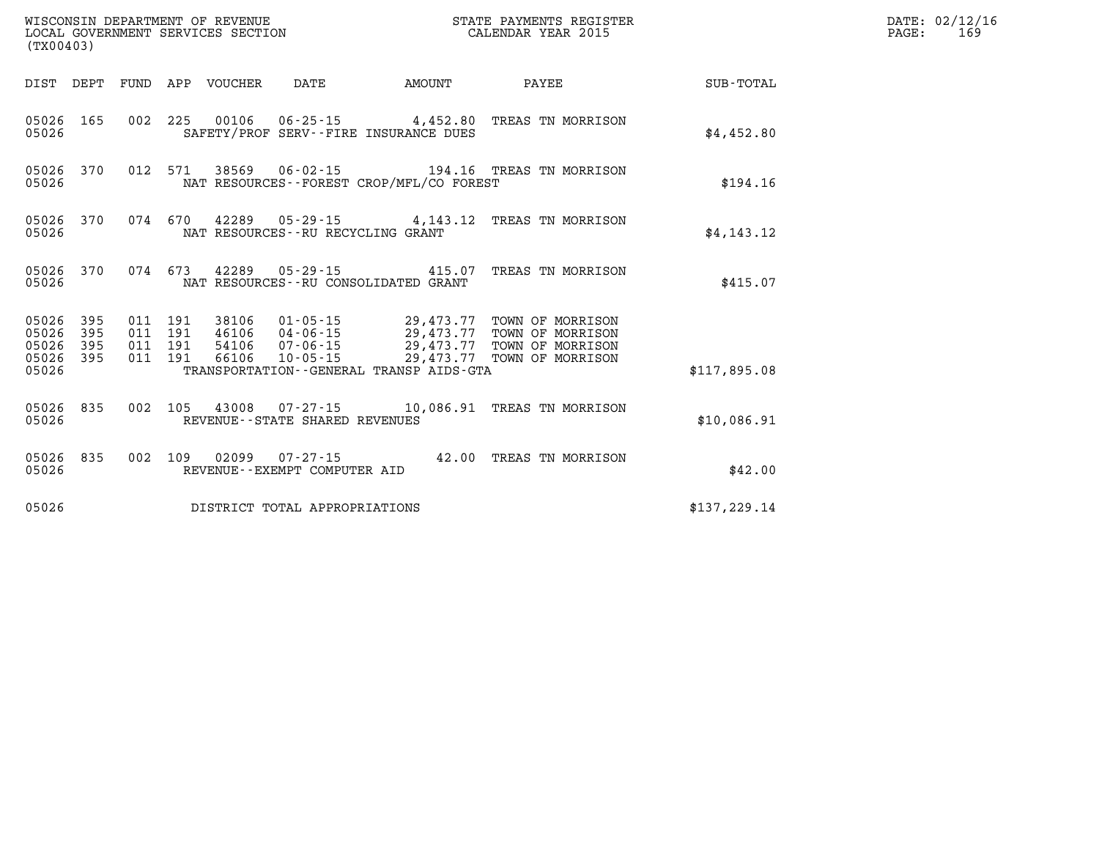| (TX00403)                                 |                          |                          |                          | WISCONSIN DEPARTMENT OF REVENUE<br>LOCAL GOVERNMENT SERVICES SECTION |                                                          | STATE PAYMENTS REGISTER<br>CALENDAR YEAR 2015                                  |                                                                                        |                  |
|-------------------------------------------|--------------------------|--------------------------|--------------------------|----------------------------------------------------------------------|----------------------------------------------------------|--------------------------------------------------------------------------------|----------------------------------------------------------------------------------------|------------------|
| DIST                                      | DEPT                     | FUND                     | APP                      | VOUCHER                                                              | DATE                                                     | AMOUNT                                                                         | PAYEE                                                                                  | <b>SUB-TOTAL</b> |
| 05026<br>05026                            | 165                      | 002                      | 225                      |                                                                      |                                                          | SAFETY/PROF SERV--FIRE INSURANCE DUES                                          | 00106  06-25-15  4,452.80  TREAS TN MORRISON                                           | \$4,452.80       |
| 05026<br>05026                            | 370                      | 012                      | 571                      | 38569                                                                |                                                          | NAT RESOURCES - - FOREST CROP/MFL/CO FOREST                                    | 06-02-15 194.16 TREAS TN MORRISON                                                      | \$194.16         |
| 05026<br>05026                            | 370                      | 074 670                  |                          |                                                                      | NAT RESOURCES - - RU RECYCLING GRANT                     |                                                                                | 42289  05-29-15  4, 143.12  TREAS TN MORRISON                                          | \$4,143.12       |
| 05026<br>05026                            | 370                      | 074 673                  |                          | 42289                                                                | NAT RESOURCES - - RU CONSOLIDATED GRANT                  | 05-29-15 415.07                                                                | TREAS TN MORRISON                                                                      | \$415.07         |
| 05026<br>05026<br>05026<br>05026<br>05026 | 395<br>395<br>395<br>395 | 011<br>011<br>011<br>011 | 191<br>191<br>191<br>191 | 38106<br>46106<br>54106<br>66106                                     | 01-05-15<br>$04 - 06 - 15$<br>$07 - 06 - 15$<br>10-05-15 | 29,473.77<br>29,473.77<br>29,473.77<br>TRANSPORTATION--GENERAL TRANSP AIDS-GTA | TOWN OF MORRISON<br>TOWN OF MORRISON<br>29,473.77 TOWN OF MORRISON<br>TOWN OF MORRISON | \$117,895.08     |
| 05026<br>05026                            | 835                      | 002                      | 105                      | 43008                                                                | REVENUE - - STATE SHARED REVENUES                        |                                                                                | 07-27-15 10,086.91 TREAS TN MORRISON                                                   | \$10,086.91      |
| 05026<br>05026                            | 835                      | 002                      | 109                      | 02099                                                                | REVENUE--EXEMPT COMPUTER AID                             | $07 - 27 - 15$ 42.00                                                           | TREAS TN MORRISON                                                                      | \$42.00          |
| 05026                                     |                          |                          |                          |                                                                      | DISTRICT TOTAL APPROPRIATIONS                            |                                                                                |                                                                                        | \$137, 229.14    |

**DATE: 02/12/16<br>PAGE: 169**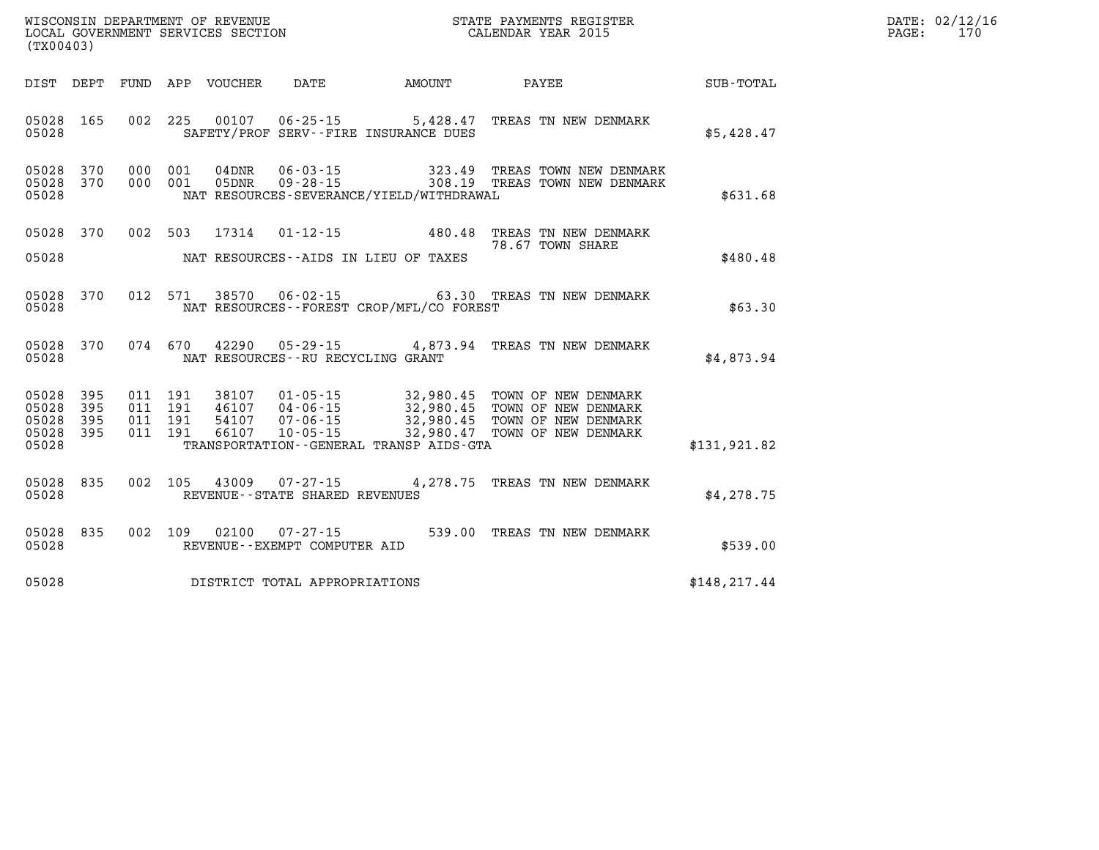| WISCONSIN DEPARTMENT OF REVENUE<br>LOCAL GOVERNMENT SERVICES SECTION<br>(TYO0402)<br>(TX00403) |     |  |  |  |                                     |                                          | STATE PAYMENTS REGISTER<br>CALENDAR YEAR 2015                                                                                                                                                                                                                                                                                                                    |               | DATE: 02/12/16<br>$\mathtt{PAGE:}$<br>170 |
|------------------------------------------------------------------------------------------------|-----|--|--|--|-------------------------------------|------------------------------------------|------------------------------------------------------------------------------------------------------------------------------------------------------------------------------------------------------------------------------------------------------------------------------------------------------------------------------------------------------------------|---------------|-------------------------------------------|
|                                                                                                |     |  |  |  |                                     | DIST DEPT FUND APP VOUCHER DATE AMOUNT   | PAYEE SUB-TOTAL                                                                                                                                                                                                                                                                                                                                                  |               |                                           |
| 05028 165<br>05028                                                                             |     |  |  |  |                                     | SAFETY/PROF SERV--FIRE INSURANCE DUES    | 002 225 00107 06-25-15 5,428.47 TREAS TN NEW DENMARK                                                                                                                                                                                                                                                                                                             | \$5,428.47    |                                           |
| 05028 370<br>05028 370<br>05028                                                                |     |  |  |  |                                     | NAT RESOURCES-SEVERANCE/YIELD/WITHDRAWAL | 000 001 04DNR 06-03-15 323.49 TREAS TOWN NEW DENMARK 000 001 05DNR 09-28-15 308.19 TREAS TOWN NEW DENMARK                                                                                                                                                                                                                                                        | \$631.68      |                                           |
| 05028 370<br>05028                                                                             |     |  |  |  |                                     | NAT RESOURCES--AIDS IN LIEU OF TAXES     | 002 503 17314 01-12-15 480.48 TREAS TN NEW DENMARK<br>78.67 TOWN SHARE                                                                                                                                                                                                                                                                                           | \$480.48      |                                           |
| 05028 370<br>05028                                                                             |     |  |  |  |                                     | NAT RESOURCES--FOREST CROP/MFL/CO FOREST | 012 571 38570 06-02-15 63.30 TREAS TN NEW DENMARK                                                                                                                                                                                                                                                                                                                | \$63.30       |                                           |
| 05028 370<br>05028                                                                             |     |  |  |  | NAT RESOURCES -- RU RECYCLING GRANT |                                          | 074 670 42290 05-29-15 4,873.94 TREAS TN NEW DENMARK                                                                                                                                                                                                                                                                                                             | \$4,873.94    |                                           |
| 05028 395<br>05028<br>05028 395<br>05028 395<br>05028                                          | 395 |  |  |  |                                     | TRANSPORTATION--GENERAL TRANSP AIDS-GTA  | $\begin{array}{cccc} 011 & 191 & 38107 & 01\cdot 05\cdot 15 & 32,980.45 & \text{TOWN OF NEW DENNARK} \\ 011 & 191 & 46107 & 04\cdot 06\cdot 15 & 32,980.45 & \text{TOWN OF NEW DENNARK} \\ 011 & 191 & 54107 & 07\cdot 06\cdot 15 & 32,980.45 & \text{TOWN OF NEW DENNARK} \\ 011 & 191 & 66107 & 10\cdot 05\cdot 15 & 32,980.47 & \text{TOWN OF NEW DENNARK} \$ | \$131,921.82  |                                           |
| 05028 835<br>05028                                                                             |     |  |  |  | REVENUE--STATE SHARED REVENUES      |                                          | 002 105 43009 07-27-15 4,278.75 TREAS TN NEW DENMARK                                                                                                                                                                                                                                                                                                             | \$4,278.75    |                                           |
| 05028<br>05028                                                                                 | 835 |  |  |  |                                     |                                          | 002   109   02100   07-27-15   539.00 TREAS TN NEW DENMARK   REVENUE--EXEMPT COMPUTER AID                                                                                                                                                                                                                                                                        | \$539.00      |                                           |
| 05028                                                                                          |     |  |  |  | DISTRICT TOTAL APPROPRIATIONS       |                                          |                                                                                                                                                                                                                                                                                                                                                                  | \$148, 217.44 |                                           |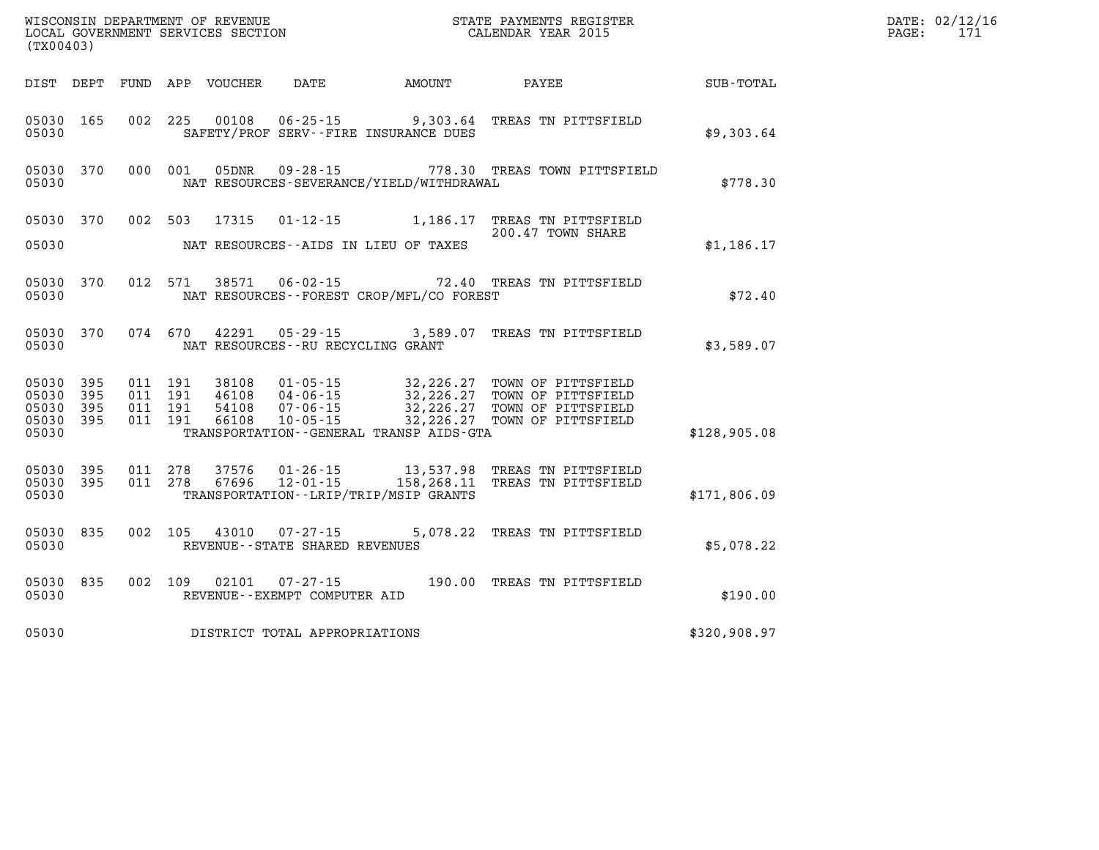| (TX00403)                                     |                   |                                          | WISCONSIN DEPARTMENT OF REVENUE<br>LOCAL GOVERNMENT SERVICES SECTION |                                                  |                                            | STATE PAYMENTS REGISTER<br>CALENDAR YEAR 2015                                                                                                                                                    |              | DATE: 02/12/16<br>171<br>$\mathtt{PAGE:}$ |
|-----------------------------------------------|-------------------|------------------------------------------|----------------------------------------------------------------------|--------------------------------------------------|--------------------------------------------|--------------------------------------------------------------------------------------------------------------------------------------------------------------------------------------------------|--------------|-------------------------------------------|
|                                               |                   |                                          | DIST DEPT FUND APP VOUCHER                                           | DATE                                             | AMOUNT                                     | PAYEE                                                                                                                                                                                            | SUB-TOTAL    |                                           |
| 05030 165<br>05030                            |                   |                                          |                                                                      |                                                  | SAFETY/PROF SERV--FIRE INSURANCE DUES      | 002 225 00108 06-25-15 9,303.64 TREAS TN PITTSFIELD                                                                                                                                              | \$9,303.64   |                                           |
| 05030 370<br>05030                            |                   | 000 001                                  | 05DNR                                                                |                                                  | NAT RESOURCES-SEVERANCE/YIELD/WITHDRAWAL   | 09-28-15 778.30 TREAS TOWN PITTSFIELD                                                                                                                                                            | \$778.30     |                                           |
| 05030 370                                     |                   |                                          | 002 503 17315                                                        |                                                  |                                            | 01-12-15 1,186.17 TREAS TN PITTSFIELD<br>200.47 TOWN SHARE                                                                                                                                       |              |                                           |
| 05030                                         |                   |                                          |                                                                      |                                                  | NAT RESOURCES -- AIDS IN LIEU OF TAXES     |                                                                                                                                                                                                  | \$1,186.17   |                                           |
| 05030                                         | 05030 370         |                                          |                                                                      | 012 571 38571 06-02-15                           | NAT RESOURCES--FOREST CROP/MFL/CO FOREST   | 72.40 TREAS TN PITTSFIELD                                                                                                                                                                        | \$72.40      |                                           |
| 05030                                         | 05030 370         |                                          | 074 670 42291                                                        | NAT RESOURCES--RU RECYCLING GRANT                |                                            | 05-29-15 3,589.07 TREAS TN PITTSFIELD                                                                                                                                                            | \$3,589.07   |                                           |
| 05030 395<br>05030<br>05030<br>05030<br>05030 | 395<br>395<br>395 | 011 191<br>011 191<br>011 191<br>011 191 | 38108<br>46108                                                       | 01-05-15<br>04-06-15                             | TRANSPORTATION - - GENERAL TRANSP AIDS-GTA | 32,226.27 TOWN OF PITTSFIELD<br>32,226.27 TOWN OF PITTSFIELD<br>32,226.27 TOWN OF PITTSFIELD<br>54108  07-06-15  32,226.27  TOWN OF PITTSFIELD<br>66108  10-05-15  32,226.27  TOWN OF PITTSFIELD | \$128,905.08 |                                           |
| 05030<br>05030<br>05030                       | 395<br>- 395      | 011 278<br>011 278                       | 37576<br>67696                                                       |                                                  | TRANSPORTATION - - LRIP/TRIP/MSIP GRANTS   | 01-26-15 13,537.98 TREAS TN PITTSFIELD<br>12-01-15 158,268.11 TREAS TN PITTSFIELD                                                                                                                | \$171,806.09 |                                           |
| 05030 835<br>05030                            |                   | 002 105                                  |                                                                      | 43010 07-27-15<br>REVENUE--STATE SHARED REVENUES |                                            | 5,078.22 TREAS TN PITTSFIELD                                                                                                                                                                     | \$5,078.22   |                                           |
| 05030 835<br>05030                            |                   | 002 109                                  | 02101                                                                | REVENUE--EXEMPT COMPUTER AID                     |                                            | 07-27-15 190.00 TREAS TN PITTSFIELD                                                                                                                                                              | \$190.00     |                                           |
| 05030                                         |                   |                                          |                                                                      | DISTRICT TOTAL APPROPRIATIONS                    |                                            |                                                                                                                                                                                                  | \$320,908.97 |                                           |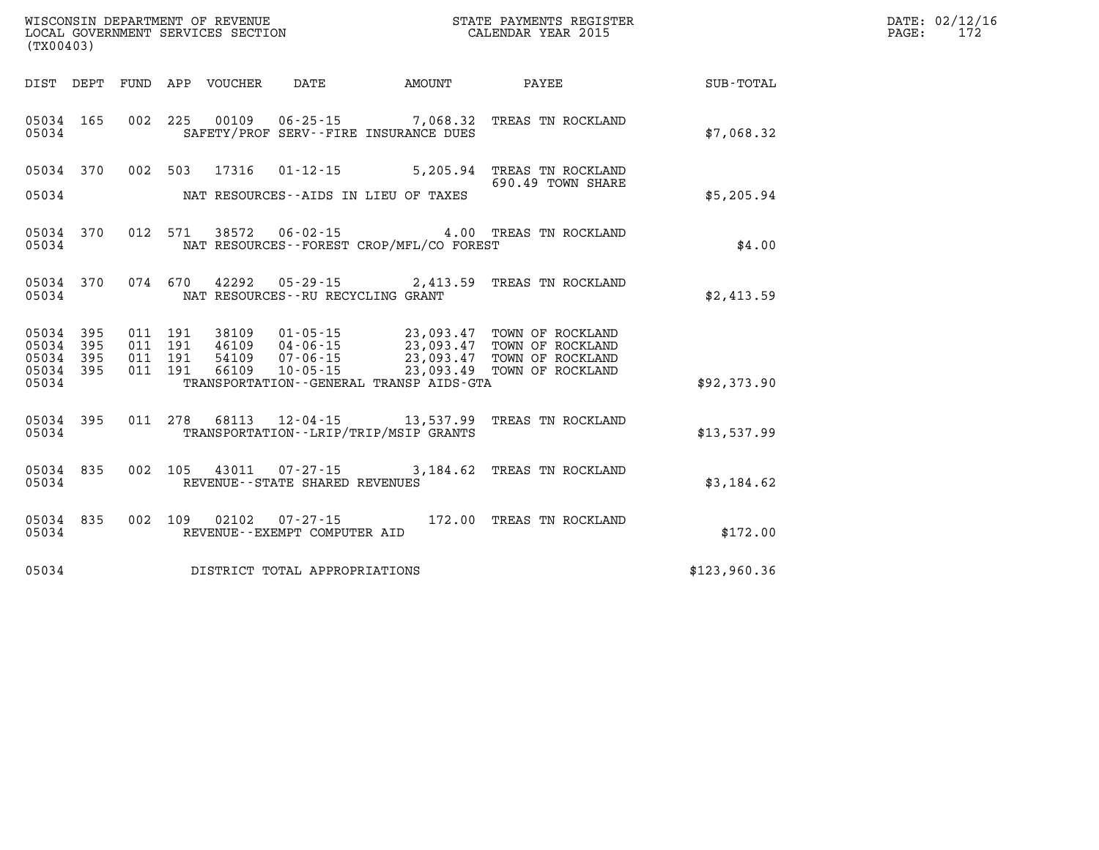| WISCONSIN DEPARTMENT OF REVENUE   | STATE PAYMENTS REGISTER | DATE: | .: 02/12/16 |
|-----------------------------------|-------------------------|-------|-------------|
| LOCAL GOVERNMENT SERVICES SECTION | CALENDAR YEAR 2015      | PAGE  |             |

| (TX00403)                                                 |                                                                                                                                                                                                                                                                                                                                              | LOCAL GOVERNMENT SERVICES SECTION CALENDAR YEAR 2015         | 172<br>PAGE: |
|-----------------------------------------------------------|----------------------------------------------------------------------------------------------------------------------------------------------------------------------------------------------------------------------------------------------------------------------------------------------------------------------------------------------|--------------------------------------------------------------|--------------|
|                                                           |                                                                                                                                                                                                                                                                                                                                              | DIST DEPT FUND APP VOUCHER DATE AMOUNT PAYEE PAYER SUB-TOTAL |              |
| 05034                                                     | 05034 165 002 225 00109 06-25-15 7,068.32 TREAS TN ROCKLAND<br>SAFETY/PROF SERV--FIRE INSURANCE DUES                                                                                                                                                                                                                                         | \$7,068.32                                                   |              |
|                                                           | 05034 370 002 503 17316 01-12-15 5,205.94 TREAS TN ROCKLAND<br>690.49 TOWN SHARE<br>05034 MAT RESOURCES--AIDS IN LIEU OF TAXES                                                                                                                                                                                                               | 690.49 TOWN SHARE<br>\$5,205.94                              |              |
| 05034                                                     | 05034 370 012 571 38572 06-02-15 4.00 TREAS TN ROCKLAND<br>NAT RESOURCES--FOREST CROP/MFL/CO FOREST                                                                                                                                                                                                                                          | \$4.00                                                       |              |
| 05034                                                     | 05034 370 074 670 42292 05-29-15 2,413.59 TREAS TN ROCKLAND<br>NAT RESOURCES--RU RECYCLING GRANT                                                                                                                                                                                                                                             | \$2,413.59                                                   |              |
| 05034 395<br>05034 395<br>05034 395<br>05034 395<br>05034 | $\begin{tabular}{cccc} 011 & 191 & 38109 & 01-05-15 & 23,093.47 & TOWN OF ROCKLAND \\ 011 & 191 & 46109 & 04-06-15 & 23,093.47 & TOWN OF ROCKLAND \\ 011 & 191 & 54109 & 07-06-15 & 23,093.47 & TOWN OF ROCKLAND \\ 011 & 191 & 66109 & 10-05-15 & 23,093.49 & TOWN OF ROCKLAND \end{tabular}$<br>TRANSPORTATION - GENERAL TRANSP AIDS - GTA | \$92,373.90                                                  |              |
|                                                           |                                                                                                                                                                                                                                                                                                                                              |                                                              |              |
|                                                           | 05034 395 011 278 68113 12-04-15 13,537.99 TREAS TN ROCKLAND<br>05034 TRANSPORTATION - - LRIP/TRIP/MSIP GRANTS                                                                                                                                                                                                                               | \$13,537.99                                                  |              |
| 05034                                                     | 05034 835 002 105 43011 07-27-15 3,184.62 TREAS TN ROCKLAND<br>REVENUE--STATE SHARED REVENUES                                                                                                                                                                                                                                                | \$3,184.62                                                   |              |
| 05034                                                     | 05034 835 002 109 02102 07-27-15 172.00 TREAS TN ROCKLAND<br>REVENUE--EXEMPT COMPUTER AID                                                                                                                                                                                                                                                    | \$172.00                                                     |              |
|                                                           | 05034 DISTRICT TOTAL APPROPRIATIONS                                                                                                                                                                                                                                                                                                          | \$123,960.36                                                 |              |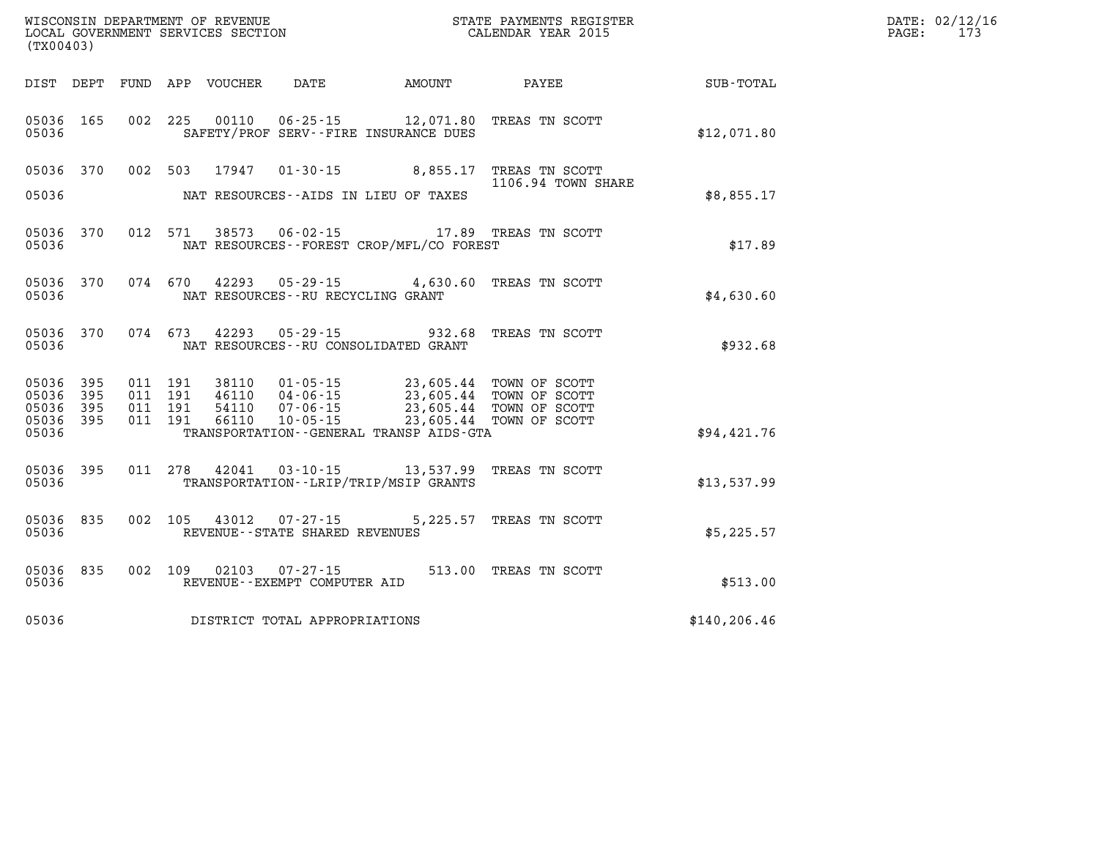| DATE: | 02/12/16 |
|-------|----------|
| PAGE: | 173      |

|                         | WISCONSIN DEPARTMENT OF REVENUE<br>STATE PAYMENTS REGISTER<br>LOCAL GOVERNMENT SERVICES SECTION<br>CALENDAR YEAR 2015<br>(TX00403) |            |            |                |                                                     |                                                                              |                                      |               |
|-------------------------|------------------------------------------------------------------------------------------------------------------------------------|------------|------------|----------------|-----------------------------------------------------|------------------------------------------------------------------------------|--------------------------------------|---------------|
| DIST                    | DEPT                                                                                                                               | FUND       | APP        | VOUCHER        | DATE                                                | AMOUNT                                                                       | PAYEE                                | SUB-TOTAL     |
| 05036<br>05036          | 165                                                                                                                                | 002        | 225        | 00110          |                                                     | $06 - 25 - 15$ 12,071.80<br>SAFETY/PROF SERV--FIRE INSURANCE DUES            | TREAS TN SCOTT                       | \$12,071.80   |
| 05036                   | 370                                                                                                                                | 002        | 503        | 17947          |                                                     | $01 - 30 - 15$ 8,855.17                                                      | TREAS TN SCOTT<br>1106.94 TOWN SHARE |               |
| 05036                   |                                                                                                                                    |            |            |                |                                                     | NAT RESOURCES--AIDS IN LIEU OF TAXES                                         |                                      | \$8,855.17    |
| 05036<br>05036          | 370                                                                                                                                | 012        | 571        | 38573          |                                                     | 06-02-15 17.89 TREAS TN SCOTT<br>NAT RESOURCES - - FOREST CROP/MFL/CO FOREST |                                      | \$17.89       |
| 05036<br>05036          | 370                                                                                                                                | 074        | 670        | 42293          | NAT RESOURCES -- RU RECYCLING GRANT                 | $05 - 29 - 15$ 4,630.60                                                      | TREAS TN SCOTT                       | \$4,630.60    |
| 05036<br>05036          | 370                                                                                                                                | 074        | 673        | 42293          | $05 - 29 - 15$                                      | 932.68<br>NAT RESOURCES - - RU CONSOLIDATED GRANT                            | TREAS TN SCOTT                       | \$932.68      |
| 05036<br>05036          | 395<br>395                                                                                                                         | 011<br>011 | 191<br>191 | 38110<br>46110 | $01 - 05 - 15$<br>$04 - 06 - 15$                    | 23,605.44<br>23,605.44                                                       | TOWN OF SCOTT<br>TOWN OF SCOTT       |               |
| 05036<br>05036<br>05036 | 395<br>395                                                                                                                         | 011<br>011 | 191<br>191 | 54110<br>66110 | $07 - 06 - 15$<br>$10 - 05 - 15$                    | 23,605.44<br>23,605.44<br>TRANSPORTATION - - GENERAL TRANSP AIDS - GTA       | TOWN OF SCOTT<br>TOWN OF SCOTT       | \$94,421.76   |
| 05036<br>05036          | 395                                                                                                                                | 011        | 278        | 42041          | $03 - 10 - 15$                                      | 13,537.99<br>TRANSPORTATION - - LRIP/TRIP/MSIP GRANTS                        | TREAS TN SCOTT                       | \$13,537.99   |
| 05036<br>05036          | 835                                                                                                                                | 002        | 105        | 43012          | $07 - 27 - 15$<br>REVENUE - - STATE SHARED REVENUES | 5,225.57                                                                     | TREAS TN SCOTT                       | \$5,225.57    |
| 05036<br>05036          | 835                                                                                                                                | 002        | 109        | 02103          | $07 - 27 - 15$<br>REVENUE--EXEMPT COMPUTER AID      |                                                                              | 513.00 TREAS TN SCOTT                | \$513.00      |
| 05036                   |                                                                                                                                    |            |            |                | DISTRICT TOTAL APPROPRIATIONS                       |                                                                              |                                      | \$140, 206.46 |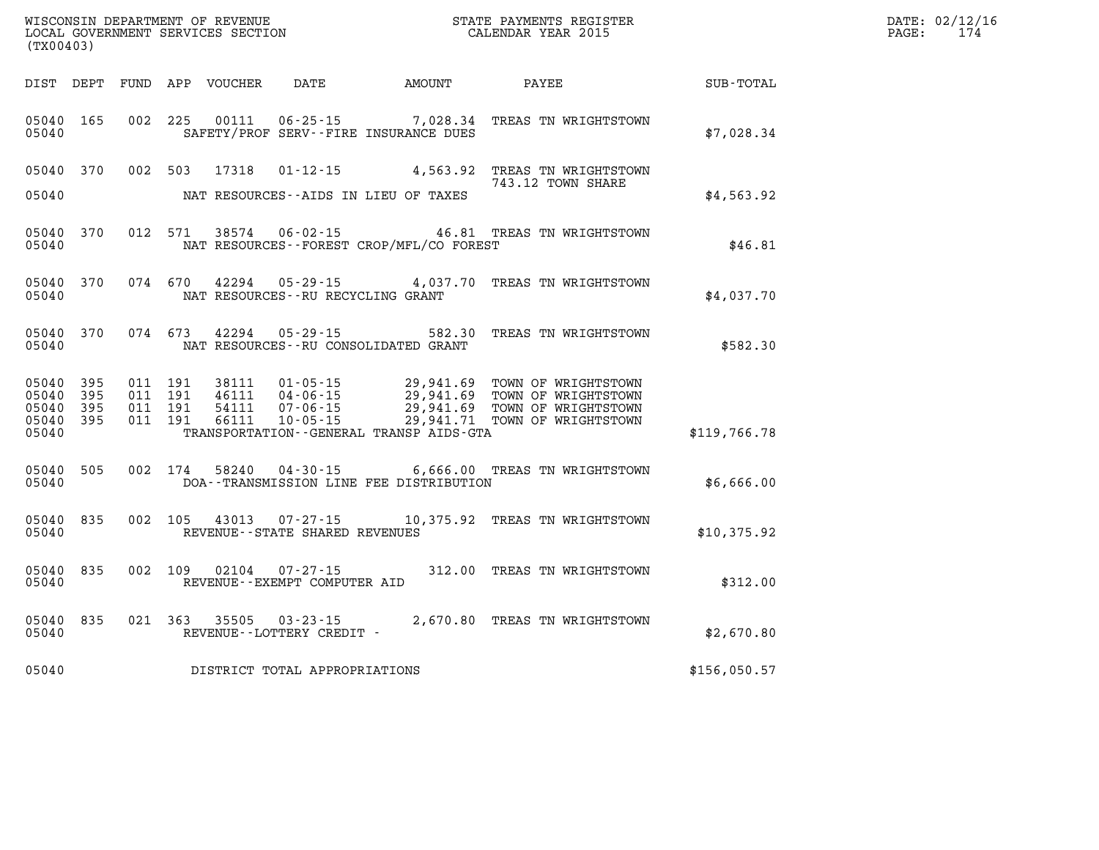| WISCONSIN DEPARTMENT OF REVENUE<br>LOCAL GOVERNMENT SERVICES SECTION<br>(TWO0403)<br>(TX00403) |           |                    |         |                            |                                                             |                                                                  |                                                                                                                                        |              | DATE: 02/12/16<br>$\mathtt{PAGE}$ :<br>174 |
|------------------------------------------------------------------------------------------------|-----------|--------------------|---------|----------------------------|-------------------------------------------------------------|------------------------------------------------------------------|----------------------------------------------------------------------------------------------------------------------------------------|--------------|--------------------------------------------|
|                                                                                                |           |                    |         | DIST DEPT FUND APP VOUCHER | DATE                                                        | AMOUNT                                                           | <b>PAYEE</b>                                                                                                                           | SUB-TOTAL    |                                            |
| 05040 165<br>05040                                                                             |           | 002 225            |         | 00111                      |                                                             | $06 - 25 - 15$ 7,028.34<br>SAFETY/PROF SERV--FIRE INSURANCE DUES | TREAS TN WRIGHTSTOWN                                                                                                                   | \$7,028.34   |                                            |
| 05040 370                                                                                      |           | 002 503            |         | 17318                      | 01-12-15                                                    |                                                                  | 4,563.92 TREAS TN WRIGHTSTOWN<br>743.12 TOWN SHARE                                                                                     |              |                                            |
| 05040                                                                                          |           |                    |         |                            |                                                             | NAT RESOURCES--AIDS IN LIEU OF TAXES                             |                                                                                                                                        | \$4,563.92   |                                            |
| 05040                                                                                          | 05040 370 | 012 571            |         |                            |                                                             | NAT RESOURCES--FOREST CROP/MFL/CO FOREST                         | 38574  06-02-15  46.81 TREAS TN WRIGHTSTOWN                                                                                            | \$46.81      |                                            |
| 05040                                                                                          | 05040 370 |                    | 074 670 |                            | NAT RESOURCES - - RU RECYCLING GRANT                        |                                                                  | 42294  05-29-15  4,037.70  TREAS TN WRIGHTSTOWN                                                                                        | \$4,037.70   |                                            |
| 05040                                                                                          | 05040 370 | 074 673            |         |                            | 42294 05-29-15                                              | 582.30<br>NAT RESOURCES--RU CONSOLIDATED GRANT                   | TREAS TN WRIGHTSTOWN                                                                                                                   | \$582.30     |                                            |
| 05040 395<br>05040                                                                             | 395       | 011 191<br>011 191 |         | 38111<br>46111             | $01 - 05 - 15$                                              |                                                                  | 29,941.69 TOWN OF WRIGHTSTOWN                                                                                                          |              |                                            |
| 05040<br>05040 395<br>05040                                                                    | 395       | 011 191<br>011 191 |         | 54111<br>66111             |                                                             | TRANSPORTATION--GENERAL TRANSP AIDS-GTA                          | 04-06-15<br>04-06-15 29,941.69 TOWN OF WRIGHTSTOWN<br>07-06-15 29,941.69 TOWN OF WRIGHTSTOWN<br>10-05-15 29,941.71 TOWN OF WRIGHTSTOWN | \$119,766.78 |                                            |
| 05040 505<br>05040                                                                             |           | 002 174            |         | 58240                      | $04 - 30 - 15$                                              | DOA--TRANSMISSION LINE FEE DISTRIBUTION                          | 6,666.00 TREAS TN WRIGHTSTOWN                                                                                                          | \$6,666.00   |                                            |
| 05040 835<br>05040                                                                             |           |                    |         |                            | 002 105 43013 07-27-15<br>REVENUE - - STATE SHARED REVENUES |                                                                  | 10,375.92 TREAS TN WRIGHTSTOWN                                                                                                         | \$10,375.92  |                                            |
| 05040 835<br>05040                                                                             |           |                    | 002 109 |                            | 02104 07-27-15<br>REVENUE--EXEMPT COMPUTER AID              |                                                                  | 312.00 TREAS TN WRIGHTSTOWN                                                                                                            | \$312.00     |                                            |
| 05040 835<br>05040                                                                             |           | 021 363            |         | 35505                      | $03 - 23 - 15$<br>REVENUE--LOTTERY CREDIT -                 |                                                                  | 2,670.80 TREAS TN WRIGHTSTOWN                                                                                                          | \$2,670.80   |                                            |
| 05040                                                                                          |           |                    |         |                            | DISTRICT TOTAL APPROPRIATIONS                               |                                                                  |                                                                                                                                        | \$156,050.57 |                                            |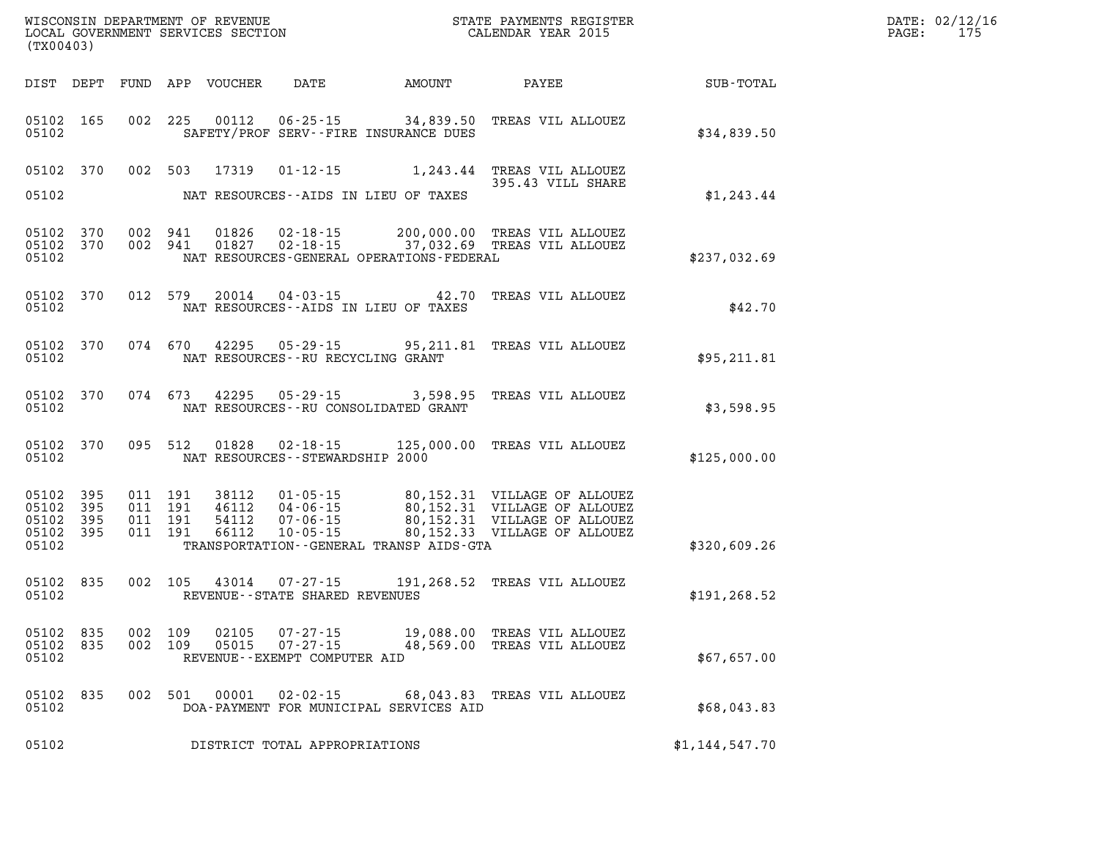| (TX00403)                                     |                   |                                          | WISCONSIN DEPARTMENT OF REVENUE<br>LOCAL GOVERNMENT SERVICES SECTION |                                                                             |                                                                           | STATE PAYMENTS REGISTER<br>CALENDAR YEAR 2015                                                                                         | DATE: 02/12/16<br>175<br>$\mathtt{PAGE}$ : |  |
|-----------------------------------------------|-------------------|------------------------------------------|----------------------------------------------------------------------|-----------------------------------------------------------------------------|---------------------------------------------------------------------------|---------------------------------------------------------------------------------------------------------------------------------------|--------------------------------------------|--|
|                                               |                   |                                          | DIST DEPT FUND APP VOUCHER                                           | DATE                                                                        | AMOUNT                                                                    | PAYEE                                                                                                                                 | SUB-TOTAL                                  |  |
| 05102 165<br>05102                            |                   |                                          |                                                                      |                                                                             | 002 225 00112 06-25-15 34,839.50<br>SAFETY/PROF SERV--FIRE INSURANCE DUES | TREAS VIL ALLOUEZ                                                                                                                     | \$34,839.50                                |  |
| 05102 370<br>05102                            |                   |                                          | 002 503 17319                                                        |                                                                             | NAT RESOURCES--AIDS IN LIEU OF TAXES                                      | 01-12-15 1,243.44 TREAS VIL ALLOUEZ<br>395.43 VILL SHARE                                                                              | \$1,243.44                                 |  |
| 05102 370<br>05102 370<br>05102               |                   | 002 941<br>002 941                       | 01826<br>01827                                                       |                                                                             | NAT RESOURCES-GENERAL OPERATIONS-FEDERAL                                  | 02-18-15 200,000.00 TREAS VIL ALLOUEZ<br>02-18-15 37,032.69 TREAS VIL ALLOUEZ                                                         | \$237,032.69                               |  |
| 05102 370<br>05102                            |                   | 012 579                                  | 20014                                                                | $04 - 03 - 15$                                                              | NAT RESOURCES -- AIDS IN LIEU OF TAXES                                    | 42.70 TREAS VIL ALLOUEZ                                                                                                               | \$42.70                                    |  |
| 05102 370<br>05102                            |                   |                                          |                                                                      | 074 670 42295 05-29-15<br>NAT RESOURCES - - RU RECYCLING GRANT              |                                                                           | 95,211.81 TREAS VIL ALLOUEZ                                                                                                           | \$95,211.81                                |  |
| 05102 370<br>05102                            |                   |                                          |                                                                      |                                                                             | NAT RESOURCES - - RU CONSOLIDATED GRANT                                   | 074 673 42295 05-29-15 3,598.95 TREAS VIL ALLOUEZ                                                                                     | \$3,598.95                                 |  |
| 05102 370<br>05102                            |                   | 095 512                                  | 01828                                                                | NAT RESOURCES -- STEWARDSHIP 2000                                           |                                                                           | 02-18-15 125,000.00 TREAS VIL ALLOUEZ                                                                                                 | \$125,000.00                               |  |
| 05102 395<br>05102<br>05102<br>05102<br>05102 | 395<br>395<br>395 | 011 191<br>011 191<br>011 191<br>011 191 | 38112<br>46112<br>54112<br>66112                                     | $01 - 05 - 15$<br>04-06-15<br>$07 - 06 - 15$                                | TRANSPORTATION--GENERAL TRANSP AIDS-GTA                                   | 80,152.31 VILLAGE OF ALLOUEZ<br>80,152.31 VILLAGE OF ALLOUEZ<br>80,152.31 VILLAGE OF ALLOUEZ<br>10-05-15 80,152.33 VILLAGE OF ALLOUEZ | \$320,609.26                               |  |
| 05102 835<br>05102                            |                   |                                          |                                                                      | REVENUE--STATE SHARED REVENUES                                              |                                                                           | 002 105 43014 07-27-15 191,268.52 TREAS VIL ALLOUEZ                                                                                   | \$191, 268.52                              |  |
| 05102 835<br>05102 835<br>05102               |                   | 002 109                                  | 02105                                                                | $07 - 27 - 15$<br>002 109 05015 07-27-15<br>REVENUE - - EXEMPT COMPUTER AID |                                                                           | 19,088.00 TREAS VIL ALLOUEZ<br>48,569.00 TREAS VIL ALLOUEZ                                                                            | \$67,657.00                                |  |
| 05102 835<br>05102                            |                   | 002 501                                  | 00001                                                                |                                                                             | DOA-PAYMENT FOR MUNICIPAL SERVICES AID                                    | 02-02-15 68,043.83 TREAS VIL ALLOUEZ                                                                                                  | \$68,043.83                                |  |
| 05102                                         |                   |                                          |                                                                      | DISTRICT TOTAL APPROPRIATIONS                                               |                                                                           |                                                                                                                                       | \$1,144,547.70                             |  |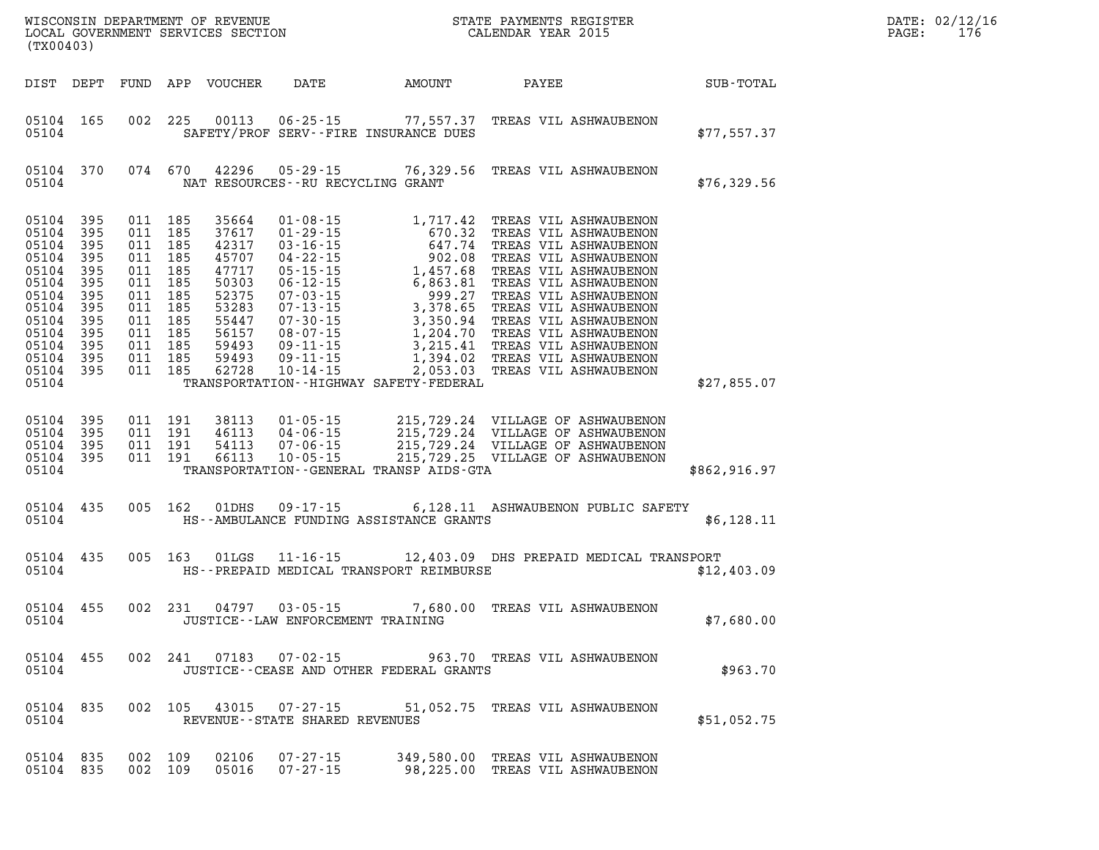| DATE: | 02/12/16 |
|-------|----------|
| PAGE: | 176      |

| (TX00403)                                                                                                                      |                                                                                  |                                                                                                            |                                          | WISCONSIN DEPARTMENT OF REVENUE<br>LOCAL GOVERNMENT SERVICES SECTION                                              |                                                       | STATE PAYMENTS REGIS'<br>CALENDAR YEAR 2015                                                                                                                                                                                     | STATE PAYMENTS REGISTER |                                                                     | DATE: 02/12/1<br>176<br>PAGE: |  |
|--------------------------------------------------------------------------------------------------------------------------------|----------------------------------------------------------------------------------|------------------------------------------------------------------------------------------------------------|------------------------------------------|-------------------------------------------------------------------------------------------------------------------|-------------------------------------------------------|---------------------------------------------------------------------------------------------------------------------------------------------------------------------------------------------------------------------------------|-------------------------|---------------------------------------------------------------------|-------------------------------|--|
| DIST DEPT                                                                                                                      |                                                                                  |                                                                                                            |                                          | FUND APP VOUCHER                                                                                                  | DATE                                                  | AMOUNT                                                                                                                                                                                                                          | PAYEE                   |                                                                     | <b>SUB-TOTAL</b>              |  |
| 05104 165<br>05104                                                                                                             |                                                                                  |                                                                                                            | 002 225                                  |                                                                                                                   |                                                       | 00113  06-25-15  77,557.37  TREAS VIL ASHWAUBENON<br>SAFETY/PROF SERV--FIRE INSURANCE DUES                                                                                                                                      |                         |                                                                     | \$77,557.37                   |  |
| 05104 370<br>05104                                                                                                             |                                                                                  |                                                                                                            | 074 670                                  |                                                                                                                   | NAT RESOURCES--RU RECYCLING GRANT                     | 42296 05-29-15 76,329.56 TREAS VIL ASHWAUBENON                                                                                                                                                                                  |                         |                                                                     | \$76,329.56                   |  |
| 05104<br>05104<br>05104<br>05104<br>05104<br>05104<br>05104<br>05104<br>05104<br>05104<br>05104<br>05104<br>05104 395<br>05104 | 395<br>395<br>395<br>395<br>395<br>395<br>395<br>395<br>395<br>395<br>395<br>395 | 011 185<br>011 185<br>011 185<br>011 185<br>011 185<br>011 185<br>011 185<br>011 185<br>011 185<br>011 185 | 011 185<br>011 185<br>011 185            | 35664<br>37617<br>42317<br>45707<br>47717<br>50303<br>52375<br>53283<br>55447<br>56157<br>59493<br>59493<br>62728 | $10 - 14 - 15$                                        | 01-08-15 1,717.42 TREAS VIL ASHWAUBENON<br>TRANSPORTATION - - HIGHWAY SAFETY - FEDERAL                                                                                                                                          |                         | 2,053.03 TREAS VIL ASHWAUBENON                                      | \$27,855.07                   |  |
| 05104 395<br>05104<br>05104<br>05104 395<br>05104                                                                              | 395<br>395                                                                       |                                                                                                            | 011 191<br>011 191<br>011 191<br>011 191 | 38113<br>46113<br>54113<br>66113                                                                                  |                                                       | 01-05-15 215,729.24 VILLAGE OF ASHWAUBENON<br>04-06-15 215,729.24 VILLAGE OF ASHWAUBENON<br>07-06-15 215,729.24 VILLAGE OF ASHWAUBENON<br>10-05-15 225,729.25 VILLAGE OF ASHWAUBENON<br>TRANSPORTATION--GENERAL TRANSP AIDS-GTA |                         |                                                                     | \$862,916.97                  |  |
| 05104 435<br>05104                                                                                                             |                                                                                  |                                                                                                            | 005 162                                  | 01DHS                                                                                                             | $09 - 17 - 15$                                        | HS--AMBULANCE FUNDING ASSISTANCE GRANTS                                                                                                                                                                                         |                         | 6,128.11 ASHWAUBENON PUBLIC SAFETY                                  | \$6,128.11                    |  |
| 05104 435<br>05104                                                                                                             |                                                                                  |                                                                                                            | 005 163                                  | 01LGS                                                                                                             |                                                       | 11-16-15 12,403.09 DHS PREPAID MEDICAL TRANSPORT<br>HS--PREPAID MEDICAL TRANSPORT REIMBURSE                                                                                                                                     |                         |                                                                     | \$12,403.09                   |  |
| 05104 455<br>05104                                                                                                             |                                                                                  |                                                                                                            | 002 231                                  | 04797                                                                                                             | $03 - 05 - 15$<br>JUSTICE -- LAW ENFORCEMENT TRAINING |                                                                                                                                                                                                                                 |                         | 7,680.00 TREAS VIL ASHWAUBENON                                      | \$7,680.00                    |  |
| 05104 455<br>05104                                                                                                             |                                                                                  |                                                                                                            | 002 241                                  | 07183                                                                                                             | $07 - 02 - 15$                                        | JUSTICE - - CEASE AND OTHER FEDERAL GRANTS                                                                                                                                                                                      |                         | 963.70 TREAS VIL ASHWAUBENON                                        | \$963.70                      |  |
| 05104 835<br>05104                                                                                                             |                                                                                  |                                                                                                            | 002 105                                  |                                                                                                                   | 43015  07-27-15<br>REVENUE--STATE SHARED REVENUES     |                                                                                                                                                                                                                                 |                         | 51,052.75 TREAS VIL ASHWAUBENON                                     | \$51,052.75                   |  |
| 05104 835<br>05104 835                                                                                                         |                                                                                  | 002 109<br>002 109                                                                                         |                                          | 02106<br>05016                                                                                                    | $07 - 27 - 15$<br>$07 - 27 - 15$                      |                                                                                                                                                                                                                                 |                         | 349,580.00 TREAS VIL ASHWAUBENON<br>98,225.00 TREAS VIL ASHWAUBENON |                               |  |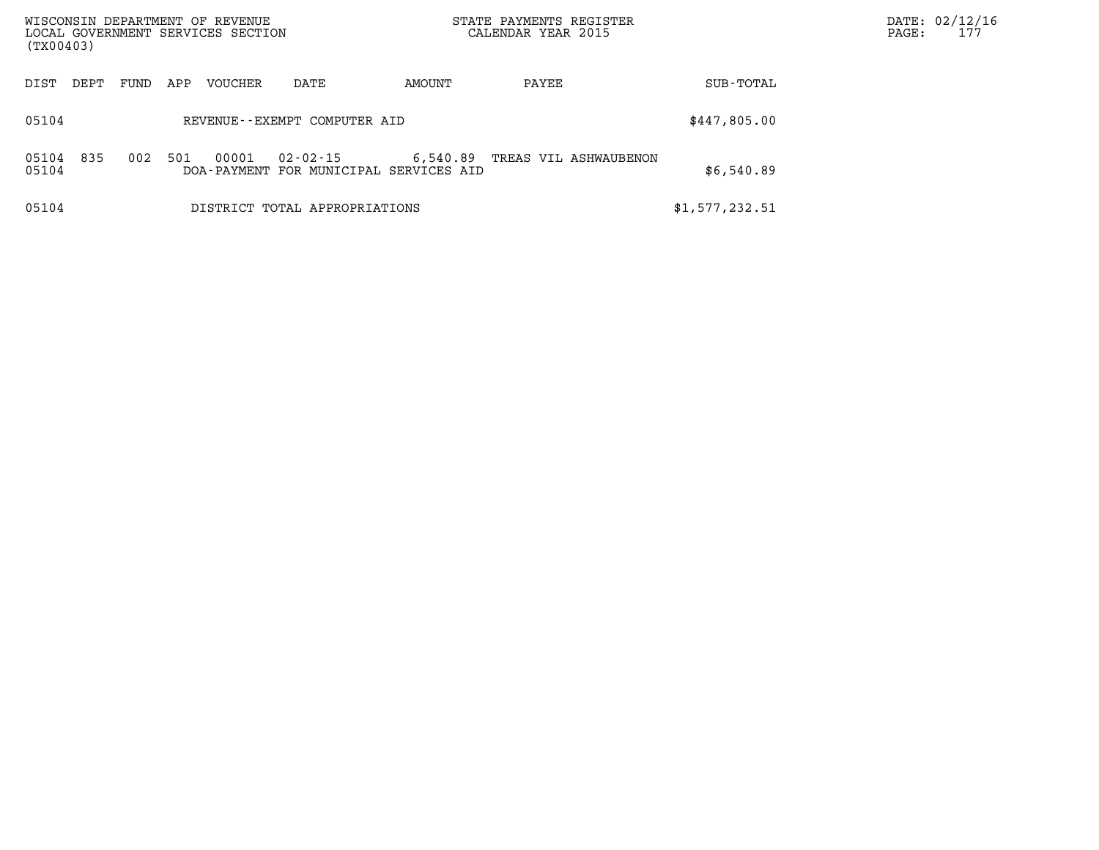| (TX00403)             | WISCONSIN DEPARTMENT OF REVENUE<br>LOCAL GOVERNMENT SERVICES SECTION |                                                    | STATE PAYMENTS REGISTER<br>CALENDAR YEAR 2015 |                | DATE: 02/12/16<br>177<br>PAGE: |
|-----------------------|----------------------------------------------------------------------|----------------------------------------------------|-----------------------------------------------|----------------|--------------------------------|
| DIST<br>DEPT          | <b>VOUCHER</b><br>DATE<br>FUND<br>APP                                | AMOUNT                                             | PAYEE                                         | SUB-TOTAL      |                                |
| 05104                 | REVENUE--EXEMPT COMPUTER AID                                         |                                                    |                                               | \$447,805.00   |                                |
| 835<br>05104<br>05104 | 501<br>00001<br>002<br>$02 - 02 - 15$                                | 6,540.89<br>DOA-PAYMENT FOR MUNICIPAL SERVICES AID | TREAS VIL ASHWAUBENON                         | \$6,540.89     |                                |
| 05104                 | DISTRICT TOTAL APPROPRIATIONS                                        |                                                    |                                               | \$1,577,232.51 |                                |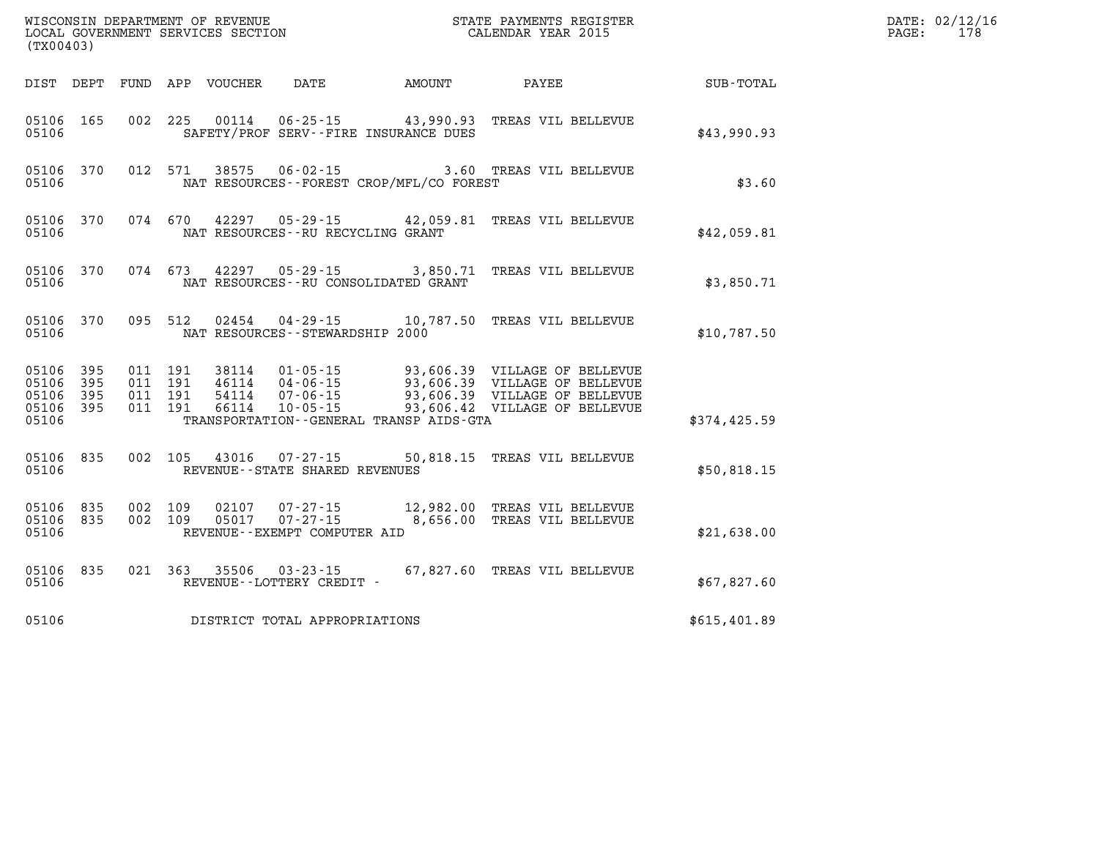| (TX00403)                                    |           |                                          |         | WISCONSIN DEPARTMENT OF REVENUE<br>LOCAL GOVERNMENT SERVICES SECTION |                                                                  |                                                                   |                                                                                                                                                                                  |              | DATE: 02/12/16<br>178<br>PAGE: |
|----------------------------------------------|-----------|------------------------------------------|---------|----------------------------------------------------------------------|------------------------------------------------------------------|-------------------------------------------------------------------|----------------------------------------------------------------------------------------------------------------------------------------------------------------------------------|--------------|--------------------------------|
|                                              |           |                                          |         | DIST DEPT FUND APP VOUCHER                                           | DATE                                                             | AMOUNT                                                            | PAYEE                                                                                                                                                                            | SUB-TOTAL    |                                |
| 05106 165<br>05106                           |           |                                          | 002 225 | 00114                                                                |                                                                  | $06 - 25 - 15$ 43,990.93<br>SAFETY/PROF SERV--FIRE INSURANCE DUES | TREAS VIL BELLEVUE                                                                                                                                                               | \$43,990.93  |                                |
| 05106 370<br>05106                           |           | 012 571                                  |         | 38575                                                                | $06 - 02 - 15$                                                   | NAT RESOURCES - - FOREST CROP/MFL/CO FOREST                       | 3.60 TREAS VIL BELLEVUE                                                                                                                                                          | \$3.60       |                                |
| 05106 370<br>05106                           |           | 074 670                                  |         | 42297                                                                | NAT RESOURCES--RU RECYCLING GRANT                                |                                                                   | 05-29-15 42,059.81 TREAS VIL BELLEVUE                                                                                                                                            | \$42,059.81  |                                |
| 05106 370<br>05106                           |           |                                          | 074 673 | 42297                                                                | 05-29-15<br>NAT RESOURCES - - RU CONSOLIDATED GRANT              |                                                                   | 3,850.71 TREAS VIL BELLEVUE                                                                                                                                                      | \$3,850.71   |                                |
| 05106 370<br>05106                           |           | 095 512                                  |         | 02454                                                                | NAT RESOURCES - - STEWARDSHIP 2000                               |                                                                   | 04-29-15 10,787.50 TREAS VIL BELLEVUE                                                                                                                                            | \$10,787.50  |                                |
| 05106 395<br>05106<br>05106 395<br>05106 395 | 395       | 011 191<br>011 191<br>011 191<br>011 191 |         | 54114<br>66114                                                       | 46114 04-06-15<br>07-06-15<br>$10 - 05 - 15$                     |                                                                   | 38114 01-05-15 93,606.39 VILLAGE OF BELLEVUE<br>93,606.39 VILLAGE OF BELLEVUE<br>93.606.39 VILLAGE OF BELLEVUE<br>93,606.39 VILLAGE OF BELLEVUE<br>93,606.42 VILLAGE OF BELLEVUE |              |                                |
| 05106                                        |           |                                          |         |                                                                      |                                                                  | TRANSPORTATION - - GENERAL TRANSP AIDS-GTA                        |                                                                                                                                                                                  | \$374,425.59 |                                |
| 05106 835<br>05106                           |           | 002 105                                  |         | 43016                                                                | 07-27-15<br>REVENUE--STATE SHARED REVENUES                       |                                                                   | 50,818.15 TREAS VIL BELLEVUE                                                                                                                                                     | \$50,818.15  |                                |
| 05106 835<br>05106 835<br>05106              |           | 002 109<br>002 109                       |         | 02107<br>05017                                                       | $07 - 27 - 15$<br>$07 - 27 - 15$<br>REVENUE--EXEMPT COMPUTER AID |                                                                   | 12,982.00 TREAS VIL BELLEVUE<br>8,656.00 TREAS VIL BELLEVUE                                                                                                                      | \$21,638.00  |                                |
| 05106                                        | 05106 835 |                                          | 021 363 | 35506                                                                | $03 - 23 - 15$<br>REVENUE--LOTTERY CREDIT -                      |                                                                   | 67,827.60 TREAS VIL BELLEVUE                                                                                                                                                     | \$67,827.60  |                                |
| 05106                                        |           |                                          |         |                                                                      | DISTRICT TOTAL APPROPRIATIONS                                    |                                                                   |                                                                                                                                                                                  | \$615,401.89 |                                |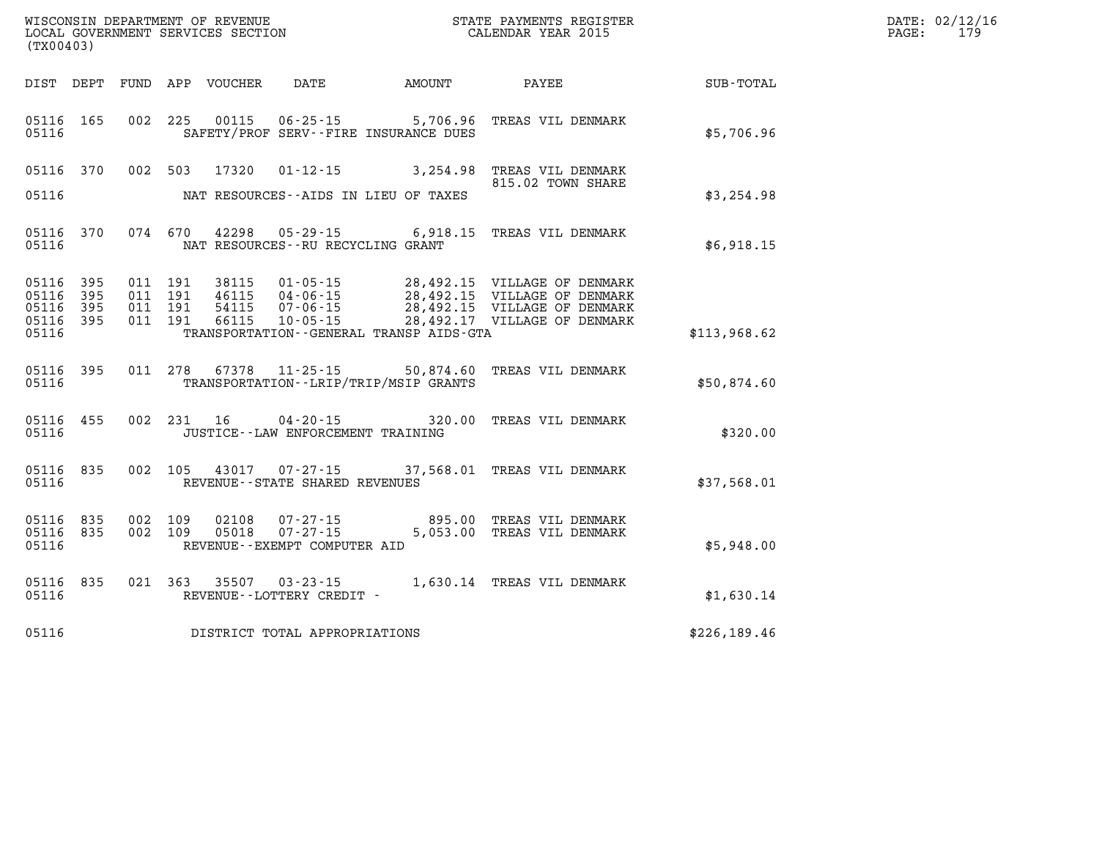| WISCONSIN DEPARTMENT OF REVENUE   | STATE PAYMENTS REGISTER |       | DATE: 02/12/16 |
|-----------------------------------|-------------------------|-------|----------------|
| LOCAL GOVERNMENT SERVICES SECTION | CALENDAR YEAR 2015      | PAGE: |                |

| (TX00403)                                                       | LOCAL GOVERNMENT SERVICES SECTION                                                                                                    | CALENDAR YEAR 2015                                 | PAGE: | 179 |
|-----------------------------------------------------------------|--------------------------------------------------------------------------------------------------------------------------------------|----------------------------------------------------|-------|-----|
|                                                                 |                                                                                                                                      | DIST DEPT FUND APP VOUCHER DATE AMOUNT PAYEE TOTAL |       |     |
| 05116 165<br>05116                                              | 002 225 00115 06-25-15 5,706.96 TREAS VIL DENMARK<br>SAFETY/PROF SERV--FIRE INSURANCE DUES                                           | \$5,706.96                                         |       |     |
| 05116 370<br>05116                                              | 002 503 17320 01-12-15 3,254.98 TREAS VIL DENMARK<br>NAT RESOURCES--AIDS IN LIEU OF TAXES                                            | 815.02 TOWN SHARE<br>\$3,254.98                    |       |     |
| 05116 370<br>05116                                              | 074 670 42298 05-29-15 6,918.15 TREAS VIL DENMARK<br>NAT RESOURCES -- RU RECYCLING GRANT                                             | \$6,918.15                                         |       |     |
| 05116 395<br>05116<br>395<br>05116<br>395<br>05116 395<br>05116 | TRANSPORTATION - - GENERAL TRANSP AIDS - GTA                                                                                         | 28,492.17 VILLAGE OF DENMARK<br>\$113,968.62       |       |     |
| 05116 395<br>05116                                              | 011 278 67378 11-25-15 50,874.60 TREAS VIL DENMARK<br>TRANSPORTATION - - LRIP/TRIP/MSIP GRANTS                                       | \$50,874.60                                        |       |     |
| 05116 455<br>05116                                              | 002 231 16<br>JUSTICE - - LAW ENFORCEMENT TRAINING                                                                                   | 04-20-15 320.00 TREAS VIL DENMARK<br>\$320.00      |       |     |
| 05116 835<br>05116                                              | 002 105 43017 07-27-15<br>REVENUE--STATE SHARED REVENUES                                                                             | 37,568.01 TREAS VIL DENMARK<br>\$37,568.01         |       |     |
| 05116 835<br>05116 835<br>05116                                 | 002 109 02108 07-27-15 895.00 TREAS VIL DENMARK<br>002 109 05018 07-27-15 5,053.00 TREAS VIL DENMARK<br>REVENUE--EXEMPT COMPUTER AID | \$5,948.00                                         |       |     |
| 835<br>05116<br>05116                                           | 021 363 35507<br>REVENUE--LOTTERY CREDIT -                                                                                           | 03-23-15 1,630.14 TREAS VIL DENMARK<br>\$1,630.14  |       |     |
| 05116                                                           | DISTRICT TOTAL APPROPRIATIONS                                                                                                        | \$226,189.46                                       |       |     |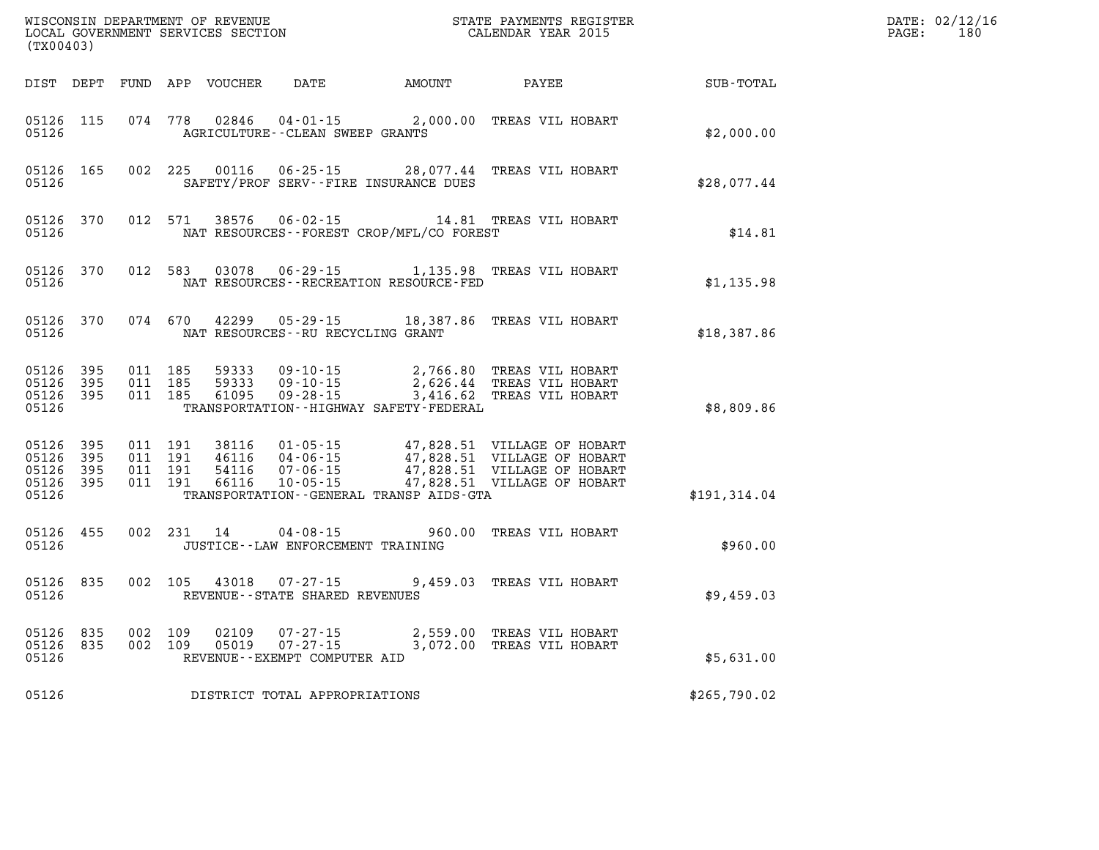| (TX00403)                                |                  |                    |                               |                         |                                                  |                                              |                                                                                                                                                                                                  |              | DATE: 02/12/16<br>$\mathtt{PAGE:}$<br>180 |
|------------------------------------------|------------------|--------------------|-------------------------------|-------------------------|--------------------------------------------------|----------------------------------------------|--------------------------------------------------------------------------------------------------------------------------------------------------------------------------------------------------|--------------|-------------------------------------------|
|                                          |                  |                    |                               |                         |                                                  | DIST DEPT FUND APP VOUCHER DATE AMOUNT PAYEE |                                                                                                                                                                                                  | SUB-TOTAL    |                                           |
| 05126 115<br>05126                       |                  |                    | 074 778                       |                         | AGRICULTURE--CLEAN SWEEP GRANTS                  |                                              | 02846  04-01-15  2,000.00  TREAS VIL HOBART                                                                                                                                                      | \$2,000.00   |                                           |
| 05126                                    | 05126 165        |                    |                               |                         |                                                  | SAFETY/PROF SERV--FIRE INSURANCE DUES        | 002 225 00116 06-25-15 28,077.44 TREAS VIL HOBART                                                                                                                                                | \$28,077.44  |                                           |
| 05126                                    | 05126 370        |                    | 012 571                       | 38576                   |                                                  | NAT RESOURCES - - FOREST CROP/MFL/CO FOREST  | 06-02-15 $14.81$ TREAS VIL HOBART                                                                                                                                                                | \$14.81      |                                           |
| 05126                                    | 05126 370        |                    | 012 583                       | 03078                   |                                                  | NAT RESOURCES - - RECREATION RESOURCE - FED  | 06-29-15 1,135.98 TREAS VIL HOBART                                                                                                                                                               | \$1,135.98   |                                           |
| 05126                                    | 05126 370        |                    |                               |                         | NAT RESOURCES--RU RECYCLING GRANT                |                                              | 074 670 42299 05-29-15 18,387.86 TREAS VIL HOBART                                                                                                                                                | \$18,387.86  |                                           |
| 05126<br>05126 395<br>05126 395<br>05126 | 395              | 011 185            | 011 185<br>011 185            | 59333<br>59333<br>61095 | $09 - 28 - 15$                                   | TRANSPORTATION - - HIGHWAY SAFETY - FEDERAL  | 09-10-15 2,766.80 TREAS VIL HOBART<br>09-10-15 2,626.44 TREAS VIL HOBART<br>3,416.62 TREAS VIL HOBART                                                                                            | \$8,809.86   |                                           |
| 05126<br>05126 395<br>05126 395<br>05126 | 395<br>05126 395 | 011 191            | 011 191<br>011 191<br>011 191 |                         |                                                  | TRANSPORTATION--GENERAL TRANSP AIDS-GTA      | 38116  01-05-15  47,828.51  VILLAGE OF HOBART<br>46116  04-06-15  47,828.51  VILLAGE OF HOBART<br>54116  07-06-15  47,828.51  VILLAGE OF HOBART<br>66116  10-05-15  47,828.51  VILLAGE OF HOBART | \$191,314.04 |                                           |
| 05126 455<br>05126                       |                  |                    |                               | 002 231 14              | 04-08-15<br>JUSTICE - - LAW ENFORCEMENT TRAINING |                                              | 960.00 TREAS VIL HOBART                                                                                                                                                                          | \$960.00     |                                           |
| 05126                                    | 05126 835        |                    | 002 105                       |                         | REVENUE - - STATE SHARED REVENUES                |                                              | 43018  07-27-15  9,459.03  TREAS VIL HOBART                                                                                                                                                      | \$9,459.03   |                                           |
| 05126<br>05126                           | 835<br>05126 835 | 002 109<br>002 109 |                               | 02109<br>05019          | REVENUE--EXEMPT COMPUTER AID                     |                                              | 07-27-15 2,559.00 TREAS VIL HOBART<br>07-27-15 3,072.00 TREAS VIL HOBART                                                                                                                         | \$5,631.00   |                                           |
| 05126                                    |                  |                    |                               |                         | DISTRICT TOTAL APPROPRIATIONS                    |                                              |                                                                                                                                                                                                  | \$265,790.02 |                                           |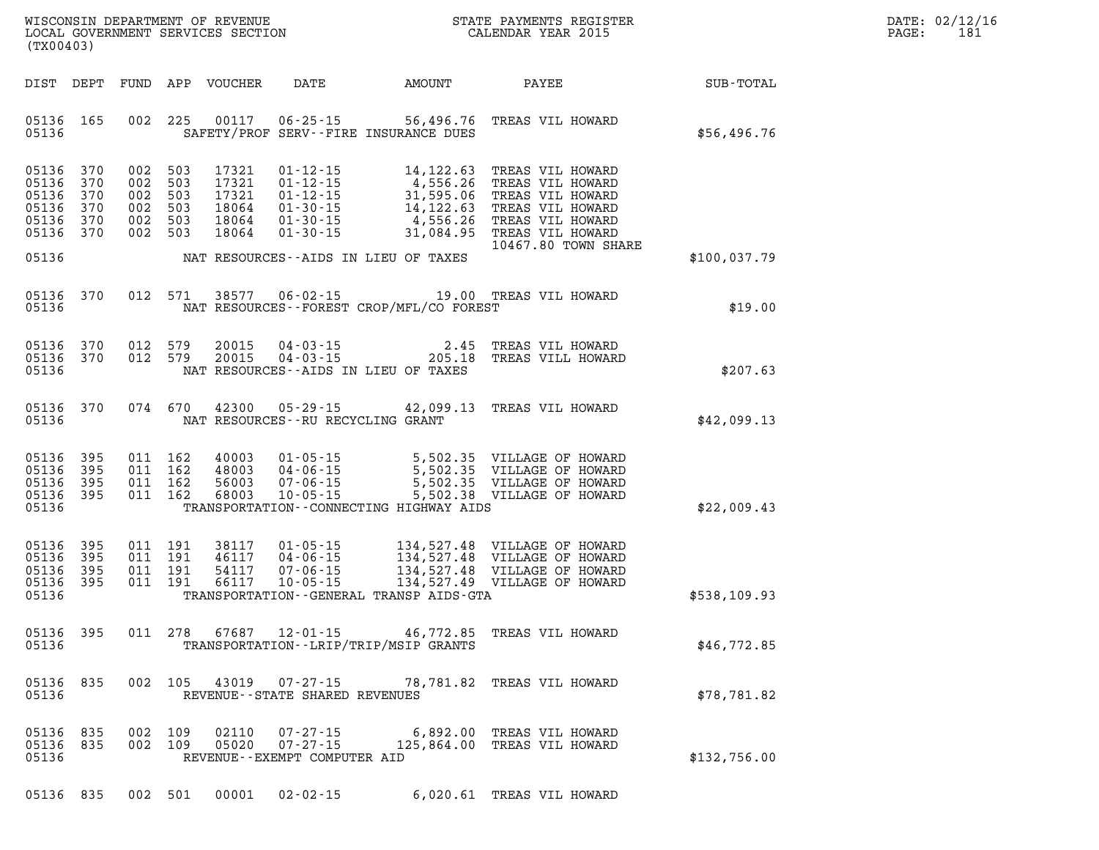| DATE: | 02/12/16 |
|-------|----------|
| PAGE: | 181      |

| WISCONSIN DEPARTMENT OF REVENUE<br>LOCAL GOVERNMENT SERVICES SECTION COLLENDAR YEAR 2015<br>(TX00403) |       |         |                                                                |               |                                                                  |                                                                                                                                                                                                                                                                          | STATE PAYMENTS REGISTER    |  |              | DATE: 02/12/1<br>PAGE:<br>181 |
|-------------------------------------------------------------------------------------------------------|-------|---------|----------------------------------------------------------------|---------------|------------------------------------------------------------------|--------------------------------------------------------------------------------------------------------------------------------------------------------------------------------------------------------------------------------------------------------------------------|----------------------------|--|--------------|-------------------------------|
|                                                                                                       |       |         |                                                                |               |                                                                  |                                                                                                                                                                                                                                                                          |                            |  |              |                               |
| 05136 165<br>05136                                                                                    |       |         |                                                                |               |                                                                  | 002 225 00117 06-25-15 56,496.76 TREAS VIL HOWARD<br>SAFETY/PROF SERV--FIRE INSURANCE DUES                                                                                                                                                                               |                            |  | \$56,496.76  |                               |
| 05136 370<br>05136 370<br>05136<br>05136 370<br>05136 370<br>05136 370                                | 370   |         | 002 503<br>002 503<br>002 503<br>002 503<br>002 503<br>002 503 |               |                                                                  | 17321  01-12-15  14,122.63  TREAS VIL HOWARD<br>17321  01-12-15  4,556.26  TREAS VIL HOWARD<br>17321  01-12-15  31,595.06  TREAS VIL HOWARD<br>18064  01-30-15  14,122.63  TREAS VIL HOWARD<br>18064  01-30-15  4,556.26  TREAS VIL HOWARD                               | 10467.80 TOWN SHARE        |  |              |                               |
| 05136                                                                                                 |       |         |                                                                |               |                                                                  | NAT RESOURCES--AIDS IN LIEU OF TAXES                                                                                                                                                                                                                                     |                            |  | \$100,037.79 |                               |
| 05136                                                                                                 |       |         |                                                                |               |                                                                  | 05136 370 012 571 38577 06-02-15 19.00 TREAS VIL HOWARD<br>NAT RESOURCES--FOREST CROP/MFL/CO FOREST                                                                                                                                                                      |                            |  | \$19.00      |                               |
| 05136 370<br>05136 370<br>05136                                                                       |       | 012 579 | 012 579                                                        |               |                                                                  | 20015  04-03-15  2.45  TREAS VIL HOWARD<br>20015  04-03-15  205.18  TREAS VILL HOWARD<br>NAT RESOURCES--AIDS IN LIEU OF TAXES                                                                                                                                            | 205.18 TREAS VILL HOWARD   |  | \$207.63     |                               |
| 05136 370<br>05136                                                                                    |       |         |                                                                | 074 670 42300 | NAT RESOURCES--RU RECYCLING GRANT                                | 05-29-15 42,099.13 TREAS VIL HOWARD                                                                                                                                                                                                                                      |                            |  | \$42,099.13  |                               |
| 05136 395<br>05136 395<br>05136 395<br>05136 395<br>05136                                             |       |         |                                                                | 011 162 68003 |                                                                  | TRANSPORTATION--CONNECTING HIGHWAY AIDS                                                                                                                                                                                                                                  |                            |  | \$22,009.43  |                               |
| 05136<br>05136 395<br>05136 395<br>05136 395<br>05136                                                 | - 395 |         |                                                                |               |                                                                  | 011 191 38117 01-05-15 134,527.48 VILLAGE OF HOWARD<br>011 191 46117 04-06-15 134,527.48 VILLAGE OF HOWARD<br>011 191 66117 10-05-15 134,527.48 VILLAGE OF HOWARD<br>011 191 66117 10-05-15 134,527.49 VILLAGE OF HOWARD<br>TRANSPORTATION - - GENERAL TRANSP AIDS - GTA |                            |  | \$538,109.93 |                               |
| 05136                                                                                                 |       |         |                                                                |               |                                                                  | 05136 395 011 278 67687 12-01-15 46,772.85 TREAS VIL HOWARD<br>TRANSPORTATION - - LRIP/TRIP/MSIP GRANTS                                                                                                                                                                  |                            |  | \$46,772.85  |                               |
| 05136 835<br>05136                                                                                    |       |         |                                                                |               | 002 105 43019 07-27-15<br>REVENUE - - STATE SHARED REVENUES      |                                                                                                                                                                                                                                                                          | 78,781.82 TREAS VIL HOWARD |  | \$78,781.82  |                               |
| 05136 835<br>05136 835<br>05136                                                                       |       |         | 002 109<br>002 109                                             | 02110         | $07 - 27 - 15$<br>05020 07-27-15<br>REVENUE--EXEMPT COMPUTER AID | 125,864.00 TREAS VIL HOWARD                                                                                                                                                                                                                                              | 6,892.00 TREAS VIL HOWARD  |  | \$132,756.00 |                               |

**05136 835 002 501 00001 02-02-15 6,020.61 TREAS VIL HOWARD**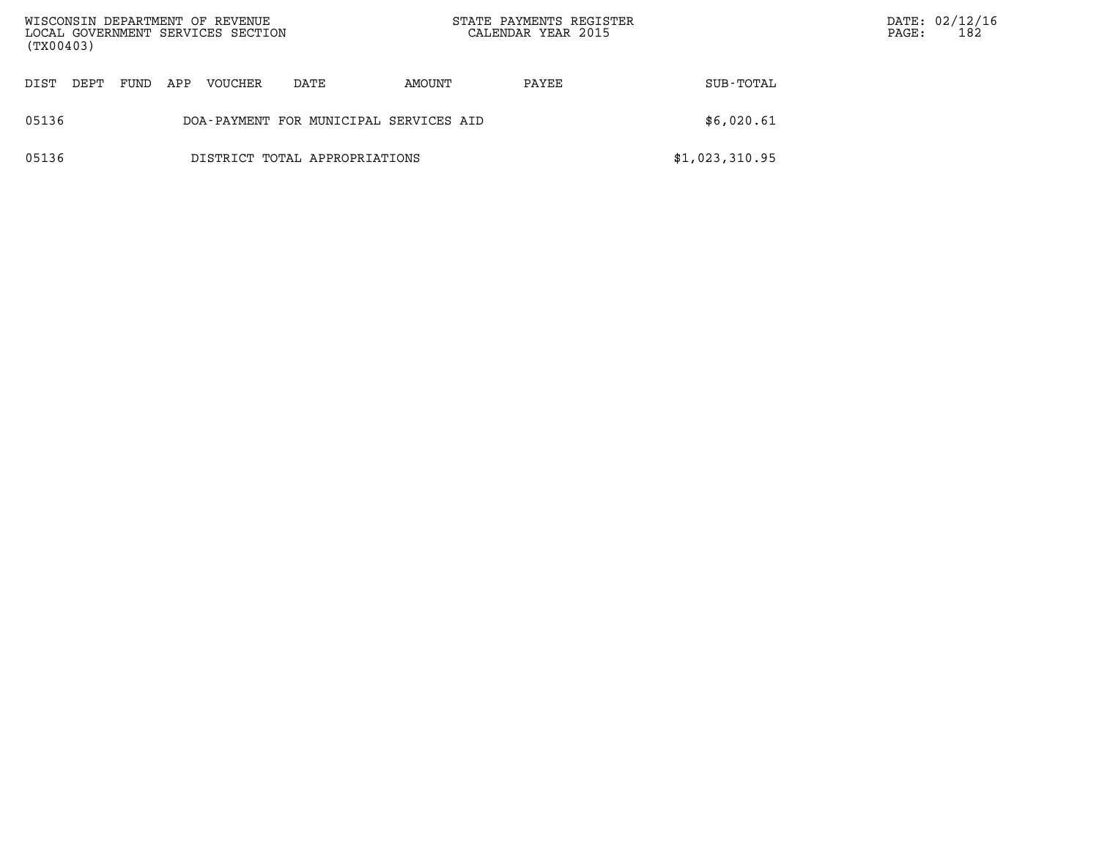| WISCONSIN DEPARTMENT OF REVENUE<br>LOCAL GOVERNMENT SERVICES SECTION<br>(TX00403) |                                        |      |     |         |      | STATE PAYMENTS REGISTER<br>CALENDAR YEAR 2015 |       |                | PAGE: | DATE: 02/12/16<br>182 |
|-----------------------------------------------------------------------------------|----------------------------------------|------|-----|---------|------|-----------------------------------------------|-------|----------------|-------|-----------------------|
| DIST                                                                              | DEPT.                                  | FUND | APP | VOUCHER | DATE | AMOUNT                                        | PAYEE | SUB-TOTAL      |       |                       |
| 05136                                                                             | DOA-PAYMENT FOR MUNICIPAL SERVICES AID |      |     |         |      |                                               |       | \$6,020.61     |       |                       |
| 05136                                                                             | DISTRICT TOTAL APPROPRIATIONS          |      |     |         |      |                                               |       | \$1,023,310.95 |       |                       |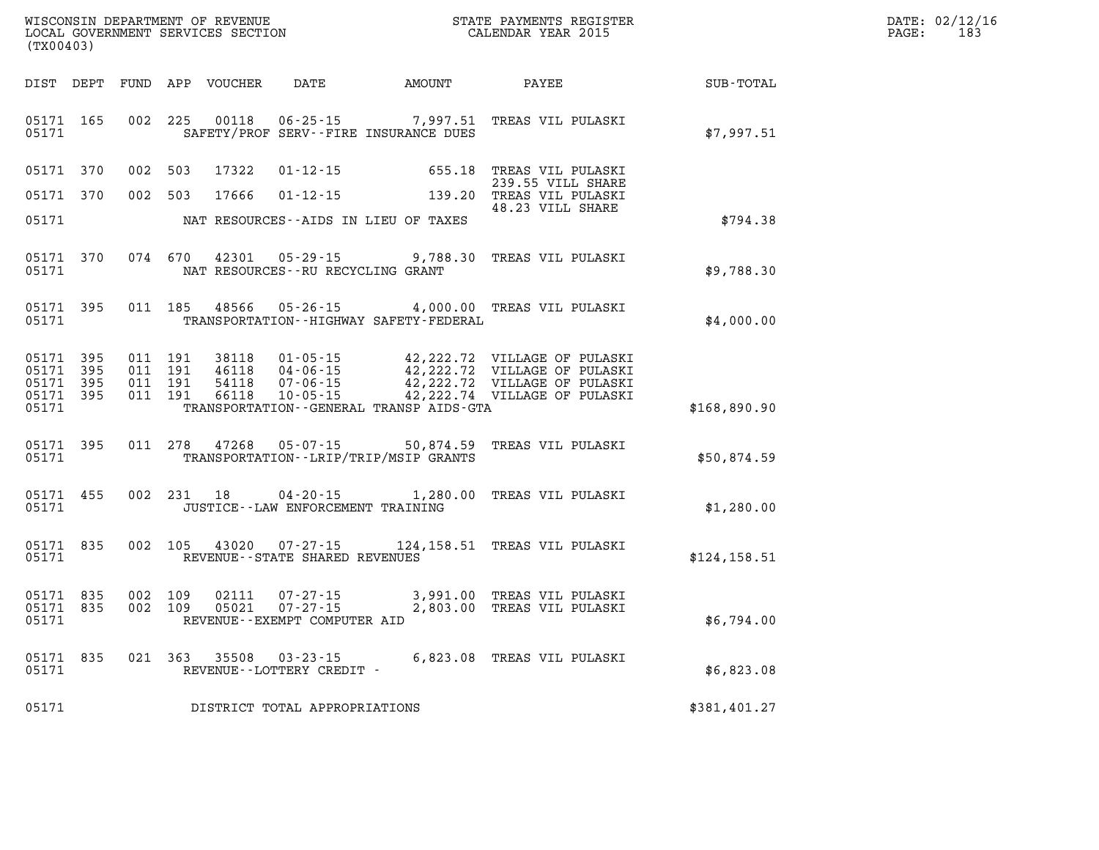| DATE: | 02/12/16 |
|-------|----------|
| PAGE: | 183      |

| WISCONSIN DEPARTMENT OF REVENUE<br>LOCAL GOVERNMENT SERVICES SECTION<br>(TX00403)                 |                                                                                                                                                                                      | STATE PAYMENTS REGISTER<br>CALENDAR YEAR 2015                                                                                          |                  |
|---------------------------------------------------------------------------------------------------|--------------------------------------------------------------------------------------------------------------------------------------------------------------------------------------|----------------------------------------------------------------------------------------------------------------------------------------|------------------|
| DIST<br>DEPT<br><b>FUND</b>                                                                       | APP<br>VOUCHER<br><b>DATE</b>                                                                                                                                                        | AMOUNT<br>PAYEE                                                                                                                        | <b>SUB-TOTAL</b> |
| 05171<br>165<br>002<br>05171                                                                      | 225<br>00118<br>$06 - 25 - 15$<br>SAFETY/PROF SERV--FIRE INSURANCE DUES                                                                                                              | 7,997.51<br>TREAS VIL PULASKI                                                                                                          | \$7,997.51       |
| 370<br>002<br>05171                                                                               | 503<br>17322<br>$01 - 12 - 15$                                                                                                                                                       | 655.18<br>TREAS VIL PULASKI<br>239.55 VILL SHARE                                                                                       |                  |
| 002<br>05171<br>370                                                                               | 503<br>17666<br>$01 - 12 - 15$                                                                                                                                                       | 139.20<br>TREAS VIL PULASKI<br>48.23 VILL SHARE                                                                                        |                  |
| 05171                                                                                             | NAT RESOURCES--AIDS IN LIEU OF TAXES                                                                                                                                                 |                                                                                                                                        | \$794.38         |
| 074<br>05171<br>370<br>05171                                                                      | 670<br>42301<br>$05 - 29 - 15$<br>NAT RESOURCES - - RU RECYCLING GRANT                                                                                                               | 9,788.30<br>TREAS VIL PULASKI                                                                                                          | \$9,788.30       |
| 395<br>011<br>05171<br>05171                                                                      | 185<br>48566<br>$05 - 26 - 15$<br>TRANSPORTATION - - HIGHWAY SAFETY - FEDERAL                                                                                                        | 4,000.00<br>TREAS VIL PULASKI                                                                                                          | \$4,000.00       |
| 05171<br>395<br>011<br>05171<br>395<br>011<br>05171<br>395<br>011<br>05171<br>395<br>011<br>05171 | 191<br>38118<br>$01 - 05 - 15$<br>191<br>46118<br>$04 - 06 - 15$<br>191<br>54118<br>$07 - 06 - 15$<br>191<br>66118<br>$10 - 05 - 15$<br>TRANSPORTATION - - GENERAL TRANSP AIDS - GTA | 42,222.72<br>VILLAGE OF PULASKI<br>42, 222.72<br>VILLAGE OF PULASKI<br>42,222.72<br>VILLAGE OF PULASKI<br>42,222.74 VILLAGE OF PULASKI | \$168,890.90     |
| 05171<br>395<br>011<br>05171                                                                      | 278<br>47268<br>$05 - 07 - 15$<br>TRANSPORTATION - - LRIP/TRIP/MSIP GRANTS                                                                                                           | 50,874.59<br>TREAS VIL PULASKI                                                                                                         | \$50,874.59      |
| 002<br>05171<br>455<br>05171                                                                      | 231<br>$04 - 20 - 15$<br>18<br>JUSTICE - - LAW ENFORCEMENT TRAINING                                                                                                                  | 1,280.00<br>TREAS VIL PULASKI                                                                                                          | \$1,280.00       |
| 05171<br>835<br>002<br>05171                                                                      | 105<br>43020<br>$07 - 27 - 15$<br>REVENUE - - STATE SHARED REVENUES                                                                                                                  | 124,158.51 TREAS VIL PULASKI                                                                                                           | \$124, 158.51    |
| 002<br>05171<br>835<br>002<br>05171<br>835<br>05171                                               | 109<br>02111<br>$07 - 27 - 15$<br>109<br>$07 - 27 - 15$<br>05021<br>REVENUE - - EXEMPT COMPUTER AID                                                                                  | 3,991.00<br>TREAS VIL PULASKI<br>2,803.00<br>TREAS VIL PULASKI                                                                         | \$6,794.00       |
| 835<br>021<br>05171<br>05171                                                                      | 363<br>35508<br>$03 - 23 - 15$<br>REVENUE--LOTTERY CREDIT -                                                                                                                          | 6,823.08<br>TREAS VIL PULASKI                                                                                                          | \$6,823.08       |
| 05171                                                                                             | DISTRICT TOTAL APPROPRIATIONS                                                                                                                                                        |                                                                                                                                        | \$381,401.27     |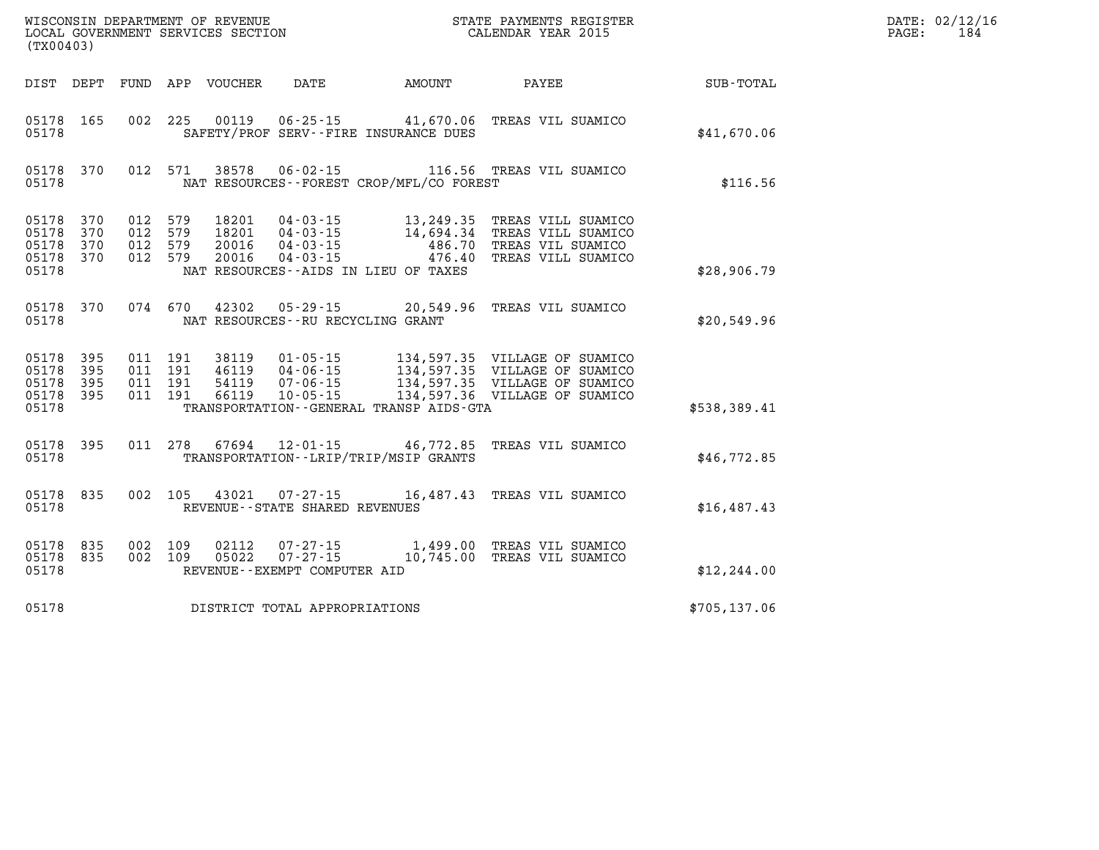| DATE: | 02/12/16 |
|-------|----------|
| PAGE: | 184      |

| (TX00403)                                 |                          | WISCONSIN DEPARTMENT OF REVENUE<br>LOCAL GOVERNMENT SERVICES SECTION |                          | STATE PAYMENTS REGISTER<br>CALENDAR YEAR 2015 |                                                                      |                                                                                      |                                                                                                                                                                   |                  |
|-------------------------------------------|--------------------------|----------------------------------------------------------------------|--------------------------|-----------------------------------------------|----------------------------------------------------------------------|--------------------------------------------------------------------------------------|-------------------------------------------------------------------------------------------------------------------------------------------------------------------|------------------|
| DIST                                      | DEPT                     | FUND                                                                 | APP                      | VOUCHER                                       | DATE                                                                 | AMOUNT                                                                               | PAYEE                                                                                                                                                             | <b>SUB-TOTAL</b> |
| 05178<br>05178                            | 165                      | 002                                                                  | 225                      | 00119                                         | $06 - 25 - 15$                                                       | 41,670.06<br>SAFETY/PROF SERV--FIRE INSURANCE DUES                                   | TREAS VIL SUAMICO                                                                                                                                                 | \$41,670.06      |
| 05178<br>05178                            | 370                      | 012                                                                  | 571                      | 38578                                         | $06 - 02 - 15$                                                       | NAT RESOURCES - - FOREST CROP/MFL/CO FOREST                                          | 116.56 TREAS VIL SUAMICO                                                                                                                                          | \$116.56         |
| 05178<br>05178<br>05178<br>05178<br>05178 | 370<br>370<br>370<br>370 | 012<br>012<br>012<br>012                                             | 579<br>579<br>579<br>579 | 18201<br>18201<br>20016<br>20016              | $04 - 03 - 15$<br>$04 - 03 - 15$<br>$04 - 03 - 15$<br>$04 - 03 - 15$ | 13,249.35<br>14,694.34<br>486.70<br>476.40<br>NAT RESOURCES -- AIDS IN LIEU OF TAXES | TREAS VILL SUAMICO<br>TREAS VILL SUAMICO<br>TREAS VIL SUAMICO<br>TREAS VILL SUAMICO                                                                               | \$28,906.79      |
| 05178<br>05178                            | 370                      | 074                                                                  | 670                      |                                               | NAT RESOURCES -- RU RECYCLING GRANT                                  | 42302 05-29-15 20,549.96                                                             | TREAS VIL SUAMICO                                                                                                                                                 | \$20,549.96      |
| 05178<br>05178<br>05178<br>05178<br>05178 | 395<br>395<br>395<br>395 | 011<br>011<br>011<br>011                                             | 191<br>191<br>191<br>191 | 38119<br>46119<br>54119<br>66119              | $01 - 05 - 15$<br>$04 - 06 - 15$<br>$07 - 06 - 15$<br>$10 - 05 - 15$ | TRANSPORTATION--GENERAL TRANSP AIDS-GTA                                              | 134,597.35 VILLAGE OF SUAMICO<br>134,597.35 VILLAGE OF SUAMICO<br>134,597.35 VILLAGE OF SUAMICO<br>134,597.35 VILLAGE OF SUAMICO<br>134,597.36 VILLAGE OF SUAMICO | \$538,389.41     |
| 05178<br>05178                            | 395                      | 011                                                                  | 278                      | 67694                                         |                                                                      | $12 - 01 - 15$ 46,772.85<br>TRANSPORTATION - - LRIP/TRIP/MSIP GRANTS                 | TREAS VIL SUAMICO                                                                                                                                                 | \$46,772.85      |
| 05178<br>05178                            | 835                      | 002                                                                  | 105                      | 43021                                         | $07 - 27 - 15$<br>REVENUE - - STATE SHARED REVENUES                  | 16,487.43                                                                            | TREAS VIL SUAMICO                                                                                                                                                 | \$16,487.43      |
| 05178<br>05178<br>05178                   | 835<br>835               | 002<br>002                                                           | 109<br>109               | 02112<br>05022                                | $07 - 27 - 15$<br>$07 - 27 - 15$<br>REVENUE--EXEMPT COMPUTER AID     | 10,745.00                                                                            | 1,499.00 TREAS VIL SUAMICO<br>TREAS VIL SUAMICO                                                                                                                   | \$12, 244.00     |
| 05178                                     |                          |                                                                      |                          |                                               | DISTRICT TOTAL APPROPRIATIONS                                        |                                                                                      |                                                                                                                                                                   | \$705,137.06     |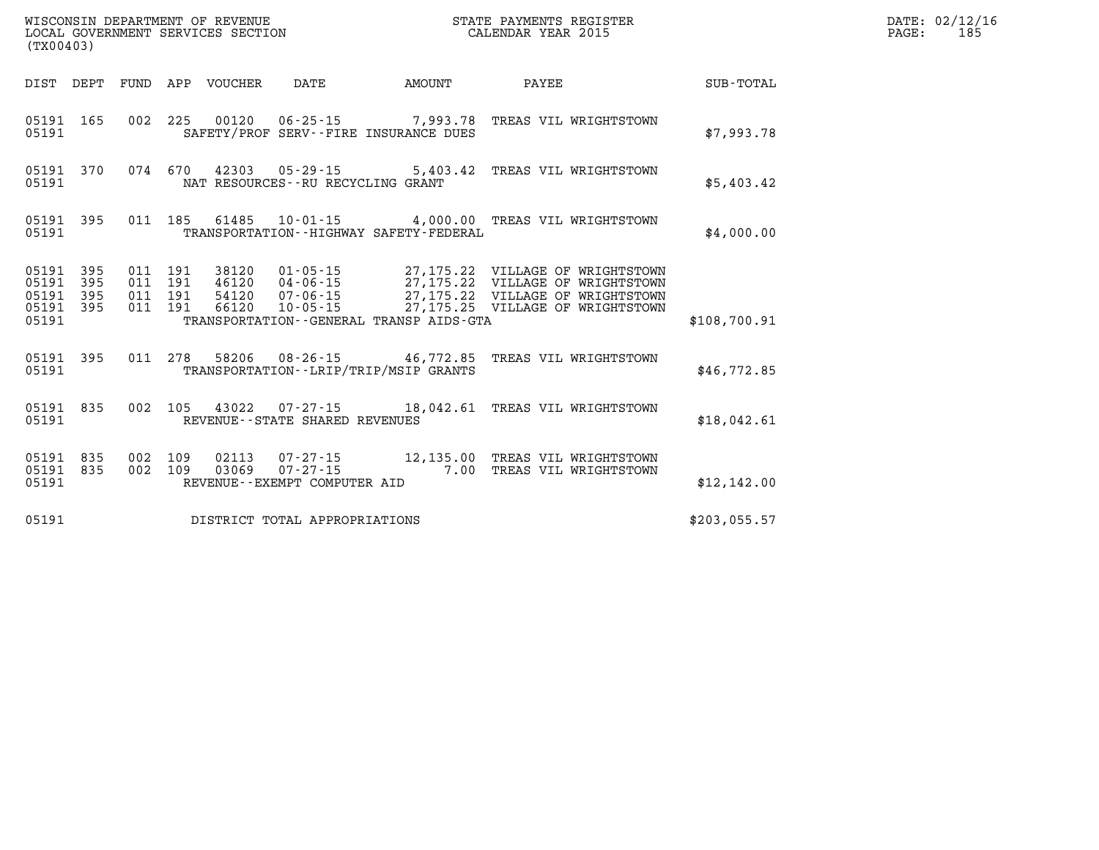|       | LOCAL GOVERNMENT SERVICES SECTION CALENDAR YEAR 2015<br>(TX00403) |  |  |                                 |                                   |                                             |                                                                                                                                                                                                                                                                                                                                                |              | PAGE: | 185 |
|-------|-------------------------------------------------------------------|--|--|---------------------------------|-----------------------------------|---------------------------------------------|------------------------------------------------------------------------------------------------------------------------------------------------------------------------------------------------------------------------------------------------------------------------------------------------------------------------------------------------|--------------|-------|-----|
|       |                                                                   |  |  | DIST DEPT FUND APP VOUCHER DATE |                                   |                                             |                                                                                                                                                                                                                                                                                                                                                |              |       |     |
| 05191 |                                                                   |  |  |                                 |                                   | SAFETY/PROF SERV--FIRE INSURANCE DUES       | 05191 165 002 225 00120 06-25-15 7,993.78 TREAS VIL WRIGHTSTOWN                                                                                                                                                                                                                                                                                | \$7,993.78   |       |     |
| 05191 |                                                                   |  |  |                                 | NAT RESOURCES--RU RECYCLING GRANT |                                             | 05191 370 074 670 42303 05-29-15 5,403.42 TREAS VIL WRIGHTSTOWN                                                                                                                                                                                                                                                                                | \$5,403.42   |       |     |
| 05191 |                                                                   |  |  |                                 |                                   | TRANSPORTATION - - HIGHWAY SAFETY - FEDERAL | 05191 395 011 185 61485 10-01-15 4,000.00 TREAS VIL WRIGHTSTOWN                                                                                                                                                                                                                                                                                | \$4,000.00   |       |     |
| 05191 |                                                                   |  |  |                                 |                                   | TRANSPORTATION--GENERAL TRANSP AIDS-GTA     | $\begin{array}{cccccccc} 05191 & 395 & 011 & 191 & 38120 & 01\cdot 05\cdot 15 & 27\,, 175\,. 22 & \text{VILLAGE OF WRIGHTSTOWN} \\ 05191 & 395 & 011 & 191 & 46120 & 04\cdot 06\cdot 15 & 27\,, 175\,. 22 & \text{VILLAGE OF WRIGHTSTOWN} \\ 05191 & 395 & 011 & 191 & 54120 & 07\cdot 06\cdot 15 & 27\,, 175\,. 22 & \text{VILLAGE OF WRIGHT$ | \$108,700.91 |       |     |
| 05191 |                                                                   |  |  |                                 |                                   | TRANSPORTATION--LRIP/TRIP/MSIP GRANTS       | 05191 395 011 278 58206 08-26-15 46,772.85 TREAS VIL WRIGHTSTOWN                                                                                                                                                                                                                                                                               | \$46,772.85  |       |     |
| 05191 |                                                                   |  |  |                                 | REVENUE--STATE SHARED REVENUES    |                                             | 05191 835 002 105 43022 07-27-15 18,042.61 TREAS VIL WRIGHTSTOWN                                                                                                                                                                                                                                                                               | \$18,042.61  |       |     |
| 05191 | 05191 835<br>05191 835                                            |  |  |                                 | REVENUE--EXEMPT COMPUTER AID      |                                             | 002 109 02113 07-27-15 12,135.00 TREAS VIL WRIGHTSTOWN<br>002 109 03069 07-27-15 7.00 TREAS VIL WRIGHTSTOWN                                                                                                                                                                                                                                    | \$12,142.00  |       |     |
| 05191 |                                                                   |  |  |                                 | DISTRICT TOTAL APPROPRIATIONS     |                                             |                                                                                                                                                                                                                                                                                                                                                | \$203,055.57 |       |     |

**WISCONSIN DEPARTMENT OF REVENUE STATE PAYMENTS REGISTER DATE: 02/12/16**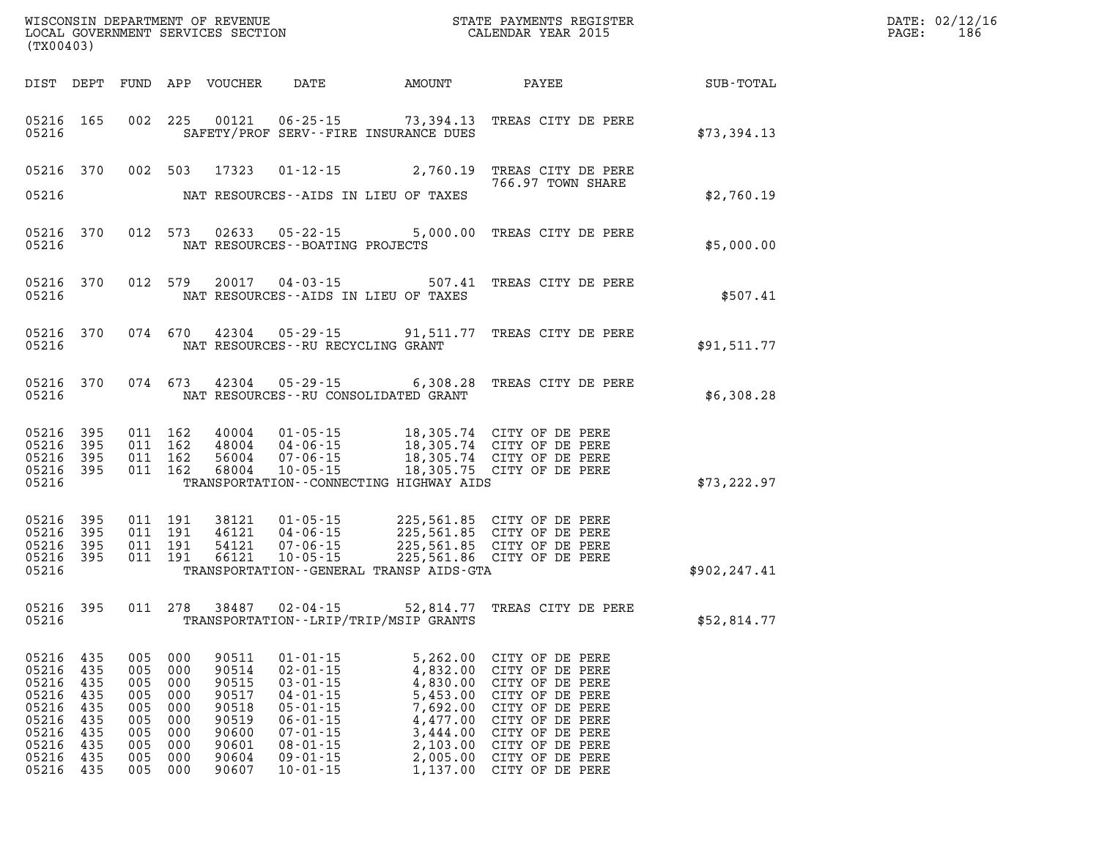| (TX00403)                                                                                  |                                                             |                                                             |                                                                        |                                                                                        | WISCONSIN DEPARTMENT OF REVENUE<br>LOCAL GOVERNMENT SERVICES SECTION                                                                                                             |                                                                                                                      | STATE PAYMENTS REGISTER<br>CALENDAR YEAR 2015                                                                                                                                              |               | DATE: 02/12/16<br>$\mathtt{PAGE}$ :<br>186 |
|--------------------------------------------------------------------------------------------|-------------------------------------------------------------|-------------------------------------------------------------|------------------------------------------------------------------------|----------------------------------------------------------------------------------------|----------------------------------------------------------------------------------------------------------------------------------------------------------------------------------|----------------------------------------------------------------------------------------------------------------------|--------------------------------------------------------------------------------------------------------------------------------------------------------------------------------------------|---------------|--------------------------------------------|
|                                                                                            | DIST DEPT                                                   |                                                             |                                                                        | FUND APP VOUCHER                                                                       | DATE                                                                                                                                                                             | AMOUNT                                                                                                               | PAYEE                                                                                                                                                                                      | SUB-TOTAL     |                                            |
| 05216 165<br>05216                                                                         |                                                             |                                                             | 002 225                                                                | 00121                                                                                  | $06 - 25 - 15$                                                                                                                                                                   | SAFETY/PROF SERV--FIRE INSURANCE DUES                                                                                | 73,394.13 TREAS CITY DE PERE                                                                                                                                                               | \$73,394.13   |                                            |
| 05216                                                                                      | 05216 370                                                   |                                                             |                                                                        | 002 503 17323                                                                          | $01 - 12 - 15$                                                                                                                                                                   | 2,760.19<br>NAT RESOURCES--AIDS IN LIEU OF TAXES                                                                     | TREAS CITY DE PERE<br>766.97 TOWN SHARE                                                                                                                                                    | \$2,760.19    |                                            |
| 05216                                                                                      | 05216 370                                                   |                                                             | 012 573                                                                |                                                                                        | NAT RESOURCES--BOATING PROJECTS                                                                                                                                                  |                                                                                                                      | 02633  05-22-15  5,000.00  TREAS CITY DE PERE                                                                                                                                              | \$5,000.00    |                                            |
| 05216                                                                                      | 05216 370                                                   |                                                             | 012 579                                                                |                                                                                        |                                                                                                                                                                                  | NAT RESOURCES--AIDS IN LIEU OF TAXES                                                                                 | 20017  04-03-15  507.41 TREAS CITY DE PERE                                                                                                                                                 | \$507.41      |                                            |
| 05216                                                                                      | 05216 370                                                   |                                                             | 074 670                                                                | 42304                                                                                  | NAT RESOURCES--RU RECYCLING GRANT                                                                                                                                                |                                                                                                                      | 05-29-15 91,511.77 TREAS CITY DE PERE                                                                                                                                                      | \$91,511.77   |                                            |
| 05216                                                                                      | 05216 370                                                   |                                                             | 074 673                                                                | 42304                                                                                  |                                                                                                                                                                                  | NAT RESOURCES--RU CONSOLIDATED GRANT                                                                                 | 05-29-15 6,308.28 TREAS CITY DE PERE                                                                                                                                                       | \$6,308.28    |                                            |
| 05216<br>05216<br>05216<br>05216<br>05216                                                  | - 395<br>395<br>395<br>-395                                 |                                                             | 011 162<br>011 162<br>011 162<br>011 162                               | 40004<br>56004<br>68004                                                                | $01 - 05 - 15$<br>48004 04-06-15<br>07-06-15<br>$10 - 05 - 15$                                                                                                                   | TRANSPORTATION--CONNECTING HIGHWAY AIDS                                                                              | 18,305.74 CITY OF DE PERE<br>18,305.74 CITY OF DE PERE<br>18,305.74 CITY OF DE PERE<br>18,305.75 CITY OF DE PERE                                                                           | \$73, 222.97  |                                            |
| 05216 395<br>05216<br>05216<br>05216<br>05216                                              | 395<br>395<br>395                                           |                                                             | 011 191<br>011 191<br>011 191<br>011 191                               | 38121<br>46121<br>54121<br>66121                                                       | $01 - 05 - 15$<br>$04 - 06 - 15$<br>04 - 06 - 15<br>07 - 06 - 15                                                                                                                 | TRANSPORTATION - - GENERAL TRANSP AIDS - GTA                                                                         | 225,561.85 CITY OF DE PERE<br>225,561.85 CITY OF DE PERE<br>225,561.85 CITY OF DE PERE<br>10-05-15 225,561.86 CITY OF DE PERE                                                              | \$902, 247.41 |                                            |
| 05216                                                                                      | 05216 395                                                   |                                                             |                                                                        | 011 278 38487                                                                          | $02 - 04 - 15$                                                                                                                                                                   | TRANSPORTATION - - LRIP/TRIP/MSIP GRANTS                                                                             | 52,814.77 TREAS CITY DE PERE                                                                                                                                                               | \$52,814.77   |                                            |
| 05216<br>05216<br>05216<br>05216<br>05216<br>05216<br>05216<br>05216<br>05216<br>05216 435 | 435<br>435<br>435<br>435<br>435<br>435<br>435<br>435<br>435 | 005<br>005<br>005<br>005<br>005<br>005<br>005<br>005<br>005 | 000<br>000<br>000<br>000<br>000<br>000<br>000<br>000<br>000<br>005 000 | 90511<br>90514<br>90515<br>90517<br>90518<br>90519<br>90600<br>90601<br>90604<br>90607 | $01 - 01 - 15$<br>$02 - 01 - 15$<br>$03 - 01 - 15$<br>$04 - 01 - 15$<br>$05 - 01 - 15$<br>$06 - 01 - 15$<br>$07 - 01 - 15$<br>$08 - 01 - 15$<br>$09 - 01 - 15$<br>$10 - 01 - 15$ | 5,262.00<br>4,832.00<br>4,830.00<br>5,453.00<br>7,692.00<br>4,477.00<br>3,444.00<br>2,103.00<br>2,005.00<br>1,137.00 | CITY OF DE PERE<br>CITY OF DE PERE<br>CITY OF DE PERE<br>CITY OF DE PERE<br>CITY OF DE PERE<br>CITY OF DE PERE<br>CITY OF DE PERE<br>CITY OF DE PERE<br>CITY OF DE PERE<br>CITY OF DE PERE |               |                                            |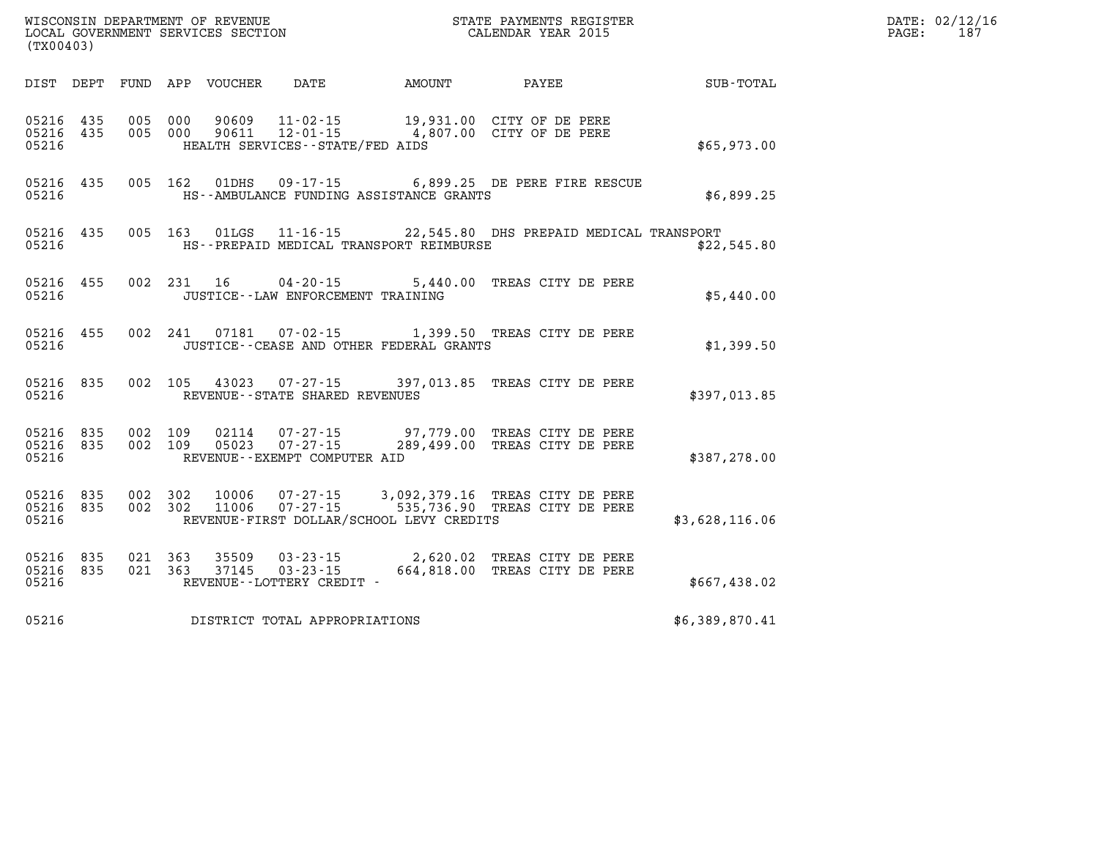| (TX00403)                       |            |            |                |                  |                                      |                                           | LOCAL GOVERNMENT SERVICES SECTION CALEMDAR YEAR 2015                                                |                |
|---------------------------------|------------|------------|----------------|------------------|--------------------------------------|-------------------------------------------|-----------------------------------------------------------------------------------------------------|----------------|
| DIST                            | DEPT       |            |                | FUND APP VOUCHER |                                      | DATE AMOUNT                               | PAYEE SUB-TOTAL                                                                                     |                |
| 05216 435<br>05216 435<br>05216 |            | 005<br>005 | 000<br>000     |                  | HEALTH SERVICES--STATE/FED AIDS      |                                           | 90609  11-02-15  19,931.00  CITY OF DE PERE<br>90611  12-01-15  4,807.00  CITY OF DE PERE           | \$65,973.00    |
| 05216 435<br>05216              |            |            | 005 162        |                  |                                      | HS--AMBULANCE FUNDING ASSISTANCE GRANTS   | 01DHS  09-17-15  6,899.25 DE PERE FIRE RESCUE                                                       | \$6,899.25     |
| 05216<br>05216                  | 435        |            |                |                  |                                      | HS--PREPAID MEDICAL TRANSPORT REIMBURSE   | 005 163 01LGS 11-16-15 22,545.80 DHS PREPAID MEDICAL TRANSPORT                                      | \$22,545.80    |
| 05216<br>05216                  | 455        |            | 002 231        | 16               | JUSTICE - - LAW ENFORCEMENT TRAINING |                                           | 04-20-15 5,440.00 TREAS CITY DE PERE                                                                | \$5,440.00     |
| 05216 455<br>05216              |            |            | 002 241        |                  |                                      | JUSTICE -- CEASE AND OTHER FEDERAL GRANTS | 07181  07-02-15  1,399.50  TREAS CITY DE PERE                                                       | \$1,399.50     |
| 05216<br>05216                  | 835        | 002        |                |                  | REVENUE - - STATE SHARED REVENUES    |                                           | 105 43023 07-27-15 397,013.85 TREAS CITY DE PERE                                                    | \$397,013.85   |
| 05216<br>05216 835<br>05216     | 835        | 002<br>002 | 109<br>109     |                  | REVENUE--EXEMPT COMPUTER AID         |                                           | 02114  07-27-15  97,779.00 TREAS CITY DE PERE<br>05023  07-27-15  289,499.00 TREAS CITY DE PERE     | \$387,278.00   |
| 05216<br>05216 835<br>05216     | 835        | 002<br>002 | 302<br>302     |                  |                                      | REVENUE-FIRST DOLLAR/SCHOOL LEVY CREDITS  | 10006  07-27-15  3,092,379.16  TREAS CITY DE PERE<br>11006  07-27-15  535,736.90 TREAS CITY DE PERE | \$3,628,116.06 |
| 05216<br>05216<br>05216         | 835<br>835 | 021        | 363<br>021 363 | 35509<br>37145   | REVENUE--LOTTERY CREDIT -            |                                           | 03-23-15 2,620.02 TREAS CITY DE PERE<br>03-23-15 664,818.00 TREAS CITY DE PERE                      | \$667,438.02   |
| 05216                           |            |            |                |                  | DISTRICT TOTAL APPROPRIATIONS        |                                           |                                                                                                     | \$6,389,870.41 |

**DATE: 02/12/16<br>PAGE: 187** 

**WISCONSIN DEPARTMENT OF REVENUE STATE PAYMENTS REGISTER**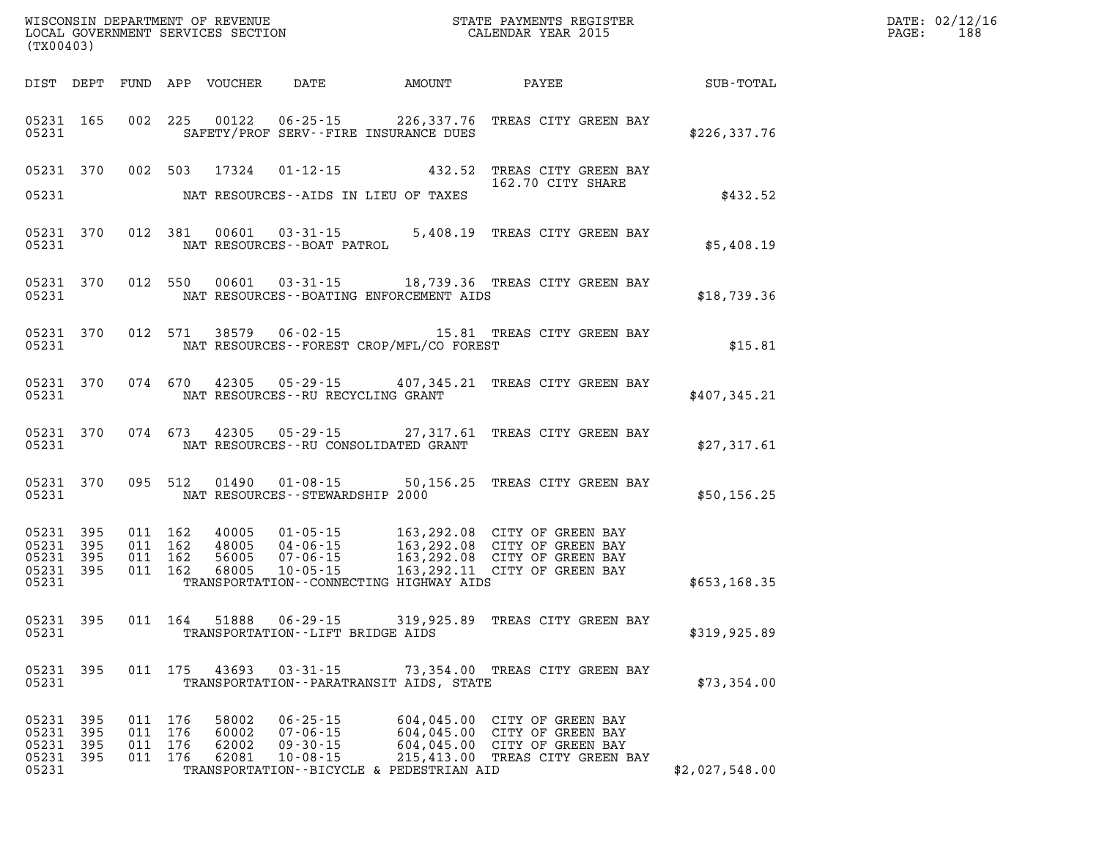| (TX00403)                                         |            |                                          |                                  |                                                                      |                                                |                                                                                                                                                                                                                          |                         |             | $\mathtt{PAGE:}$ | DATE: 02/12/16<br>188 |
|---------------------------------------------------|------------|------------------------------------------|----------------------------------|----------------------------------------------------------------------|------------------------------------------------|--------------------------------------------------------------------------------------------------------------------------------------------------------------------------------------------------------------------------|-------------------------|-------------|------------------|-----------------------|
|                                                   |            |                                          |                                  |                                                                      |                                                |                                                                                                                                                                                                                          |                         |             |                  |                       |
|                                                   |            |                                          |                                  |                                                                      | 05231 SAFETY/PROF SERV--FIRE INSURANCE DUES    | 05231 165 002 225 00122 06-25-15 226,337.76 TREAS CITY GREEN BAY                                                                                                                                                         | EEN BAY<br>\$226,337.76 |             |                  |                       |
|                                                   |            |                                          |                                  |                                                                      |                                                | 05231 370 002 503 17324 01-12-15 432.52 TREAS CITY GREEN BAY<br>162.70 CITY SHARE<br>162.70 CITY SHARE                                                                                                                   |                         |             |                  |                       |
|                                                   |            |                                          |                                  |                                                                      | 05231 NAT RESOURCES--AIDS IN LIEU OF TAXES     |                                                                                                                                                                                                                          |                         | \$432.52    |                  |                       |
|                                                   |            |                                          |                                  | 05231 NAT RESOURCES--BOAT PATROL                                     |                                                | 05231 370 012 381 00601 03-31-15 5,408.19 TREAS CITY GREEN BAY \$5,408.19                                                                                                                                                |                         |             |                  |                       |
|                                                   |            |                                          |                                  |                                                                      |                                                | 05231 370 012 550 00601 03-31-15 18,739.36 TREAS CITY GREEN BAY<br>05231 05231 NAT RESOURCES--BOATING ENFORCEMENT AIDS                                                                                                   |                         |             |                  |                       |
|                                                   |            |                                          |                                  |                                                                      | 05231 NAT RESOURCES--FOREST CROP/MFL/CO FOREST | 05231 370 012 571 38579 06-02-15 15.81 TREAS CITY GREEN BAY                                                                                                                                                              |                         | \$15.81     |                  |                       |
|                                                   |            |                                          |                                  |                                                                      | 05231 NAT RESOURCES--RU RECYCLING GRANT        | 05231 370 074 670 42305 05-29-15 407,345.21 TREAS CITY GREEN BAY                                                                                                                                                         | \$407,345.21            |             |                  |                       |
|                                                   |            |                                          |                                  |                                                                      | 05231 NAT RESOURCES--RU CONSOLIDATED GRANT     | 05231 370 074 673 42305 05-29-15 27,317.61 TREAS CITY GREEN BAY<br>\$27,317.61 \$27,317.61                                                                                                                               |                         |             |                  |                       |
|                                                   |            |                                          |                                  |                                                                      |                                                | 05231 370 095 512 01490 01-08-15 50,156.25 TREAS CITY GREEN BAY<br>\$50,156.25 \$                                                                                                                                        |                         |             |                  |                       |
| 05231 395<br>05231 395<br>05231 395               | 05231 395  |                                          |                                  |                                                                      |                                                | 011 162 40005 01-05-15 163,292.08 CITY OF GREEN BAY<br>011 162 48005 04-06-15 163,292.08 CITY OF GREEN BAY<br>011 162 56005 07-06-15 163,292.08 CITY OF GREEN BAY<br>011 162 68005 10-05-15 163,292.11 CITY OF GREEN BAY |                         |             |                  |                       |
| 05231                                             |            |                                          |                                  |                                                                      | TRANSPORTATION - CONNECTING HIGHWAY AIDS       |                                                                                                                                                                                                                          | \$653,168.35            |             |                  |                       |
|                                                   |            |                                          |                                  |                                                                      | 05231 TRANSPORTATION--LIFT BRIDGE AIDS         | 05231 395 011 164 51888 06-29-15 319,925.89 TREAS CITY GREEN BAY                                                                                                                                                         | \$319,925.89            |             |                  |                       |
| 05231                                             | 05231 395  |                                          | 011 175 43693                    | $03 - 31 - 15$                                                       | TRANSPORTATION - - PARATRANSIT AIDS, STATE     | 73,354.00 TREAS CITY GREEN BAY                                                                                                                                                                                           |                         | \$73,354.00 |                  |                       |
| 05231 395<br>05231<br>05231<br>05231 395<br>05231 | 395<br>395 | 011 176<br>011 176<br>011 176<br>011 176 | 58002<br>60002<br>62002<br>62081 | $06 - 25 - 15$<br>$07 - 06 - 15$<br>$09 - 30 - 15$<br>$10 - 08 - 15$ | TRANSPORTATION--BICYCLE & PEDESTRIAN AID       | 604,045.00 CITY OF GREEN BAY<br>604,045.00 CITY OF GREEN BAY<br>604,045.00 CITY OF GREEN BAY<br>215,413.00 TREAS CITY GREEN BAY                                                                                          | \$2,027,548.00          |             |                  |                       |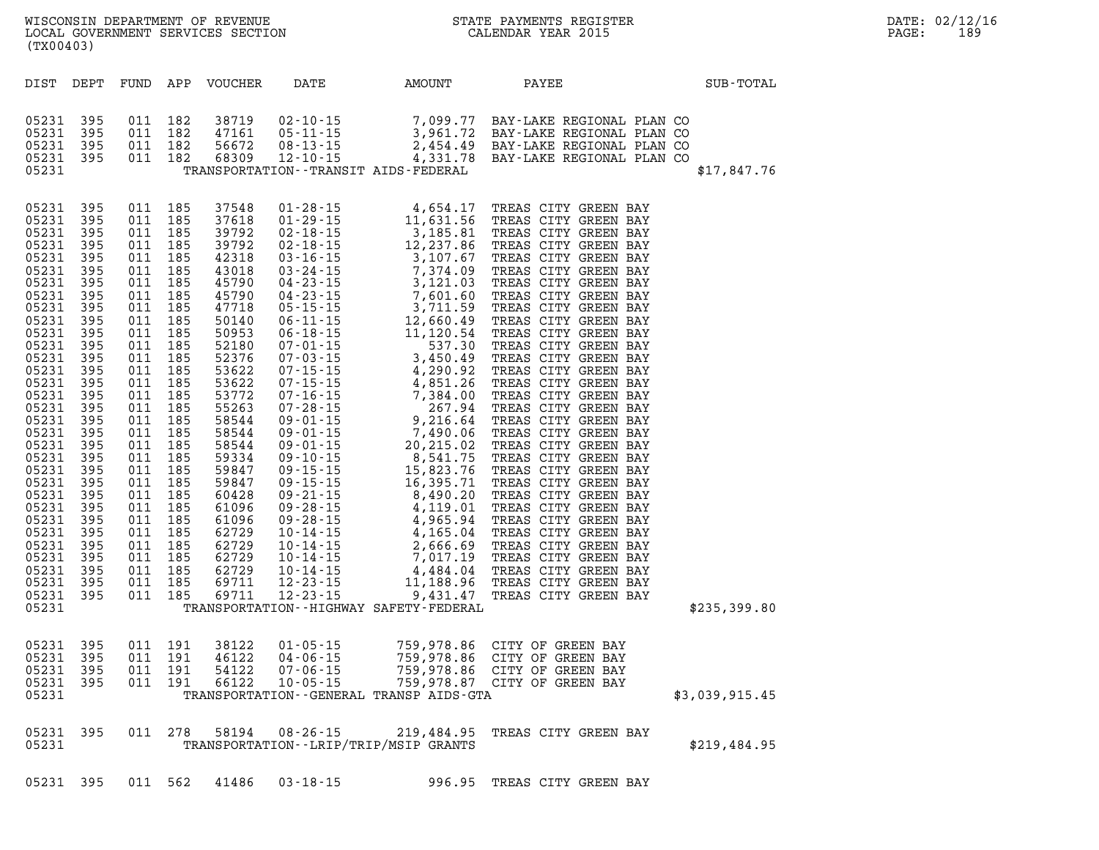**(TX00403)** 

| DIST                                                                                                                                                                                                                                                                                                  | DEPT                                                                                                                                                                                                                         | FUND                                                                                                                                                                                                                         | APP                                                                                                                                                                                                                          | <b>VOUCHER</b>                   | DATE                                                                 | AMOUNT                                                                                                                                                                                                                                                                                                                                                                                               | PAYEE                                                                                                                                                                                                                                                                                                                                                                                                                                                                                                                                                                                                                                                                                                                                                                                                                     | SUB-TOTAL      |
|-------------------------------------------------------------------------------------------------------------------------------------------------------------------------------------------------------------------------------------------------------------------------------------------------------|------------------------------------------------------------------------------------------------------------------------------------------------------------------------------------------------------------------------------|------------------------------------------------------------------------------------------------------------------------------------------------------------------------------------------------------------------------------|------------------------------------------------------------------------------------------------------------------------------------------------------------------------------------------------------------------------------|----------------------------------|----------------------------------------------------------------------|------------------------------------------------------------------------------------------------------------------------------------------------------------------------------------------------------------------------------------------------------------------------------------------------------------------------------------------------------------------------------------------------------|---------------------------------------------------------------------------------------------------------------------------------------------------------------------------------------------------------------------------------------------------------------------------------------------------------------------------------------------------------------------------------------------------------------------------------------------------------------------------------------------------------------------------------------------------------------------------------------------------------------------------------------------------------------------------------------------------------------------------------------------------------------------------------------------------------------------------|----------------|
| 05231<br>05231<br>05231<br>05231<br>05231                                                                                                                                                                                                                                                             | 395<br>395<br>395<br>395                                                                                                                                                                                                     | 011<br>011<br>011<br>011                                                                                                                                                                                                     | 182<br>182<br>182<br>182                                                                                                                                                                                                     | 38719<br>47161<br>56672<br>68309 | $02 - 10 - 15$<br>$05 - 11 - 15$<br>$08 - 13 - 15$<br>$12 - 10 - 15$ | TRANSPORTATION - - TRANSIT AIDS - FEDERAL                                                                                                                                                                                                                                                                                                                                                            |                                                                                                                                                                                                                                                                                                                                                                                                                                                                                                                                                                                                                                                                                                                                                                                                                           | \$17,847.76    |
| 05231<br>05231<br>05231<br>05231<br>05231<br>05231<br>05231<br>05231<br>05231<br>05231<br>05231<br>05231<br>05231<br>05231<br>05231<br>05231<br>05231<br>05231<br>05231<br>05231<br>05231<br>05231<br>05231<br>05231<br>05231<br>05231<br>05231<br>05231<br>05231<br>05231<br>05231<br>05231<br>05231 | 395<br>395<br>395<br>395<br>395<br>395<br>395<br>395<br>395<br>395<br>395<br>395<br>395<br>395<br>395<br>395<br>395<br>395<br>395<br>395<br>395<br>395<br>395<br>395<br>395<br>395<br>395<br>395<br>395<br>395<br>395<br>395 | 011<br>011<br>011<br>011<br>011<br>011<br>011<br>011<br>011<br>011<br>011<br>011<br>011<br>011<br>011<br>011<br>011<br>011<br>011<br>011<br>011<br>011<br>011<br>011<br>011<br>011<br>011<br>011<br>011<br>011<br>011<br>011 | 185<br>185<br>185<br>185<br>185<br>185<br>185<br>185<br>185<br>185<br>185<br>185<br>185<br>185<br>185<br>185<br>185<br>185<br>185<br>185<br>185<br>185<br>185<br>185<br>185<br>185<br>185<br>185<br>185<br>185<br>185<br>185 | 37548<br>37618<br>39792          | $01 - 28 - 15$<br>$01 - 29 - 15$<br>$02 - 18 - 15$                   | 4,654.17<br>11,631.56<br>3,185.81<br>$\begin{array}{cccc} 37618&01\cdot29\cdot15&14\cdot631.56&1\\ 39792&02\cdot18\cdot15&3\cdot125.81&11\\ 42318&03\cdot16\cdot15&3\cdot1207.86&1\\ 42318&03\cdot16\cdot15&7\cdot374.09&1\\ 45790&04\cdot23\cdot15&7\cdot131.03&1\\ 45790&04\cdot23\cdot15&7\cdot601.60&1\\ 45790&04\cdot23\cdot15&7\cdot601.60&1\\$<br>TRANSPORTATION - - HIGHWAY SAFETY - FEDERAL | TREAS CITY GREEN BAY<br>TREAS CITY GREEN BAY<br>TREAS CITY GREEN BAY<br>TREAS CITY GREEN BAY<br>TREAS CITY GREEN BAY<br>TREAS CITY GREEN BAY<br>TREAS CITY GREEN BAY<br>TREAS CITY GREEN BAY<br>TREAS CITY GREEN BAY<br>TREAS CITY GREEN BAY<br>TREAS CITY GREEN BAY<br>TREAS CITY GREEN BAY<br>TREAS CITY GREEN BAY<br>TREAS CITY GREEN BAY<br>TREAS CITY GREEN BAY<br>TREAS CITY GREEN BAY<br>TREAS CITY GREEN BAY<br>TREAS CITY GREEN BAY<br>TREAS CITY GREEN BAY<br>TREAS CITY GREEN BAY<br>TREAS CITY GREEN BAY<br>15,823.76 TREAS CITY GREEN BAY<br>TREAS CITY GREEN BAY<br>TREAS CITY GREEN BAY<br>TREAS CITY GREEN BAY<br>TREAS CITY GREEN BAY<br>TREAS CITY GREEN BAY<br>TREAS CITY GREEN BAY<br>TREAS CITY GREEN BAY<br>4,484.04 TREAS CITY GREEN BAY<br>11,188.96 TREAS CITY GREEN BAY<br>TREAS CITY GREEN BAY | \$235,399.80   |
| 05231<br>05231<br>05231<br>05231<br>05231                                                                                                                                                                                                                                                             | 395<br>395<br>395<br>395                                                                                                                                                                                                     | 011<br>011<br>011<br>011                                                                                                                                                                                                     | 191<br>191<br>191<br>191                                                                                                                                                                                                     | 38122<br>46122<br>54122<br>66122 | $01 - 05 - 15$<br>$04 - 06 - 15$<br>$07 - 06 - 15$<br>$10 - 05 - 15$ | TRANSPORTATION--GENERAL TRANSP AIDS-GTA                                                                                                                                                                                                                                                                                                                                                              | 759,978.86 CITY OF GREEN BAY<br>759,978.86 CITY OF GREEN BAY<br>759,978.86 CITY OF GREEN BAY<br>759,978.87 CITY OF GREEN BAY                                                                                                                                                                                                                                                                                                                                                                                                                                                                                                                                                                                                                                                                                              | \$3,039,915.45 |
| 05231<br>05231                                                                                                                                                                                                                                                                                        | 395                                                                                                                                                                                                                          | 011                                                                                                                                                                                                                          | 278                                                                                                                                                                                                                          | 58194                            | $08 - 26 - 15$                                                       | TRANSPORTATION - - LRIP/TRIP/MSIP GRANTS                                                                                                                                                                                                                                                                                                                                                             | 219,484.95 TREAS CITY GREEN BAY                                                                                                                                                                                                                                                                                                                                                                                                                                                                                                                                                                                                                                                                                                                                                                                           | \$219,484.95   |
| 05231                                                                                                                                                                                                                                                                                                 | 395                                                                                                                                                                                                                          | 011                                                                                                                                                                                                                          | 562                                                                                                                                                                                                                          | 41486                            | $03 - 18 - 15$                                                       | 996.95                                                                                                                                                                                                                                                                                                                                                                                               | TREAS CITY GREEN BAY                                                                                                                                                                                                                                                                                                                                                                                                                                                                                                                                                                                                                                                                                                                                                                                                      |                |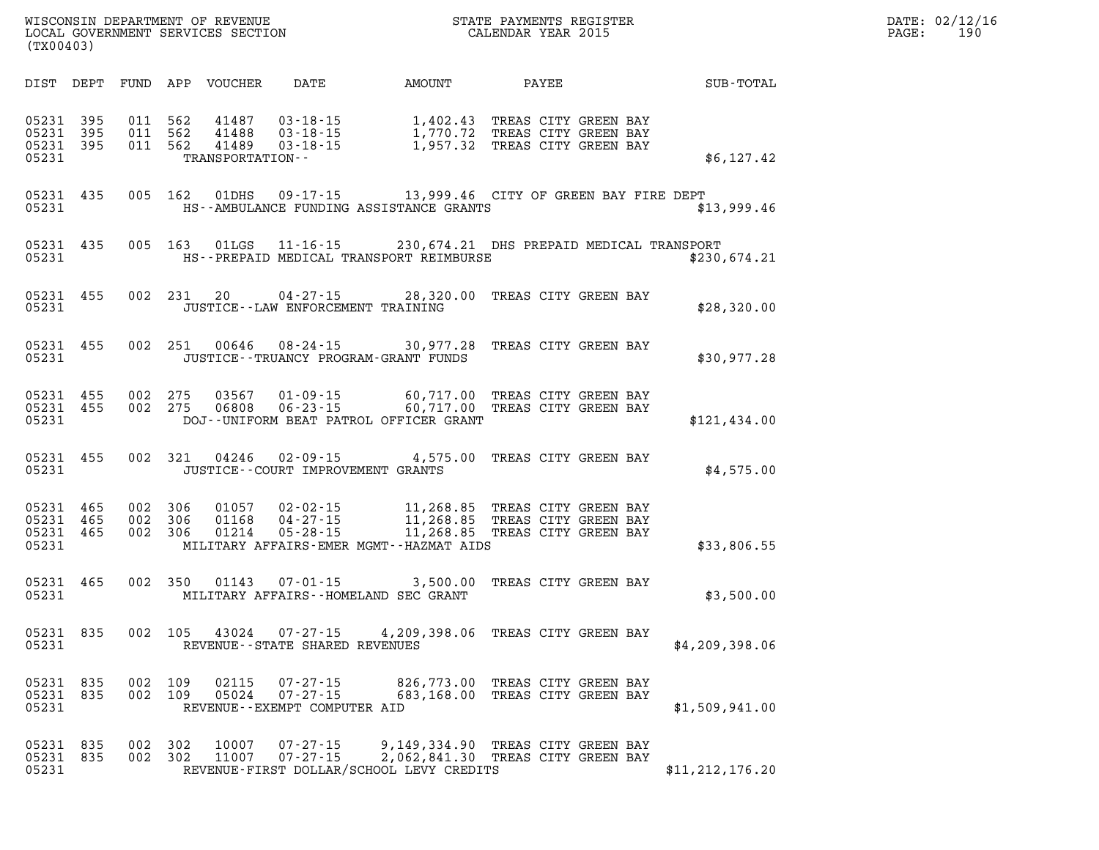| DATE: | 02/12/16 |
|-------|----------|
| PAGE: | 190      |

| AMOUNT<br>PAYEE                                                                                                                                        | SUB-TOTAL    |  |
|--------------------------------------------------------------------------------------------------------------------------------------------------------|--------------|--|
| TREAS CITY GREEN BAY<br>1,402.43<br>1,770.72<br>1,957.32<br>TREAS CITY GREEN BAY<br>TREAS CITY GREEN BAY                                               | \$6,127.42   |  |
| 09-17-15 13,999.46 CITY OF GREEN BAY FIRE DEPT<br>HS--AMBULANCE FUNDING ASSISTANCE GRANTS                                                              | \$13,999.46  |  |
| 11-16-15 230, 674.21 DHS PREPAID MEDICAL TRANSPORT<br>HS--PREPAID MEDICAL TRANSPORT REIMBURSE                                                          | \$230,674.21 |  |
| $04 - 27 - 15$ 28,320.00<br>TREAS CITY GREEN BAY<br>JUSTICE -- LAW ENFORCEMENT TRAINING                                                                | \$28,320.00  |  |
| $08 - 24 - 15$<br>30,977.28<br>TREAS CITY GREEN BAY<br>JUSTICE - - TRUANCY PROGRAM - GRANT FUNDS                                                       | \$30,977.28  |  |
| 60,717.00<br>TREAS CITY GREEN BAY<br>60,717.00<br>TREAS CITY GREEN BAY<br>DOJ--UNIFORM BEAT PATROL OFFICER GRANT                                       | \$121,434.00 |  |
| 4,575.00<br>TREAS CITY GREEN BAY<br>JUSTICE - - COURT IMPROVEMENT GRANTS                                                                               | \$4,575.00   |  |
| 11,268.85<br>TREAS CITY GREEN BAY<br>11,268.85<br>TREAS CITY GREEN BAY<br>11,268.85<br>TREAS CITY GREEN BAY<br>MILITARY AFFAIRS-EMER MGMT--HAZMAT AIDS | \$33,806.55  |  |
| 3,500.00<br>TREAS CITY GREEN BAY<br>MILITARY AFFAIRS--HOMELAND SEC GRANT                                                                               | \$3,500.00   |  |
| 4,209,398.06 TREAS CITY GREEN BAY<br>REVENUE - - STATE SHARED REVENUES<br>\$4,209,398.06                                                               |              |  |
| 826,773.00<br>TREAS CITY GREEN BAY<br>683,168.00<br>TREAS CITY GREEN BAY<br>REVENUE - - EXEMPT COMPUTER AID<br>\$1,509,941.00                          |              |  |
| 9,149,334.90<br>TREAS CITY GREEN BAY<br>2,062,841.30<br>TREAS CITY GREEN BAY<br>REVENUE-FIRST DOLLAR/SCHOOL LEVY CREDITS<br>\$11, 212, 176.20          |              |  |

**WISCONSIN DEPARTMENT OF REVENUE STATE STATE PAYMENTS REGISTER**<br>LOCAL GOVERNMENT SERVICES SECTION STATE: OF BALENDAR YEAR 2015

LOCAL GOVERNMENT SERVICES SECTION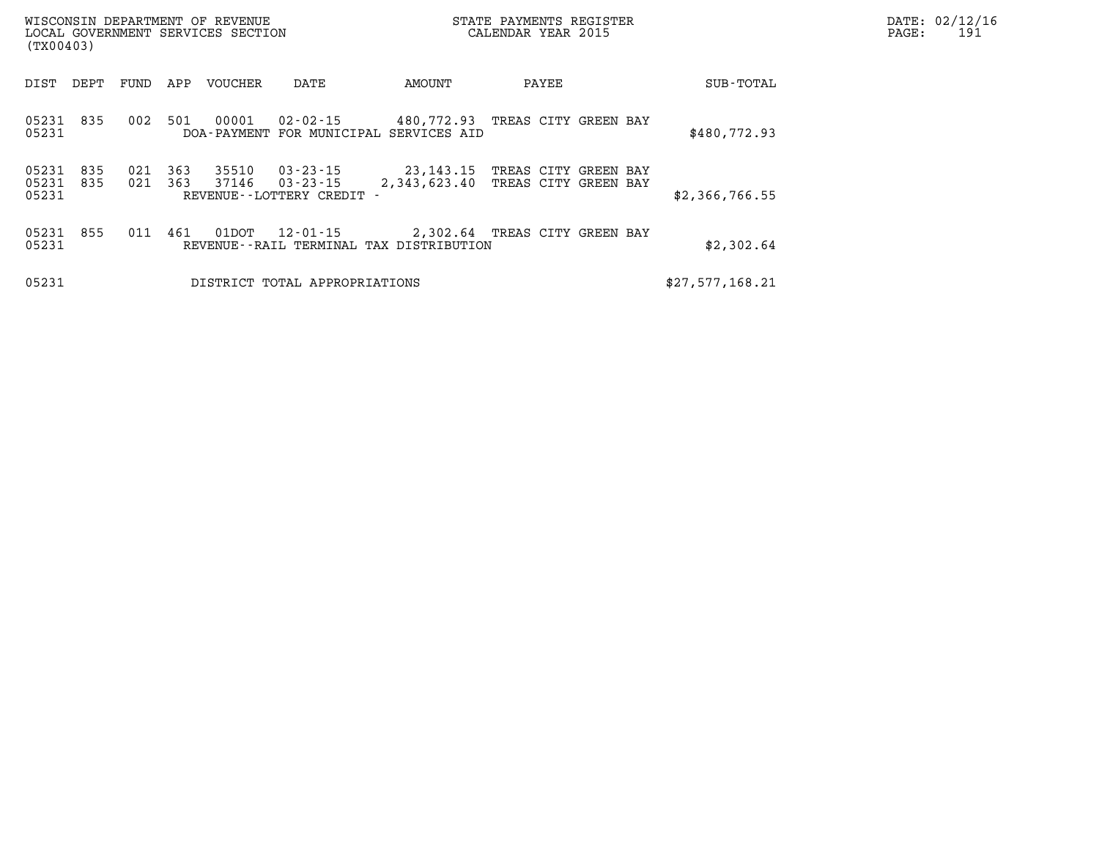| (TX00403)               |            |            |            | WISCONSIN DEPARTMENT OF REVENUE<br>LOCAL GOVERNMENT SERVICES SECTION |                                                          |                                                      | STATE PAYMENTS REGISTER<br>CALENDAR YEAR 2015 | PAGE:     | DATE: 02/12/16<br>191 |  |  |
|-------------------------|------------|------------|------------|----------------------------------------------------------------------|----------------------------------------------------------|------------------------------------------------------|-----------------------------------------------|-----------|-----------------------|--|--|
| DIST                    | DEPT       | FUND       | APP        | VOUCHER                                                              | DATE                                                     | AMOUNT                                               | PAYEE                                         |           | SUB-TOTAL             |  |  |
| 05231 835<br>05231      |            | 002        | 501        | 00001                                                                | 02-02-15                                                 | 480,772.93<br>DOA-PAYMENT FOR MUNICIPAL SERVICES AID | TREAS CITY GREEN BAY                          |           | \$480,772.93          |  |  |
| 05231<br>05231<br>05231 | 835<br>835 | 021<br>021 | 363<br>363 | 35510<br>37146                                                       | $03 - 23 - 15$<br>03-23-15<br>REVENUE - - LOTTERY CREDIT | 23,143.15<br>2,343,623.40                            | TREAS CITY<br>TREAS CITY GREEN BAY            | GREEN BAY | \$2,366,766.55        |  |  |
| 05231 855<br>05231      |            | 011        | 461        | 01DOT                                                                | 12-01-15                                                 | REVENUE--RAIL TERMINAL TAX DISTRIBUTION              | 2,302.64 TREAS CITY GREEN BAY                 |           | \$2,302.64            |  |  |
| 05231                   |            |            |            |                                                                      | DISTRICT TOTAL APPROPRIATIONS                            |                                                      |                                               |           | \$27,577,168.21       |  |  |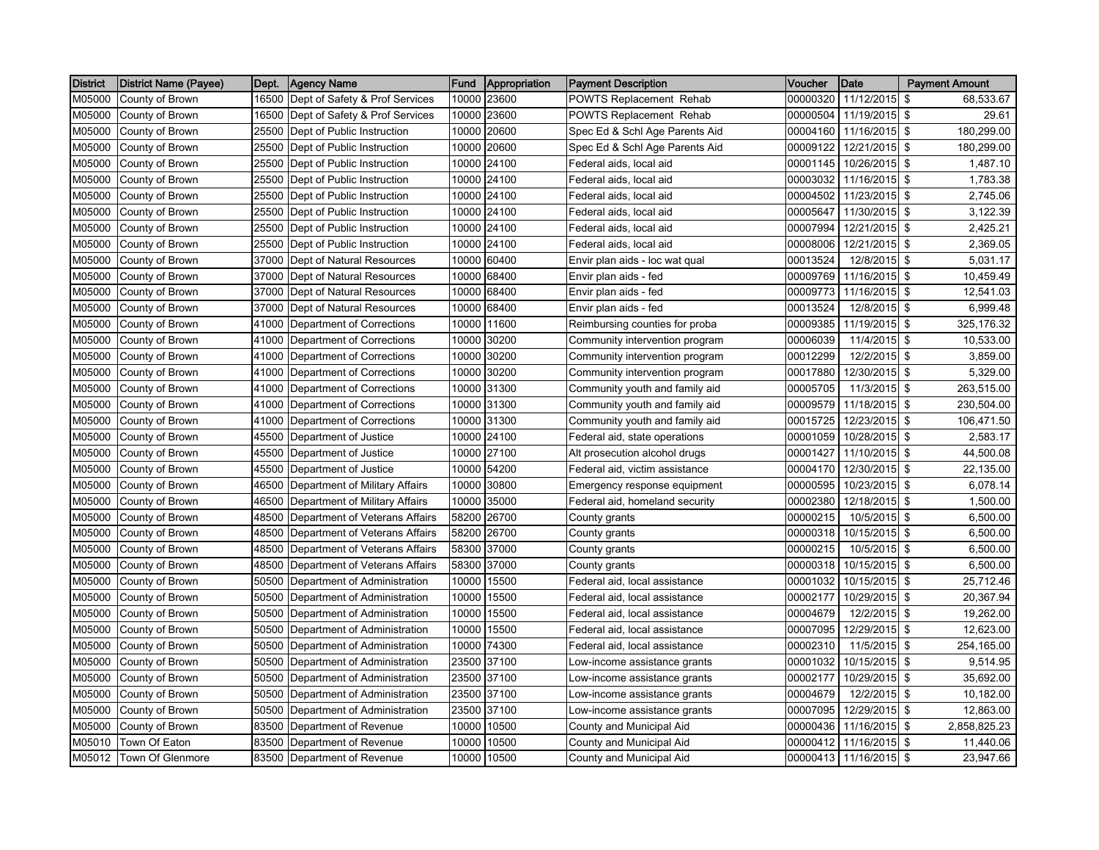| <b>District</b> | <b>District Name (Payee)</b> | Dept. | <b>Agency Name</b>                   | <b>Fund</b> | Appropriation | <b>Payment Description</b>     | Voucher  | Date          | <b>Payment Amount</b> |
|-----------------|------------------------------|-------|--------------------------------------|-------------|---------------|--------------------------------|----------|---------------|-----------------------|
| M05000          | County of Brown              |       | 16500 Dept of Safety & Prof Services | 10000       | 23600         | POWTS Replacement Rehab        | 00000320 | 11/12/2015    | \$<br>68,533.67       |
| M05000          | County of Brown              | 16500 | Dept of Safety & Prof Services       | 10000       | 23600         | POWTS Replacement Rehab        | 00000504 | 11/19/2015    | \$<br>29.61           |
| M05000          | County of Brown              |       | 25500 Dept of Public Instruction     |             | 10000 20600   | Spec Ed & Schl Age Parents Aid | 00004160 | 11/16/2015 \$ | 180,299.00            |
| M05000          | County of Brown              |       | 25500 Dept of Public Instruction     | 10000       | 20600         | Spec Ed & Schl Age Parents Aid | 00009122 | 12/21/2015    | \$<br>180,299.00      |
| M05000          | County of Brown              | 25500 | Dept of Public Instruction           |             | 10000 24100   | Federal aids, local aid        | 00001145 | 10/26/2015 \$ | 1,487.10              |
| M05000          | County of Brown              |       | 25500 Dept of Public Instruction     |             | 10000 24100   | Federal aids, local aid        | 00003032 | 11/16/2015    | \$<br>1,783.38        |
| M05000          | County of Brown              |       | 25500 Dept of Public Instruction     |             | 10000 24100   | Federal aids, local aid        | 00004502 | 11/23/2015 \$ | 2,745.06              |
| M05000          | County of Brown              |       | 25500 Dept of Public Instruction     |             | 10000 24100   | Federal aids, local aid        | 00005647 | 11/30/2015 \$ | 3,122.39              |
| M05000          | County of Brown              |       | 25500 Dept of Public Instruction     |             | 10000 24100   | Federal aids, local aid        | 00007994 | 12/21/2015 \$ | 2,425.21              |
| M05000          | County of Brown              |       | 25500 Dept of Public Instruction     | 10000       | 24100         | Federal aids, local aid        | 00008006 | 12/21/2015 \$ | 2,369.05              |
| M05000          | County of Brown              |       | 37000 Dept of Natural Resources      |             | 10000 60400   | Envir plan aids - loc wat qual | 00013524 | 12/8/2015 \$  | 5,031.17              |
| M05000          | County of Brown              |       | 37000 Dept of Natural Resources      | 10000       | 68400         | Envir plan aids - fed          | 00009769 | 11/16/2015    | \$<br>10,459.49       |
| M05000          | County of Brown              |       | 37000 Dept of Natural Resources      |             | 10000 68400   | Envir plan aids - fed          | 00009773 | 11/16/2015    | \$<br>12,541.03       |
| M05000          | County of Brown              |       | 37000 Dept of Natural Resources      |             | 10000 68400   | Envir plan aids - fed          | 00013524 | 12/8/2015 \$  | 6,999.48              |
| M05000          | County of Brown              |       | 41000 Department of Corrections      | 10000       | 11600         | Reimbursing counties for proba | 00009385 | 11/19/2015    | \$<br>325,176.32      |
| M05000          | County of Brown              |       | 41000 Department of Corrections      | 10000       | 30200         | Community intervention program | 00006039 | 11/4/2015     | \$<br>10,533.00       |
| M05000          | County of Brown              | 41000 | Department of Corrections            | 10000       | 30200         | Community intervention program | 00012299 | 12/2/2015     | \$<br>3,859.00        |
| M05000          | County of Brown              |       | 41000 Department of Corrections      | 10000       | 30200         | Community intervention program | 00017880 | 12/30/2015    | \$<br>5,329.00        |
| M05000          | County of Brown              |       | 41000 Department of Corrections      | 10000       | 31300         | Community youth and family aid | 00005705 | 11/3/2015     | \$<br>263,515.00      |
| M05000          | County of Brown              | 41000 | Department of Corrections            | 10000       | 31300         | Community youth and family aid | 00009579 | 11/18/2015    | \$<br>230,504.00      |
| M05000          | County of Brown              | 41000 | Department of Corrections            |             | 10000 31300   | Community youth and family aid | 00015725 | 12/23/2015    | \$<br>106,471.50      |
| M05000          | County of Brown              |       | 45500 Department of Justice          |             | 10000 24100   | Federal aid, state operations  | 00001059 | 10/28/2015    | \$<br>2,583.17        |
| M05000          | County of Brown              | 45500 | Department of Justice                |             | 10000 27100   | Alt prosecution alcohol drugs  | 00001427 | 11/10/2015    | \$<br>44,500.08       |
| M05000          | County of Brown              |       | 45500 Department of Justice          |             | 10000 54200   | Federal aid, victim assistance | 00004170 | 12/30/2015    | \$<br>22,135.00       |
| M05000          | County of Brown              |       | 46500 Department of Military Affairs | 10000       | 30800         | Emergency response equipment   | 00000595 | 10/23/2015    | \$<br>6,078.14        |
| M05000          | County of Brown              |       | 46500 Department of Military Affairs | 10000       | 35000         | Federal aid, homeland security | 00002380 | 12/18/2015    | \$<br>1,500.00        |
| M05000          | County of Brown              |       | 48500 Department of Veterans Affairs | 58200       | 26700         | County grants                  | 00000215 | 10/5/2015     | \$<br>6,500.00        |
| M05000          | County of Brown              | 48500 | Department of Veterans Affairs       | 58200       | 26700         | County grants                  | 00000318 | 10/15/2015 \$ | 6,500.00              |
| M05000          | County of Brown              |       | 48500 Department of Veterans Affairs | 58300       | 37000         | County grants                  | 00000215 | 10/5/2015 \$  | 6,500.00              |
| M05000          | County of Brown              |       | 48500 Department of Veterans Affairs | 58300       | 37000         | County grants                  | 00000318 | 10/15/2015 \$ | 6,500.00              |
| M05000          | County of Brown              |       | 50500 Department of Administration   | 10000       | 15500         | Federal aid, local assistance  | 00001032 | 10/15/2015 \$ | 25,712.46             |
| M05000          | County of Brown              |       | 50500 Department of Administration   | 10000       | 15500         | Federal aid, local assistance  | 00002177 | 10/29/2015 \$ | 20,367.94             |
| M05000          | County of Brown              |       | 50500 Department of Administration   | 10000       | 15500         | Federal aid, local assistance  | 00004679 | 12/2/2015 \$  | 19,262.00             |
| M05000          | County of Brown              |       | 50500 Department of Administration   | 10000       | 15500         | Federal aid, local assistance  | 00007095 | 12/29/2015    | \$<br>12,623.00       |
| M05000          | County of Brown              |       | 50500 Department of Administration   | 10000       | 74300         | Federal aid, local assistance  | 00002310 | 11/5/2015     | \$<br>254,165.00      |
| M05000          | County of Brown              |       | 50500 Department of Administration   |             | 23500 37100   | Low-income assistance grants   | 00001032 | 10/15/2015    | \$<br>9,514.95        |
| M05000          | County of Brown              |       | 50500 Department of Administration   |             | 23500 37100   | Low-income assistance grants   | 00002177 | 10/29/2015 \$ | 35,692.00             |
| M05000          | County of Brown              |       | 50500 Department of Administration   |             | 23500 37100   | Low-income assistance grants   | 00004679 | 12/2/2015     | \$<br>10,182.00       |
| M05000          | County of Brown              | 50500 | Department of Administration         | 23500       | 37100         | Low-income assistance grants   | 00007095 | 12/29/2015    | \$<br>12,863.00       |
| M05000          | County of Brown              | 83500 | Department of Revenue                | 10000       | 10500         | County and Municipal Aid       | 00000436 | 11/16/2015    | \$<br>2,858,825.23    |
| M05010          | Town Of Eaton                |       | 83500 Department of Revenue          | 10000       | 10500         | County and Municipal Aid       | 00000412 | 11/16/2015 \$ | 11,440.06             |
| M05012          | <b>Town Of Glenmore</b>      |       | 83500 Department of Revenue          | 10000       | 10500         | County and Municipal Aid       | 00000413 | 11/16/2015    | \$<br>23,947.66       |